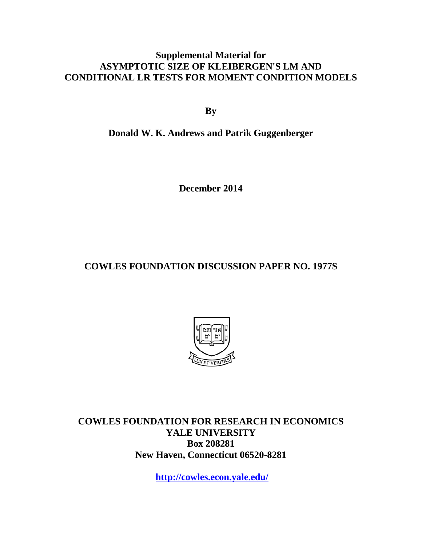### **Supplemental Material for ASYMPTOTIC SIZE OF KLEIBERGEN'S LM AND CONDITIONAL LR TESTS FOR MOMENT CONDITION MODELS**

**By**

**Donald W. K. Andrews and Patrik Guggenberger**

**December 2014**

**COWLES FOUNDATION DISCUSSION PAPER NO. 1977S**



**COWLES FOUNDATION FOR RESEARCH IN ECONOMICS YALE UNIVERSITY Box 208281 New Haven, Connecticut 06520-8281**

**<http://cowles.econ.yale.edu/>**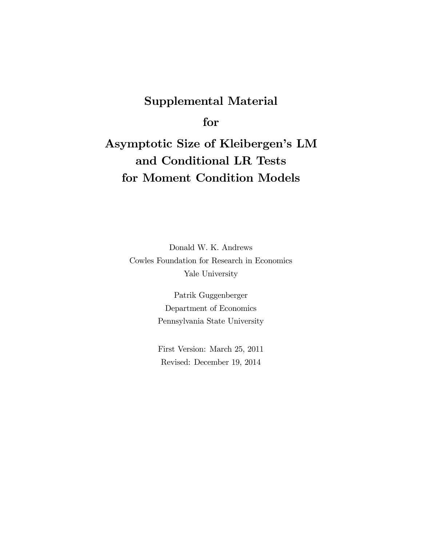## Supplemental Material

for

# Asymptotic Size of Kleibergen's LM and Conditional LR Tests for Moment Condition Models

Donald W. K. Andrews Cowles Foundation for Research in Economics Yale University

> Patrik Guggenberger Department of Economics Pennsylvania State University

> First Version: March 25, 2011 Revised: December 19, 2014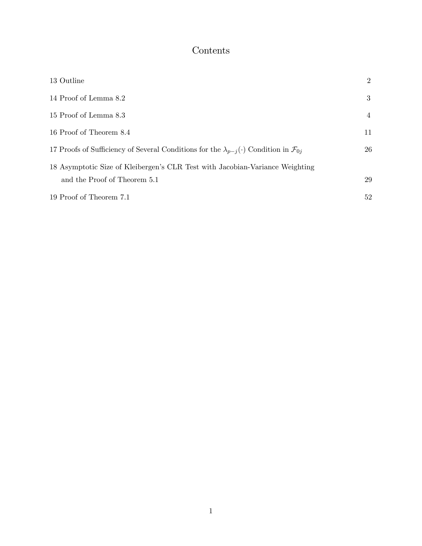## Contents

| 13 Outline                                                                                                    | $\overline{2}$ |
|---------------------------------------------------------------------------------------------------------------|----------------|
| 14 Proof of Lemma 8.2                                                                                         | 3              |
| 15 Proof of Lemma 8.3                                                                                         | 4              |
| 16 Proof of Theorem 8.4                                                                                       | 11             |
| 17 Proofs of Sufficiency of Several Conditions for the $\lambda_{p-i}(\cdot)$ Condition in $\mathcal{F}_{0i}$ | 26             |
| 18 Asymptotic Size of Kleibergen's CLR Test with Jacobian-Variance Weighting<br>and the Proof of Theorem 5.1  | 29             |
| 19 Proof of Theorem 7.1                                                                                       | 52             |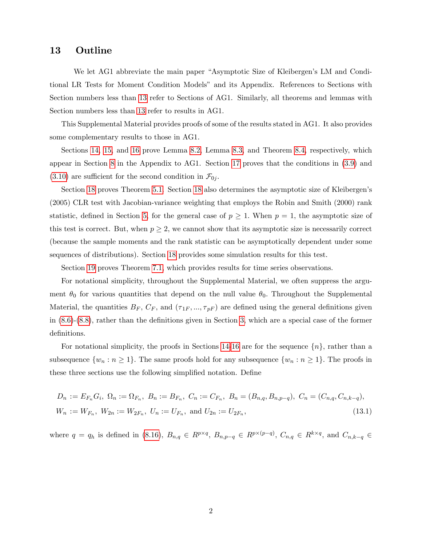### <span id="page-3-0"></span>13 Outline

We let AG1 abbreviate the main paper "Asymptotic Size of Kleibergen's LM and Conditional LR Tests for Moment Condition Modelsî and its Appendix. References to Sections with Section numbers less than [13](#page-3-0) refer to Sections of AG1. Similarly, all theorems and lemmas with Section numbers less than [13](#page-3-0) refer to results in AG1.

This Supplemental Material provides proofs of some of the results stated in AG1. It also provides some complementary results to those in AG1.

Sections [14,](#page-4-0) [15,](#page-5-0) and [16](#page-12-0) prove Lemma [8.2,](#page--1-0) Lemma [8.3,](#page--1-1) and Theorem [8.4,](#page--1-2) respectively, which appear in Section [8](#page--1-3) in the Appendix to AG1. Section [17](#page-27-0) proves that the conditions in [\(3.9\)](#page--1-4) and  $(3.10)$  are sufficient for the second condition in  $\mathcal{F}_{0j}$ .

Section [18](#page-30-0) proves Theorem [5.1.](#page--1-6) Section 18 also determines the asymptotic size of Kleibergen's (2005) CLR test with Jacobian-variance weighting that employs the Robin and Smith (2000) rank statistic, defined in Section [5,](#page--1-7) for the general case of  $p \geq 1$ . When  $p = 1$ , the asymptotic size of this test is correct. But, when  $p \geq 2$ , we cannot show that its asymptotic size is necessarily correct (because the sample moments and the rank statistic can be asymptotically dependent under some sequences of distributions). Section [18](#page-30-0) provides some simulation results for this test.

Section [19](#page-53-0) proves Theorem [7.1,](#page--1-8) which provides results for time series observations.

For notational simplicity, throughout the Supplemental Material, we often suppress the argument  $\theta_0$  for various quantities that depend on the null value  $\theta_0$ . Throughout the Supplemental Material, the quantities  $B_F$ ,  $C_F$ , and  $(\tau_{1F}, ..., \tau_{pF})$  are defined using the general definitions given in  $(8.6)-(8.8)$  $(8.6)-(8.8)$  $(8.6)-(8.8)$ , rather than the definitions given in Section [3,](#page--1-11) which are a special case of the former definitions.

For notational simplicity, the proofs in Sections [14-](#page-4-0)[16](#page-12-0) are for the sequence  $\{n\}$ , rather than a subsequence  $\{w_n : n \geq 1\}$ . The same proofs hold for any subsequence  $\{w_n : n \geq 1\}$ . The proofs in these three sections use the following simplified notation. Define

<span id="page-3-1"></span>
$$
D_n := E_{F_n} G_i, \ \Omega_n := \Omega_{F_n}, \ B_n := B_{F_n}, \ C_n := C_{F_n}, \ B_n = (B_{n,q}, B_{n,p-q}), \ C_n = (C_{n,q}, C_{n,k-q}),
$$
  

$$
W_n := W_{F_n}, \ W_{2n} := W_{2F_n}, \ U_n := U_{F_n}, \text{ and } U_{2n} := U_{2F_n},
$$
\n
$$
(13.1)
$$

where  $q = q_h$  is defined in [\(8.16\)](#page--1-12),  $B_{n,q} \in R^{p \times q}$ ,  $B_{n,p-q} \in R^{p \times (p-q)}$ ,  $C_{n,q} \in R^{k \times q}$ , and  $C_{n,k-q} \in R^{k}$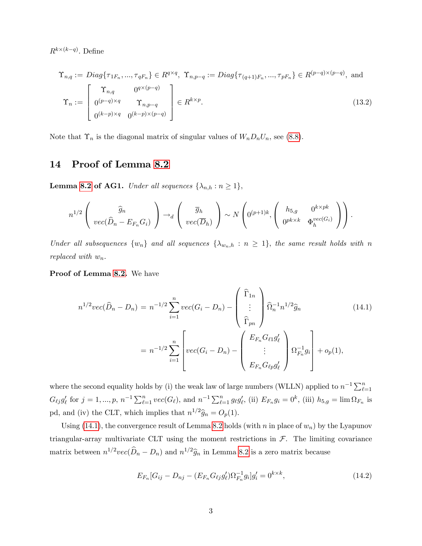$R^{k\times (k-q)}$ . Define

<span id="page-4-2"></span>
$$
\Upsilon_{n,q} := Diag\{\tau_{1F_n}, \dots, \tau_{qF_n}\} \in R^{q \times q}, \ \Upsilon_{n,p-q} := Diag\{\tau_{(q+1)F_n}, \dots, \tau_{pF_n}\} \in R^{(p-q) \times (p-q)}, \text{ and}
$$
\n
$$
\Upsilon_n := \begin{bmatrix}\n\Upsilon_{n,q} & 0^{q \times (p-q)} \\
0^{(p-q) \times q} & \Upsilon_{n,p-q} \\
0^{(k-p) \times q} & 0^{(k-p) \times (p-q)}\n\end{bmatrix} \in R^{k \times p}.
$$
\n(13.2)

Note that  $\Upsilon_n$  is the diagonal matrix of singular values of  $W_nD_nU_n$ , see [\(8.8\)](#page--1-10).

### <span id="page-4-0"></span>14 Proof of Lemma [8.2](#page--1-0)

**Lemma [8.2](#page--1-0) of AG1.** Under all sequences  $\{\lambda_{n,h} : n \geq 1\},\$ 

$$
n^{1/2}\left(\begin{array}{c}\widehat{g}_n\\vec(\widehat{D}_n - E_{F_n}G_i)\end{array}\right) \rightarrow_d \left(\begin{array}{c}\overline{g}_h\\vec(\overline{D}_h)\end{array}\right) \sim N\left(0^{(p+1)k}, \left(\begin{array}{cc}h_{5,g} & 0^{k \times pk}\\0^{pk \times k} & \Phi_h^{vec(G_i)}\end{array}\right)\right).
$$

Under all subsequences  $\{w_n\}$  and all sequences  $\{\lambda_{w_n,h} : n \geq 1\}$ , the same result holds with n replaced with  $w_n$ .

Proof of Lemma [8.2.](#page--1-0) We have

<span id="page-4-1"></span>
$$
n^{1/2}vec(\hat{D}_n - D_n) = n^{-1/2} \sum_{i=1}^n vec(G_i - D_n) - \begin{pmatrix} \hat{\Gamma}_{1n} \\ \vdots \\ \hat{\Gamma}_{pn} \end{pmatrix} \hat{\Omega}_n^{-1} n^{1/2} \hat{g}_n
$$
(14.1)  

$$
= n^{-1/2} \sum_{i=1}^n \left[ vec(G_i - D_n) - \begin{pmatrix} E_{F_n} G_{\ell 1} g'_{\ell} \\ \vdots \\ E_{F_n} G_{\ell p} g'_{\ell} \end{pmatrix} \Omega_{F_n}^{-1} g_i \right] + o_p(1),
$$

where the second equality holds by (i) the weak law of large numbers (WLLN) applied to  $n^{-1}\sum_{\ell=1}^n$  $G_{\ell j} g'_{\ell}$  for  $j = 1, ..., p, n^{-1} \sum_{\ell=1}^{n} vec(G_{\ell}),$  and  $n^{-1} \sum_{\ell=1}^{n} geg'_{\ell}$ , (ii)  $E_{F_n} g_i = 0^k$ , (iii)  $h_{5,g} = \lim \Omega_{F_n}$  is pd, and (iv) the CLT, which implies that  $n^{1/2}\hat{g}_n = O_p(1)$ .

Using [\(14.1\)](#page-4-1), the convergence result of Lemma [8.2](#page--1-0) holds (with n in place of  $w_n$ ) by the Lyapunov triangular-array multivariate CLT using the moment restrictions in  $F$ . The limiting covariance matrix between  $n^{1/2}vec(\hat{D}_n - D_n)$  and  $n^{1/2}\hat{g}_n$  in Lemma [8.2](#page--1-0) is a zero matrix because

$$
E_{F_n}[G_{ij} - D_{nj} - (E_{F_n} G_{\ell j} g'_{\ell}) \Omega_{F_n}^{-1} g_i] g'_i = 0^{k \times k}, \qquad (14.2)
$$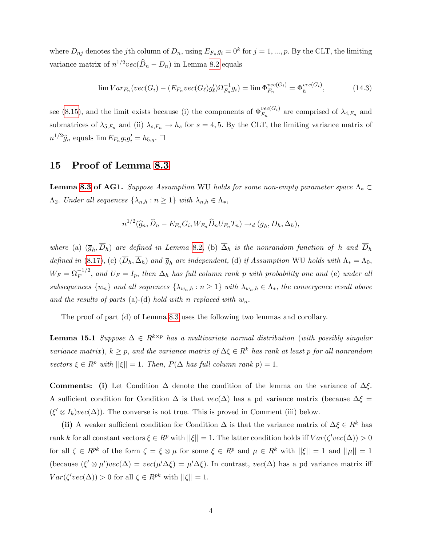where  $D_{nj}$  denotes the jth column of  $D_n$ , using  $E_{F_n}g_i = 0^k$  for  $j = 1, ..., p$ . By the CLT, the limiting variance matrix of  $n^{1/2}vec(\hat{D}_n - D_n)$  in Lemma [8.2](#page--1-0) equals

$$
\lim Var_{F_n}(vec(G_i) - (E_{F_n}vec(G_\ell)g'_\ell)\Omega_{F_n}^{-1}g_i) = \lim \Phi_{F_n}^{vec(G_i)} = \Phi_h^{vec(G_i)},
$$
\n(14.3)

see [\(8.15\)](#page--1-13), and the limit exists because (i) the components of  $\Phi_{F_n}^{vec(G_i)}$  $F_n^{vec(G_i)}$  are comprised of  $\lambda_{4,F_n}$  and submatrices of  $\lambda_{5,F_n}$  and (ii)  $\lambda_{s,F_n} \to h_s$  for  $s = 4, 5$ . By the CLT, the limiting variance matrix of  $n^{1/2}\widehat{g}_n$  equals  $\lim E_{F_n} g_i g'_i = h_{5,g}.$   $\Box$ 

#### <span id="page-5-0"></span>15 Proof of Lemma [8.3](#page--1-1)

**Lemma [8.3](#page--1-1) of AG1.** Suppose Assumption WU holds for some non-empty parameter space  $\Lambda_* \subset$  $\Lambda_2$ . Under all sequences  $\{\lambda_{n,h} : n \geq 1\}$  with  $\lambda_{n,h} \in \Lambda_*$ ,

$$
n^{1/2}(\widehat{g}_n, \widehat{D}_n - E_{F_n} G_i, W_{F_n} \widehat{D}_n U_{F_n} T_n) \rightarrow_d (\overline{g}_h, \overline{D}_h, \overline{\Delta}_h),
$$

where (a)  $(\bar{g}_h, D_h)$  are defined in Lemma [8.2,](#page--1-0) (b)  $\Delta_h$  is the nonrandom function of h and  $D_h$ defined in [\(8.17\)](#page--1-14), (c)  $(\overline{D}_h, \overline{\Delta}_h)$  and  $\overline{g}_h$  are independent, (d) if Assumption WU holds with  $\Lambda_* = \Lambda_0$ ,  $W_F = \Omega_F^{-1/2}$ , and  $U_F = I_p$ , then  $\overline{\Delta}_h$  has full column rank p with probability one and (e) under all subsequences  $\{w_n\}$  and all sequences  $\{\lambda_{w_n,h} : n \geq 1\}$  with  $\lambda_{w_n,h} \in \Lambda_*$ , the convergence result above and the results of parts (a)-(d) hold with n replaced with  $w_n$ .

The proof of part (d) of Lemma [8.3](#page--1-1) uses the following two lemmas and corollary.

<span id="page-5-1"></span>**Lemma 15.1** Suppose  $\Delta \in R^{k \times p}$  has a multivariate normal distribution (with possibly singular variance matrix),  $k \geq p$ , and the variance matrix of  $\Delta \xi \in R^k$  has rank at least p for all nonrandom vectors  $\xi \in R^p$  with  $||\xi|| = 1$ . Then,  $P(\Delta$  has full column rank  $p) = 1$ .

**Comments:** (i) Let Condition  $\Delta$  denote the condition of the lemma on the variance of  $\Delta \xi$ . A sufficient condition for Condition  $\Delta$  is that  $vec(\Delta)$  has a pd variance matrix (because  $\Delta \xi$  =  $(\xi' \otimes I_k)vec(\Delta))$ . The converse is not true. This is proved in Comment (iii) below.

(ii) A weaker sufficient condition for Condition  $\Delta$  is that the variance matrix of  $\Delta \xi \in R^k$  has rank k for all constant vectors  $\xi \in R^p$  with  $||\xi|| = 1$ . The latter condition holds iff  $Var(\zeta' vec(\Delta)) > 0$ for all  $\zeta \in R^{pk}$  of the form  $\zeta = \xi \otimes \mu$  for some  $\xi \in R^p$  and  $\mu \in R^k$  with  $||\xi|| = 1$  and  $||\mu|| = 1$ (because  $(\xi' \otimes \mu')vec(\Delta) = vec(\mu' \Delta \xi) = \mu' \Delta \xi)$ . In contrast,  $vec(\Delta)$  has a pd variance matrix iff  $Var(\zeta' vec(\Delta)) > 0$  for all  $\zeta \in R^{pk}$  with  $||\zeta|| = 1$ .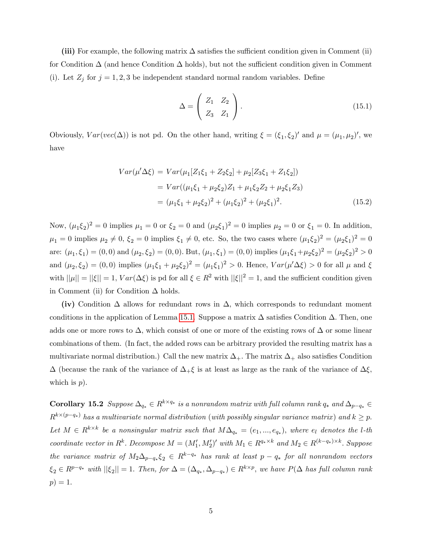(iii) For example, the following matrix  $\Delta$  satisfies the sufficient condition given in Comment (ii) for Condition  $\Delta$  (and hence Condition  $\Delta$  holds), but not the sufficient condition given in Comment (i). Let  $Z_j$  for  $j = 1, 2, 3$  be independent standard normal random variables. Define

$$
\Delta = \left(\begin{array}{cc} Z_1 & Z_2 \\ Z_3 & Z_1 \end{array}\right). \tag{15.1}
$$

Obviously,  $Var(vec(\Delta))$  is not pd. On the other hand, writing  $\xi = (\xi_1, \xi_2)'$  and  $\mu = (\mu_1, \mu_2)'$ , we have

$$
Var(\mu'\Delta\xi) = Var(\mu_1[Z_1\xi_1 + Z_2\xi_2] + \mu_2[Z_3\xi_1 + Z_1\xi_2])
$$
  
= 
$$
Var((\mu_1\xi_1 + \mu_2\xi_2)Z_1 + \mu_1\xi_2 Z_2 + \mu_2\xi_1 Z_3)
$$
  
= 
$$
(\mu_1\xi_1 + \mu_2\xi_2)^2 + (\mu_1\xi_2)^2 + (\mu_2\xi_1)^2.
$$
 (15.2)

Now,  $(\mu_1 \xi_2)^2 = 0$  implies  $\mu_1 = 0$  or  $\xi_2 = 0$  and  $(\mu_2 \xi_1)^2 = 0$  implies  $\mu_2 = 0$  or  $\xi_1 = 0$ . In addition,  $\mu_1 = 0$  implies  $\mu_2 \neq 0, \xi_2 = 0$  implies  $\xi_1 \neq 0$ , etc. So, the two cases where  $(\mu_1 \xi_2)^2 = (\mu_2 \xi_1)^2 = 0$ are:  $(\mu_1, \xi_1) = (0, 0)$  and  $(\mu_2, \xi_2) = (0, 0)$ . But,  $(\mu_1, \xi_1) = (0, 0)$  implies  $(\mu_1 \xi_1 + \mu_2 \xi_2)^2 = (\mu_2 \xi_2)^2 > 0$ and  $(\mu_2, \xi_2) = (0, 0)$  implies  $(\mu_1 \xi_1 + \mu_2 \xi_2)^2 = (\mu_1 \xi_1)^2 > 0$ . Hence,  $Var(\mu' \Delta \xi) > 0$  for all  $\mu$  and  $\xi$ with  $||\mu|| = ||\xi|| = 1$ ,  $Var(\Delta \xi)$  is pd for all  $\xi \in R^2$  with  $||\xi||^2 = 1$ , and the sufficient condition given in Comment (ii) for Condition  $\Delta$  holds.

(iv) Condition  $\Delta$  allows for redundant rows in  $\Delta$ , which corresponds to redundant moment conditions in the application of Lemma [15.1.](#page-5-1) Suppose a matrix  $\Delta$  satisfies Condition  $\Delta$ . Then, one adds one or more rows to  $\Delta$ , which consist of one or more of the existing rows of  $\Delta$  or some linear combinations of them. (In fact, the added rows can be arbitrary provided the resulting matrix has a multivariate normal distribution.) Call the new matrix  $\Delta_{+}$ . The matrix  $\Delta_{+}$  also satisfies Condition  $\Delta$  (because the rank of the variance of  $\Delta_+ \xi$  is at least as large as the rank of the variance of  $\Delta \xi$ , which is  $p$ ).

<span id="page-6-0"></span>**Corollary 15.2** Suppose  $\Delta_{q_*} \in R^{k \times q_*}$  is a nonrandom matrix with full column rank  $q_*$  and  $\Delta_{p-q_*} \in R^{k \times q_*}$  $R^{k\times (p-q_*)}$  has a multivariate normal distribution (with possibly singular variance matrix) and  $k\geq p$ . Let  $M \in R^{k \times k}$  be a nonsingular matrix such that  $M\Delta_{q_*} = (e_1, ..., e_{q_*}),$  where  $e_l$  denotes the l-th coordinate vector in  $R^k$ . Decompose  $M = (M'_1, M'_2)'$  with  $M_1 \in R^{q_* \times k}$  and  $M_2 \in R^{(k-q_*) \times k}$ . Suppose the variance matrix of  $M_2\Delta_{p-q_*}\xi_2 \in R^{k-q_*}$  has rank at least  $p-q_*$  for all nonrandom vectors  $\xi_2 \in R^{p-q_*}$  with  $||\xi_2|| = 1$ . Then, for  $\Delta = (\Delta_{q_*}, \Delta_{p-q_*}) \in R^{k \times p}$ , we have  $P(\Delta$  has full column rank  $p) = 1.$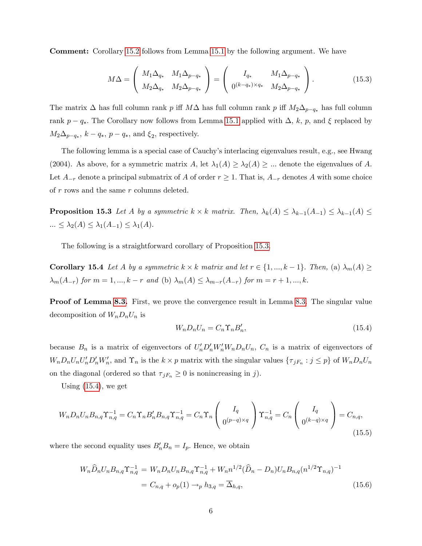Comment: Corollary [15.2](#page-6-0) follows from Lemma [15.1](#page-5-1) by the following argument. We have

$$
M\Delta = \begin{pmatrix} M_1 \Delta_{q_*} & M_1 \Delta_{p-q_*} \\ M_2 \Delta_{q_*} & M_2 \Delta_{p-q_*} \end{pmatrix} = \begin{pmatrix} I_{q_*} & M_1 \Delta_{p-q_*} \\ 0^{(k-q_*) \times q_*} & M_2 \Delta_{p-q_*} \end{pmatrix}.
$$
 (15.3)

The matrix  $\Delta$  has full column rank p iff  $M\Delta$  has full column rank p iff  $M_2\Delta_{p-q_*}$  has full column rank  $p - q_*$ . The Corollary now follows from Lemma [15.1](#page-5-1) applied with  $\Delta$ , k, p, and  $\xi$  replaced by  $M_2\Delta_{p-q_*}, k-q_*, p-q_*, \text{ and } \xi_2$ , respectively.

The following lemma is a special case of Cauchy's interlacing eigenvalues result, e.g., see Hwang (2004). As above, for a symmetric matrix A, let  $\lambda_1(A) \geq \lambda_2(A) \geq \dots$  denote the eigenvalues of A. Let  $A_{-r}$  denote a principal submatrix of A of order  $r \geq 1$ . That is,  $A_{-r}$  denotes A with some choice of  $r$  rows and the same  $r$  columns deleted.

<span id="page-7-0"></span>**Proposition 15.3** Let A by a symmetric  $k \times k$  matrix. Then,  $\lambda_k(A) \leq \lambda_{k-1}(A_{-1}) \leq \lambda_{k-1}(A) \leq$  $\ldots \leq \lambda_2(A) \leq \lambda_1(A_{-1}) \leq \lambda_1(A).$ 

<span id="page-7-3"></span>The following is a straightforward corollary of Proposition [15.3.](#page-7-0)

**Corollary 15.4** Let A by a symmetric  $k \times k$  matrix and let  $r \in \{1, ..., k-1\}$ . Then, (a)  $\lambda_m(A) \geq$  $\lambda_m(A_{-r})$  for  $m = 1, ..., k-r$  and (b)  $\lambda_m(A) \leq \lambda_{m-r}(A_{-r})$  for  $m = r + 1, ..., k$ .

Proof of Lemma [8.3.](#page--1-1) First, we prove the convergence result in Lemma [8.3.](#page--1-1) The singular value decomposition of  $W_n D_n U_n$  is

<span id="page-7-1"></span>
$$
W_n D_n U_n = C_n \Upsilon_n B'_n,\tag{15.4}
$$

because  $B_n$  is a matrix of eigenvectors of  $U'_n D'_n W'_n W_n D_n U_n$ ,  $C_n$  is a matrix of eigenvectors of  $W_n D_n U_n' D'_n W'_n$ , and  $\Upsilon_n$  is the  $k \times p$  matrix with the singular values  $\{\tau_{jF_n} : j \leq p\}$  of  $W_n D_n U_n$ on the diagonal (ordered so that  $\tau_{jF_n} \geq 0$  is nonincreasing in j).

Using  $(15.4)$ , we get

$$
W_n D_n U_n B_{n,q} \Upsilon_{n,q}^{-1} = C_n \Upsilon_n B_n' B_{n,q} \Upsilon_{n,q}^{-1} = C_n \Upsilon_n \left( \begin{array}{c} I_q \\ 0^{(p-q)\times q} \end{array} \right) \Upsilon_{n,q}^{-1} = C_n \left( \begin{array}{c} I_q \\ 0^{(k-q)\times q} \end{array} \right) = C_{n,q},\tag{15.5}
$$

where the second equality uses  $B_n' B_n = I_p$ . Hence, we obtain

<span id="page-7-2"></span>
$$
W_n \widehat{D}_n U_n B_{n,q} \Upsilon_{n,q}^{-1} = W_n D_n U_n B_{n,q} \Upsilon_{n,q}^{-1} + W_n n^{1/2} (\widehat{D}_n - D_n) U_n B_{n,q} (n^{1/2} \Upsilon_{n,q})^{-1}
$$
  
=  $C_{n,q} + o_p(1) \rightarrow_p h_{3,q} = \overline{\Delta}_{h,q},$  (15.6)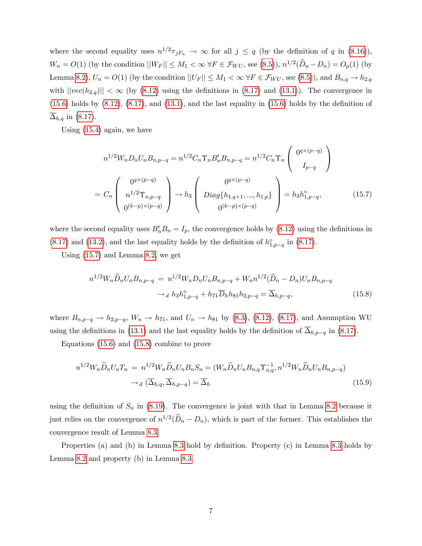where the second equality uses  $n^{1/2} \tau_{jF_n} \to \infty$  for all  $j \leq q$  (by the definition of q in [\(8.16\)](#page--1-12)),  $W_n = O(1)$  (by the condition  $||W_F|| \le M_1 < \infty$   $\forall F \in \mathcal{F}_{WU}$ , see [\(8.5\)](#page--1-15)),  $n^{1/2}(\widehat{D}_n - D_n) = O_p(1)$  (by Lemma [8.2\)](#page--1-0),  $U_n = O(1)$  (by the condition  $||U_F|| \leq M_1 < \infty$   $\forall F \in \mathcal{F}_{WU}$ , see [\(8.5\)](#page--1-15)), and  $B_{n,q} \to h_{2,q}$ with  $||vec(h_{2,q})|| < \infty$  (by [\(8.12\)](#page--1-16) using the definitions in [\(8.17\)](#page--1-14) and [\(13.1\)](#page-3-1)). The convergence in  $(15.6)$  holds by  $(8.12)$ ,  $(8.17)$ , and  $(13.1)$ , and the last equality in  $(15.6)$  holds by the definition of  $\Delta_{h,q}$  in [\(8.17\)](#page--1-14).

Using [\(15.4\)](#page-7-1) again, we have

<span id="page-8-0"></span>
$$
n^{1/2}W_n D_n U_n B_{n,p-q} = n^{1/2} C_n \Upsilon_n B_n' B_{n,p-q} = n^{1/2} C_n \Upsilon_n \begin{pmatrix} 0^{q \times (p-q)} \\ I_{p-q} \end{pmatrix}
$$

$$
= C_n \begin{pmatrix} 0^{q \times (p-q)} \\ n^{1/2} \Upsilon_{n,p-q} \\ 0^{(k-p) \times (p-q)} \end{pmatrix} \to h_3 \begin{pmatrix} 0^{q \times (p-q)} \\ Diag\{h_{1,q+1},...,h_{1,p}\} \\ 0^{(k-p) \times (p-q)} \end{pmatrix} = h_3 h_{1,p-q}^{\circ}, \tag{15.7}
$$

where the second equality uses  $B'_nB_n = I_p$ , the convergence holds by  $(8.12)$  using the definitions in [\(8.17\)](#page--1-14) and [\(13.2\)](#page-4-2), and the last equality holds by the definition of  $h_{1,p-q}^{\diamond}$  in (8.17).

Using [\(15.7\)](#page-8-0) and Lemma [8.2,](#page--1-0) we get

<span id="page-8-1"></span>
$$
n^{1/2}W_n\widehat{D}_nU_nB_{n,p-q} = n^{1/2}W_nD_nU_nB_{n,p-q} + W_n n^{1/2}(\widehat{D}_n - D_n)U_nB_{n,p-q}
$$

$$
\to_d h_3h_{1,p-q}^\diamond + h_{71}\overline{D}_h h_{81}h_{2,p-q} = \overline{\Delta}_{h,p-q},
$$
(15.8)

where  $B_{n,p-q} \to h_{2,p-q}$ ,  $W_n \to h_{71}$ , and  $U_n \to h_{81}$  by [\(8.3\)](#page--1-17), [\(8.12\)](#page--1-16), [\(8.17\)](#page--1-14), and Assumption WU using the definitions in [\(13.1\)](#page-3-1) and the last equality holds by the definition of  $\overline{\Delta}_{h,p-q}$  in [\(8.17\)](#page--1-14).

Equations [\(15.6\)](#page-7-2) and [\(15.8\)](#page-8-1) combine to prove

$$
n^{1/2}W_n\widehat{D}_nU_nT_n = n^{1/2}W_n\widehat{D}_nU_nB_nS_n = (W_n\widehat{D}_nU_nB_{n,q}\Upsilon_{n,q}^{-1}, n^{1/2}W_n\widehat{D}_nU_nB_{n,p-q})
$$

$$
\rightarrow_d (\overline{\Delta}_{h,q}, \overline{\Delta}_{h,p-q}) = \overline{\Delta}_h
$$
(15.9)

using the definition of  $S_n$  in [\(8.19\)](#page--1-18). The convergence is joint with that in Lemma [8.2](#page--1-0) because it just relies on the convergence of  $n^{1/2}(\widehat{D}_n - D_n)$ , which is part of the former. This establishes the convergence result of Lemma [8.3.](#page--1-1)

Properties (a) and (b) in Lemma [8.3](#page--1-1) hold by definition. Property  $(c)$  in Lemma 8.3 holds by Lemma [8.2](#page--1-0) and property (b) in Lemma [8.3.](#page--1-1)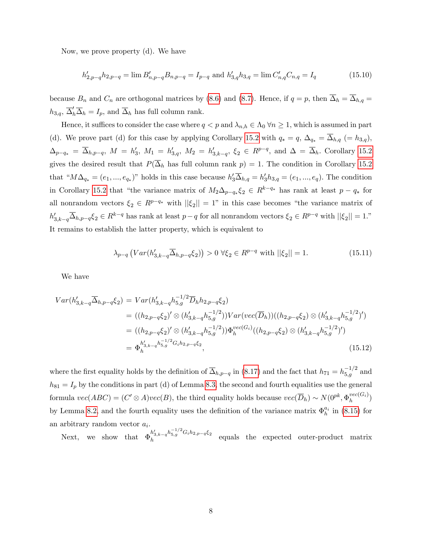Now, we prove property (d). We have

$$
h'_{2,p-q}h_{2,p-q} = \lim B'_{n,p-q}B_{n,p-q} = I_{p-q} \text{ and } h'_{3,q}h_{3,q} = \lim C'_{n,q}C_{n,q} = I_q
$$
\n(15.10)

because  $B_n$  and  $C_n$  are orthogonal matrices by [\(8.6\)](#page--1-9) and [\(8.7\)](#page--1-19). Hence, if  $q = p$ , then  $\overline{\Delta}_h = \overline{\Delta}_{h,q}$  $h_{3,q}, \overline{\Delta}'_h \overline{\Delta}_h = I_p$ , and  $\overline{\Delta}_h$  has full column rank.

Hence, it suffices to consider the case where  $q < p$  and  $\lambda_{n,h} \in \Lambda_0 \forall n \geq 1$ , which is assumed in part (d). We prove part (d) for this case by applying Corollary [15.2](#page-6-0) with  $q_* = q$ ,  $\Delta_{q_*} = \overline{\Delta}_{h,q}$  (= h<sub>3,q</sub>),  $\Delta_{p-q_*} = \overline{\Delta}_{h,p-q}, M = h'_3, M_1 = h'_{3,q}, M_2 = h'_{3,k-q}, \xi_2 \in R^{p-q}$ , and  $\Delta = \overline{\Delta}_h$ . Corollary [15.2](#page-6-0) gives the desired result that  $P(\overline{\Delta}_h$  has full column rank  $p) = 1$ . The condition in Corollary [15.2](#page-6-0) that " $M\Delta_{q_*} = (e_1, ..., e_{q_*})$ " holds in this case because  $h'_3\Delta_{h,q} = h'_3h_{3,q} = (e_1, ..., e_q)$ . The condition in Corollary [15.2](#page-6-0) that "the variance matrix of  $M_2\Delta_{p-q_*}\xi_2 \in R^{k-q_*}$  has rank at least  $p-q_*$  for all nonrandom vectors  $\xi_2 \in R^{p-q_*}$  with  $||\xi_2|| = 1$ " in this case becomes "the variance matrix of  $h'_{3,k-q} \overline{\Delta}_{h,p-q} \xi_2 \in R^{k-q}$  has rank at least  $p-q$  for all nonrandom vectors  $\xi_2 \in R^{p-q}$  with  $||\xi_2|| = 1$ ." It remains to establish the latter property, which is equivalent to

<span id="page-9-1"></span>
$$
\lambda_{p-q} \left( Var(h'_{3,k-q} \overline{\Delta}_{h,p-q} \xi_2) \right) > 0 \ \forall \xi_2 \in R^{p-q} \text{ with } ||\xi_2|| = 1. \tag{15.11}
$$

We have

<span id="page-9-0"></span>
$$
Var(h'_{3,k-q}\overline{\Delta}_{h,p-q}\xi_2) = Var(h'_{3,k-q}h_{5,g}^{-1/2}\overline{D}_h h_{2,p-q}\xi_2)
$$
  
\n
$$
= ((h_{2,p-q}\xi_2)' \otimes (h'_{3,k-q}h_{5,g}^{-1/2}))Var(vec(\overline{D}_h))((h_{2,p-q}\xi_2) \otimes (h'_{3,k-q}h_{5,g}^{-1/2})')
$$
  
\n
$$
= ((h_{2,p-q}\xi_2)' \otimes (h'_{3,k-q}h_{5,g}^{-1/2}))\Phi_h^{vec(G_i)}((h_{2,p-q}\xi_2) \otimes (h'_{3,k-q}h_{5,g}^{-1/2})')
$$
  
\n
$$
= \Phi_h^{h'_{3,k-q}h_{5,g}^{-1/2}G_ih_{2,p-q}\xi_2},
$$
\n(15.12)

where the first equality holds by the definition of  $\overline{\Delta}_{h,p-q}$  in [\(8.17\)](#page--1-14) and the fact that  $h_{71} = h_{5,g}^{-1/2}$  and  $h_{81} = I_p$  by the conditions in part (d) of Lemma [8.3,](#page--1-1) the second and fourth equalities use the general formula  $vec(ABC) = (C' \otimes A)vec(B)$ , the third equality holds because  $vec(\overline{D}_h) \sim N(0^{pk}, \Phi_h^{vec(G_i)})$  $h^{vec(\mathbf{G}_i)}$ by Lemma [8.2,](#page--1-0) and the fourth equality uses the definition of the variance matrix  $\Phi_h^{a_i}$  in [\(8.15\)](#page--1-13) for an arbitrary random vector  $a_i$ .

Next, we show that  $\Phi_h^{h'_{3,k-q}h_{5,g}^{-1/2}G_ih_{2,p-q}\xi_2}$ h equals the expected outer-product matrix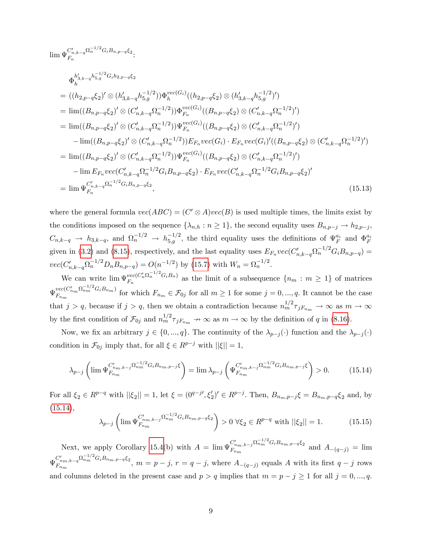<span id="page-10-2"></span>
$$
\lim \Psi_{F_n}^{C'_{n,k-q}\Omega_n^{-1/2}G_iB_{n,p-q}\xi_2}.
$$
\n
$$
\Phi_{h}^{h'_{3,k-q}h_{5,g}^{-1/2}G_ih_{2,p-q}\xi_2} = ((h_{2,p-q}\xi_2)'\otimes (h'_{3,k-q}h_{5,g}^{-1/2}))\Phi_{h}^{vec(G_i)}((h_{2,p-q}\xi_2)\otimes (h'_{3,k-q}h_{5,g}^{-1/2})')
$$
\n
$$
= \lim ((B_{n,p-q}\xi_2)'\otimes (C'_{n,k-q}\Omega_n^{-1/2}))\Phi_{F_n}^{vec(G_i)}((B_{n,p-q}\xi_2)\otimes (C'_{n,k-q}\Omega_n^{-1/2})')
$$
\n
$$
= \lim ((B_{n,p-q}\xi_2)'\otimes (C'_{n,k-q}\Omega_n^{-1/2}))\Psi_{F_n}^{vec(G_i)}((B_{n,p-q}\xi_2)\otimes (C'_{n,k-q}\Omega_n^{-1/2})')
$$
\n
$$
- \lim ((B_{n,p-q}\xi_2)'\otimes (C'_{n,k-q}\Omega_n^{-1/2}))E_{F_n}vec(G_i)\cdot E_{F_n}vec(G_i)'((B_{n,p-q}\xi_2)\otimes (C'_{n,k-q}\Omega_n^{-1/2})')
$$
\n
$$
= \lim ((B_{n,p-q}\xi_2)'\otimes (C'_{n,k-q}\Omega_n^{-1/2}))\Psi_{F_n}^{vec(G_i)}((B_{n,p-q}\xi_2)\otimes (C'_{n,k-q}\Omega_n^{-1/2})')
$$
\n
$$
- \lim E_{F_n}vec(C'_{n,k-q}\Omega_n^{-1/2}G_iB_{n,p-q}\xi_2)\cdot E_{F_n}vec(C'_{n,k-q}\Omega_n^{-1/2}G_iB_{n,p-q}\xi_2)'
$$
\n
$$
= \lim \Psi_{F_n}^{C'_{n,k-q}\Omega_n^{-1/2}G_iB_{n,p-q}\xi_2}, \qquad (15.13)
$$

where the general formula  $vec(ABC) = (C' \otimes A)vec(B)$  is used multiple times, the limits exist by the conditions imposed on the sequence  $\{\lambda_{n,h} : n \geq 1\}$ , the second equality uses  $B_{n,p-j} \to h_{2,p-j}$ ,  $C_{n,k-q} \to h_{3,k-q}$ , and  $\Omega_n^{-1/2} \to h_{5,g}^{-1/2}$ , the third equality uses the definitions of  $\Psi_F^{a_i}$  and  $\Phi_F^{a_i}$ given in [\(3.2\)](#page--1-20) and [\(8.15\)](#page--1-13), respectively, and the last equality uses  $E_{F_n}$  vec( $C'_{n,k-q}$  $\Omega_n^{-1/2} G_i B_{n,p-q}$ ) =  $vec(C'_{n,k-q}\Omega_n^{-1/2}D_nB_{n,p-q})=O(n^{-1/2})$  by [\(15.7\)](#page-8-0) with  $W_n=\Omega_n^{-1/2}$ .

We can write  $\lim \Psi_{F_-}^{vec(C'_n \Omega_n^{-1/2} G_i B_n)}$  $F_n^{vec(\mathcal{C}_n \Omega_n \Omega_n)}$  as the limit of a subsequence  $\{n_m : m \geq 1\}$  of matrices  $\Psi_{F_m}^{vec(C'_{n_m}\Omega_{n_m}^{-1/2}G_iB_{n_m})}$  $F_{n_m}$ <sup>2,  $F_{n_m}$ </sup> for which  $F_{n_m} \in \mathcal{F}_{0j}$  for all  $m \geq 1$  for some  $j = 0, ..., q$ . It cannot be the case that  $j > q$ , because if  $j > q$ , then we obtain a contradiction because  $n_m^{1/2} \tau_{jF_{nm}} \to \infty$  as  $m \to \infty$ by the first condition of  $\mathcal{F}_{0j}$  and  $n_m^{1/2} \tau_{jF_{n_m}} \to \infty$  as  $m \to \infty$  by the definition of q in [\(8.16\)](#page--1-12).

Now, we fix an arbitrary  $j \in \{0, ..., q\}$ . The continuity of the  $\lambda_{p-j}(\cdot)$  function and the  $\lambda_{p-j}(\cdot)$ condition in  $\mathcal{F}_{0j}$  imply that, for all  $\xi \in R^{p-j}$  with  $||\xi|| = 1$ ,

<span id="page-10-0"></span>
$$
\lambda_{p-j} \left( \lim \Psi_{F_{nm}}^{C'_{n_m, k-j}} \Omega_{nm}^{-1/2} G_i B_{n_m, p-j} \xi \right) = \lim \lambda_{p-j} \left( \Psi_{F_{nm}}^{C'_{n_m, k-j}} \Omega_{nm}^{-1/2} G_i B_{n_m, p-j} \xi \right) > 0. \tag{15.14}
$$

For all  $\xi_2 \in R^{p-q}$  with  $||\xi_2|| = 1$ , let  $\xi = (0^{q-j}, \xi'_2)' \in R^{p-j}$ . Then,  $B_{n_m, p-j} \xi = B_{n_m, p-q} \xi_2$  and, by  $(15.14),$  $(15.14),$ 

<span id="page-10-1"></span>
$$
\lambda_{p-j} \left( \lim \Psi_{F_{nm}}^{C'_{nm,k-j} \Omega_{nm}^{-1/2} G_i B_{nm,p-q} \xi_2} \right) > 0 \ \forall \xi_2 \in R^{p-q} \text{ with } ||\xi_2|| = 1. \tag{15.15}
$$

Next, we apply Corollary [15.4\(](#page-7-3)b) with  $A = \lim_{n \to \infty} \Psi_{F_n}^{C'_{n_m,k-j}} \Omega_{n_m}^{-1/2} G_i B_{n_m,p-q} \xi_2$  $F_{n_m}^{(n_m,k-j^{2n}n_m \text{ or } n^2n^2n^2-4s^2)}$  and  $A_{-(q-j)} = \lim_{n \to \infty}$  $\Psi^{C'_{n_m,k-q}\Omega_{n_m}^{-1/2}G_iB_{n_m,p-q}\xi_2}_{F_-}$  $F_{n_m,k-q}^{n_{m,k-q}n_{m,m}}$   $F_{n,m}^{n_{m,k-q}}$ ,  $m=p-j$ ,  $r=q-j$ , where  $A_{-(q-j)}$  equals A with its first  $q-j$  rows and columns deleted in the present case and  $p > q$  implies that  $m = p - j \ge 1$  for all  $j = 0, ..., q$ .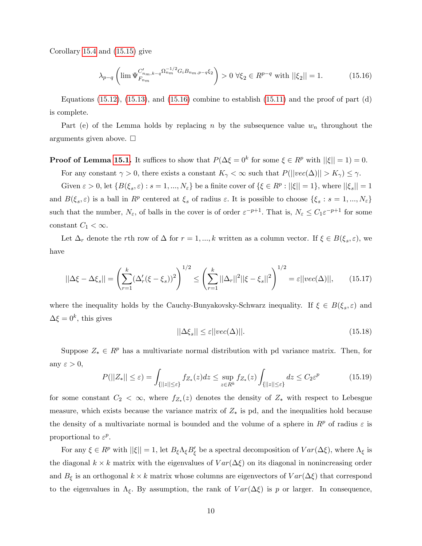Corollary [15.4](#page-7-3) and [\(15.15\)](#page-10-1) give

<span id="page-11-0"></span>
$$
\lambda_{p-q} \left( \lim \Psi_{F_{n_m}}^{C'_{n_m,k-q} \Omega_{n_m}^{-1/2} G_i B_{n_m,p-q} \xi_2} \right) > 0 \ \forall \xi_2 \in R^{p-q} \text{ with } ||\xi_2|| = 1. \tag{15.16}
$$

Equations  $(15.12)$ ,  $(15.13)$ , and  $(15.16)$  combine to establish  $(15.11)$  and the proof of part  $(d)$ is complete.

Part (e) of the Lemma holds by replacing n by the subsequence value  $w_n$  throughout the arguments given above.  $\square$ 

**Proof of Lemma [15.1.](#page-5-1)** It suffices to show that  $P(\Delta \xi = 0^k \text{ for some } \xi \in R^p \text{ with } ||\xi|| = 1) = 0.$ 

For any constant  $\gamma > 0$ , there exists a constant  $K_{\gamma} < \infty$  such that  $P(||vec(\Delta)|| > K_{\gamma}) \leq \gamma$ .

Given  $\varepsilon > 0$ , let  $\{B(\xi_s, \varepsilon) : s = 1, ..., N_{\varepsilon}\}\$ be a finite cover of  $\{\xi \in R^p : ||\xi|| = 1\}$ , where  $||\xi_s|| = 1$ and  $B(\xi_s, \varepsilon)$  is a ball in  $R^p$  centered at  $\xi_s$  of radius  $\varepsilon$ . It is possible to choose  $\{\xi_s : s = 1, ..., N_{\varepsilon}\}\$ such that the number,  $N_{\varepsilon}$ , of balls in the cover is of order  $\varepsilon^{-p+1}$ . That is,  $N_{\varepsilon} \leq C_1 \varepsilon^{-p+1}$  for some constant  $C_1 < \infty$ .

Let  $\Delta_r$  denote the rth row of  $\Delta$  for  $r = 1, ..., k$  written as a column vector. If  $\xi \in B(\xi_s, \varepsilon)$ , we have

$$
||\Delta \xi - \Delta \xi_s|| = \left(\sum_{r=1}^k (\Delta_r'(\xi - \xi_s))^2\right)^{1/2} \le \left(\sum_{r=1}^k ||\Delta_r||^2 ||\xi - \xi_s||^2\right)^{1/2} = \varepsilon ||vec(\Delta)||, \qquad (15.17)
$$

where the inequality holds by the Cauchy-Bunyakovsky-Schwarz inequality. If  $\xi \in B(\xi_s, \varepsilon)$  and  $\Delta \xi = 0^k$ , this gives

<span id="page-11-1"></span>
$$
||\Delta \xi_s|| \le \varepsilon ||vec(\Delta)||. \tag{15.18}
$$

Suppose  $Z_* \in \mathbb{R}^p$  has a multivariate normal distribution with pd variance matrix. Then, for any  $\varepsilon > 0$ ,

<span id="page-11-2"></span>
$$
P(||Z_*|| \le \varepsilon) = \int_{\{||z|| \le \varepsilon\}} f_{Z_*}(z) dz \le \sup_{z \in R^k} f_{Z_*}(z) \int_{\{||z|| \le \varepsilon\}} dz \le C_2 \varepsilon^p \tag{15.19}
$$

for some constant  $C_2 < \infty$ , where  $f_{Z_*}(z)$  denotes the density of  $Z_*$  with respect to Lebesgue measure, which exists because the variance matrix of  $Z_*$  is pd, and the inequalities hold because the density of a multivariate normal is bounded and the volume of a sphere in  $R^p$  of radius  $\varepsilon$  is proportional to  $\varepsilon^p$ .

For any  $\xi \in R^p$  with  $||\xi|| = 1$ , let  $B_{\xi} \Lambda_{\xi} B_{\xi}'$  be a spectral decomposition of  $Var(\Delta \xi)$ , where  $\Lambda_{\xi}$  is the diagonal  $k \times k$  matrix with the eigenvalues of  $Var(\Delta \xi)$  on its diagonal in nonincreasing order and  $B_{\xi}$  is an orthogonal  $k \times k$  matrix whose columns are eigenvectors of  $Var(\Delta \xi)$  that correspond to the eigenvalues in  $\Lambda_{\xi}$ . By assumption, the rank of  $Var(\Delta \xi)$  is p or larger. In consequence,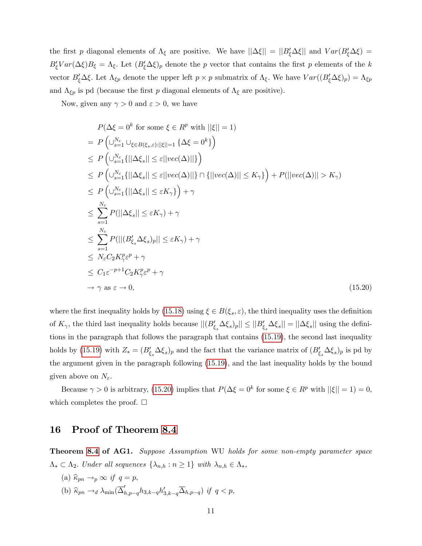the first p diagonal elements of  $\Lambda_{\xi}$  are positive. We have  $||\Delta\xi|| = ||B_{\xi}'\Delta\xi||$  and  $Var(B_{\xi}'\Delta\xi)$  =  $B'_\xi Var(\Delta \xi)B_\xi = \Lambda_\xi$ . Let  $(B'_\xi \Delta \xi)_p$  denote the p vector that contains the first p elements of the k vector  $B'_\xi\Delta\xi$ . Let  $\Lambda_{\xi p}$  denote the upper left  $p\times p$  submatrix of  $\Lambda_{\xi}$ . We have  $Var((B'_\xi\Delta\xi)_p)=\Lambda_{\xi p}$ and  $\Lambda_{\xi p}$  is pd (because the first p diagonal elements of  $\Lambda_{\xi}$  are positive).

Now, given any  $\gamma > 0$  and  $\varepsilon > 0$ , we have

<span id="page-12-1"></span>
$$
P(\Delta \xi = 0^k \text{ for some } \xi \in R^p \text{ with } ||\xi|| = 1)
$$
  
=  $P\left(\bigcup_{s=1}^{N_{\epsilon}} \bigcup_{\xi \in B(\xi_s, \varepsilon): ||\xi|| = 1} \{\Delta \xi = 0^k\}\right)$   
 $\leq P\left(\bigcup_{s=1}^{N_{\epsilon}} \{||\Delta \xi_s|| \leq \varepsilon ||vec(\Delta)||\}\right)$   
 $\leq P\left(\bigcup_{s=1}^{N_{\epsilon}} \{||\Delta \xi_s|| \leq \varepsilon ||vec(\Delta)||\}\cap \{||vec(\Delta)|| \leq K_{\gamma}\}\right) + P(||vec(\Delta)|| > K_{\gamma})$   
 $\leq P\left(\bigcup_{s=1}^{N_{\epsilon}} \{||\Delta \xi_s|| \leq \varepsilon K_{\gamma}\}\right) + \gamma$   
 $\leq \sum_{s=1}^{N_{\epsilon}} P(||\Delta \xi_s|| \leq \varepsilon K_{\gamma}) + \gamma$   
 $\leq \sum_{s=1}^{N_{\epsilon}} P(|||B'_{\xi_s} \Delta \xi_s)_{p}|| \leq \varepsilon K_{\gamma}) + \gamma$   
 $\leq N_{\epsilon} C_2 K_{\gamma}^p \varepsilon^p + \gamma$   
 $\leq C_1 \varepsilon^{-p+1} C_2 K_{\gamma}^p \varepsilon^p + \gamma$   
 $\to \gamma \text{ as } \varepsilon \to 0,$  (15.20)

where the first inequality holds by [\(15.18\)](#page-11-1) using  $\xi \in B(\xi_s, \varepsilon)$ , the third inequality uses the definition of  $K_{\gamma}$ , the third last inequality holds because  $||(B'_{\xi_s} \Delta \xi_s)_p|| \le ||B'_{\xi_s} \Delta \xi_s|| = ||\Delta \xi_s||$  using the definitions in the paragraph that follows the paragraph that contains [\(15.19\)](#page-11-2), the second last inequality holds by [\(15.19\)](#page-11-2) with  $Z_* = (B'_{\xi_s} \Delta \xi_s)_p$  and the fact that the variance matrix of  $(B'_{\xi_s} \Delta \xi_s)_p$  is pd by the argument given in the paragraph following [\(15.19\)](#page-11-2), and the last inequality holds by the bound given above on  $N_{\varepsilon}$ .

Because  $\gamma > 0$  is arbitrary, [\(15.20\)](#page-12-1) implies that  $P(\Delta \xi = 0^k \text{ for some } \xi \in R^p \text{ with } ||\xi|| = 1) = 0$ , which completes the proof.  $\square$ 

### <span id="page-12-0"></span>16 Proof of Theorem [8.4](#page--1-2)

Theorem [8.4](#page--1-2) of AG1. Suppose Assumption WU holds for some non-empty parameter space  $\Lambda_* \subset \Lambda_2$ . Under all sequences  $\{\lambda_{n,h} : n \geq 1\}$  with  $\lambda_{n,h} \in \Lambda_*$ ,

(a)  $\widehat{\kappa}_{pn} \rightarrow_p \infty$  if  $q = p$ , (b)  $\widehat{\kappa}_{pn} \rightarrow_d \lambda_{\min}(\overline{\Delta}_{h,p-q}' h_{3,k-q} h'_{3,k-q} \overline{\Delta}_{h,p-q})$  if  $q < p$ ,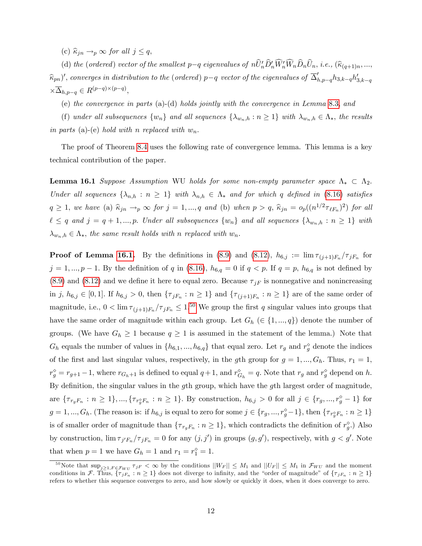(c)  $\widehat{\kappa}_{in} \rightarrow_p \infty$  for all  $j \leq q$ ,

(d) the (ordered) vector of the smallest  $p-q$  eigenvalues of  $nU'_{n}D'_{n}W'_{n}W_{n}D_{n}U_{n}$ , i.e.,  $(\widehat{\kappa}_{(q+1)n},...,\ell_{(q+q+n)})$  $(\widehat{k}_{pn})',$  converges in distribution to the (ordered)  $p-q$  vector of the eigenvalues of  $\overline{\Delta}'_{h,p-q} h_{3,k-q} h'_{3,k-q}$  $\times \overline{\Delta}_{h,p-q} \in R^{(p-q)\times (p-q)},$ 

(e) the convergence in parts (a)-(d) holds jointly with the convergence in Lemma [8.3,](#page--1-1) and

(f) under all subsequences  $\{w_n\}$  and all sequences  $\{\lambda_{w_n,h} : n \geq 1\}$  with  $\lambda_{w_n,h} \in \Lambda_*$ , the results in parts (a)-(e) hold with n replaced with  $w_n$ .

The proof of Theorem [8.4](#page--1-2) uses the following rate of convergence lemma. This lemma is a key technical contribution of the paper.

<span id="page-13-0"></span>**Lemma 16.1** Suppose Assumption WU holds for some non-empty parameter space  $\Lambda_* \subset \Lambda_2$ . Under all sequences  $\{\lambda_{n,h} : n \geq 1\}$  with  $\lambda_{n,h} \in \Lambda_*$  and for which q defined in [\(8.16\)](#page--1-12) satisfies  $q \ge 1$ , we have (a)  $\hat{\kappa}_{jn} \rightarrow_p \infty$  for  $j = 1, ..., q$  and (b) when  $p > q$ ,  $\hat{\kappa}_{jn} = o_p((n^{1/2}\tau_{\ell F_n})^2)$  for all  $\ell \leq q$  and  $j = q + 1, ..., p$ . Under all subsequences  $\{w_n\}$  and all sequences  $\{\lambda_{w_n,h} : n \geq 1\}$  with  $\lambda_{w_n,h} \in \Lambda_*$ , the same result holds with n replaced with  $w_n$ .

**Proof of Lemma [16.1.](#page-13-0)** By the definitions in [\(8.9\)](#page--1-21) and [\(8.12\)](#page--1-16),  $h_{6,j} := \lim_{\tau_{(j+1)} \in \mathbb{F}_n} / \tau_{jF_n}$  for  $j = 1, ..., p - 1$ . By the definition of q in [\(8.16\)](#page--1-12),  $h_{6,q} = 0$  if  $q < p$ . If  $q = p$ ,  $h_{6,q}$  is not defined by  $(8.9)$  and  $(8.12)$  and we define it here to equal zero. Because  $\tau_{iF}$  is nonnegative and nonincreasing in j,  $h_{6,j} \in [0,1]$ . If  $h_{6,j} > 0$ , then  $\{\tau_{jF_n} : n \ge 1\}$  and  $\{\tau_{(j+1)F_n} : n \ge 1\}$  are of the same order of magnitude, i.e.,  $0 < \lim_{\tau(j+1)F_n}/\tau_{jF_n} \leq 1^{50}$  $0 < \lim_{\tau(j+1)F_n}/\tau_{jF_n} \leq 1^{50}$  $0 < \lim_{\tau(j+1)F_n}/\tau_{jF_n} \leq 1^{50}$  We group the first q singular values into groups that have the same order of magnitude within each group. Let  $G_h$  ( $\in \{1, ..., q\}$ ) denote the number of groups. (We have  $G_h \geq 1$  because  $q \geq 1$  is assumed in the statement of the lemma.) Note that  $G_h$  equals the number of values in  $\{h_{6,1},...,h_{6,q}\}\$  that equal zero. Let  $r_g$  and  $r_g^{\diamond}$  denote the indices of the first and last singular values, respectively, in the gth group for  $g = 1, ..., G_h$ . Thus,  $r_1 = 1$ ,  $r_g^{\diamond} = r_{g+1} - 1$ , where  $r_{G_h+1}$  is defined to equal  $q+1$ , and  $r_{G_h}^{\diamond} = q$ . Note that  $r_g$  and  $r_g^{\diamond}$  depend on h. By definition, the singular values in the gth group, which have the gth largest order of magnitude, are  $\{\tau_{r_gF_n}: n \geq 1\}, \ldots, \{\tau_{r_g^{\circ}F_n}: n \geq 1\}.$  By construction,  $h_{6,j} > 0$  for all  $j \in \{r_g, ..., r_g^{\circ} - 1\}$  for  $g = 1, ..., G_h$ . (The reason is: if  $h_{6,j}$  is equal to zero for some  $j \in \{r_g, ..., r_g^{\diamond} - 1\}$ , then  $\{\tau_{r_g^{\diamond}F_n} : n \ge 1\}$ is of smaller order of magnitude than  $\{\tau_{r_gF_n} : n \ge 1\}$ , which contradicts the definition of  $r_g^{\diamond}$ .) Also by construction,  $\lim_{\tau_j' F_n}/\tau_{jF_n} = 0$  for any  $(j, j')$  in groups  $(g, g')$ , respectively, with  $g < g'$ . Note that when  $p = 1$  we have  $G_h = 1$  and  $r_1 = r_1^{\diamond} = 1$ .

<span id="page-13-1"></span><sup>&</sup>lt;sup>50</sup>Note that  $\sup_{j\geq 1,F\in\mathcal{F}_{WU}}\tau_{jF}<\infty$  by the conditions  $||W_F||\leq M_1$  and  $||U_F||\leq M_1$  in  $\mathcal{F}_{WU}$  and the moment conditions in F. Thus,  $\{\tau_{jF_n} : n \geq 1\}$  does not diverge to infinity, and the "order of magnitude" of  $\{\tau_{jF_n} : n \geq 1\}$ refers to whether this sequence converges to zero, and how slowly or quickly it does, when it does converge to zero.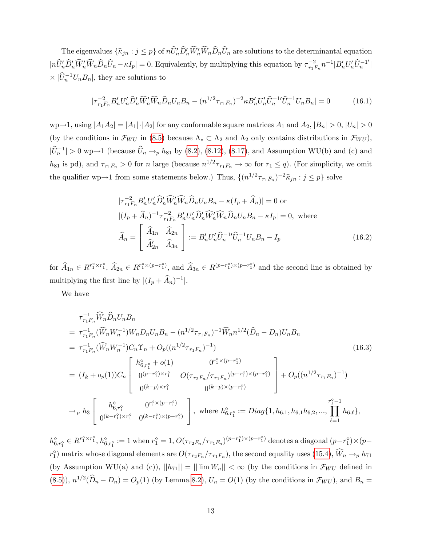The eigenvalues  $\{\widehat{\kappa}_{jn} : j \leq p\}$  of  $nU'_{n}D'_{n}W'_{n}W_{n}D_{n}U_{n}$  are solutions to the determinantal equation  $|n\hat{U}'_n\hat{D}'_n\widehat{W}'_n\hat{W}_n\hat{D}_n\hat{U}_n - \kappa I_p| = 0.$  Equivalently, by multiplying this equation by  $\tau_{r_1F_n}^{-2}n^{-1}|B'_nU'_n\widehat{U}_n^{-1'}|$  $\times |\widehat{U}_n^{-1}U_nB_n|$ , they are solutions to

$$
|\tau_{r_1r_n}^{-2}B_n'U_n'\hat{D}_n'\widehat{W}_n'\widehat{W}_n\hat{D}_nU_nB_n - (n^{1/2}\tau_{r_1r_n})^{-2}\kappa B_n'U_n'\widehat{U}_n^{-1}\widehat{U}_n^{-1}U_nB_n| = 0
$$
\n(16.1)

wp $\rightarrow$ 1, using  $|A_1A_2| = |A_1|\cdot|A_2|$  for any conformable square matrices  $A_1$  and  $A_2$ ,  $|B_n| > 0$ ,  $|U_n| > 0$ (by the conditions in  $\mathcal{F}_{WU}$  in [\(8.5\)](#page--1-15) because  $\Lambda_* \subset \Lambda_2$  and  $\Lambda_2$  only contains distributions in  $\mathcal{F}_{WU}$ ),  $|\hat{U}_n^{-1}| > 0$  wp $\rightarrow 1$  (because  $\hat{U}_n \rightarrow_{p} h_{81}$  by [\(8.2\)](#page--1-22), [\(8.12\)](#page--1-16), [\(8.17\)](#page--1-14), and Assumption WU(b) and (c) and  $h_{81}$  is pd), and  $\tau_{r_1F_n} > 0$  for n large (because  $n^{1/2}\tau_{r_1F_n} \to \infty$  for  $r_1 \le q$ ). (For simplicity, we omit the qualifier wp $\rightarrow$ 1 from some statements below.) Thus,  $\{(n^{1/2}\tau_{r_1F_n})^{-2}\hat{\kappa}_{jn} : j \leq p\}$  solve

<span id="page-14-1"></span>
$$
|\tau_{r_1F_n}^{-2}B'_n U'_n \widehat{D}'_n \widehat{W}'_n \widehat{D}_n U_n B_n - \kappa (I_p + \widehat{A}_n)| = 0 \text{ or}
$$
  

$$
|(I_p + \widehat{A}_n)^{-1} \tau_{r_1F_n}^{-2} B'_n U'_n \widehat{D}'_n \widehat{W}'_n \widehat{W}_n \widehat{D}_n U_n B_n - \kappa I_p| = 0, \text{ where}
$$
  

$$
\widehat{A}_n = \begin{bmatrix} \widehat{A}_{1n} & \widehat{A}_{2n} \\ \widehat{A}'_{2n} & \widehat{A}_{3n} \end{bmatrix} := B'_n U'_n \widehat{U}_n^{-1} \widehat{U}_n^{-1} U_n B_n - I_p
$$
 (16.2)

for  $\widehat{A}_{1n} \in R^{r_1^{\circ} \times r_1^{\circ}}$ ,  $\widehat{A}_{2n} \in R^{r_1^{\circ} \times (p-r_1^{\circ})}$ , and  $\widehat{A}_{3n} \in R^{(p-r_1^{\circ}) \times (p-r_1^{\circ})}$  and the second line is obtained by multiplying the first line by  $|(I_p + \widehat{A}_n)^{-1}|$ .

We have

<span id="page-14-0"></span>
$$
\tau_{r_1F_n}^{-1} \widehat{W}_n \widehat{D}_n U_n B_n
$$
\n
$$
= \tau_{r_1F_n}^{-1} (\widehat{W}_n W_n^{-1}) W_n D_n U_n B_n - (n^{1/2} \tau_{r_1F_n})^{-1} \widehat{W}_n n^{1/2} (\widehat{D}_n - D_n) U_n B_n
$$
\n
$$
= \tau_{r_1F_n}^{-1} (\widehat{W}_n W_n^{-1}) C_n \Upsilon_n + O_p((n^{1/2} \tau_{r_1F_n})^{-1})
$$
\n
$$
= (I_k + o_p(1)) C_n \begin{bmatrix} h_{6,r_1^{\diamond}}^{\diamond} + o(1) & 0^{r_1^{\diamond} \times (p - r_1^{\diamond})} \\ 0^{(p - r_1^{\diamond}) \times r_1^{\diamond}} & O(\tau_{r_2F_n}/\tau_{r_1F_n})^{(p - r_1^{\diamond}) \times (p - r_1^{\diamond})} \\ 0^{(k - p) \times r_1^{\diamond}} & 0^{(k - p) \times (p - r_1^{\diamond})} \end{bmatrix} + O_p((n^{1/2} \tau_{r_1F_n})^{-1})
$$
\n
$$
\rightarrow_p h_3 \begin{bmatrix} h_{6,r_1^{\diamond}}^{\diamond} & 0^{r_1^{\diamond} \times (p - r_1^{\diamond})} \\ 0^{(k - r_1^{\diamond}) \times r_1^{\diamond}} & 0^{(k - r_1^{\diamond}) \times (p - r_1^{\diamond})} \\ 0^{(k - r_1^{\diamond}) \times r_1^{\diamond}} & 0^{(k - r_1^{\diamond}) \times (p - r_1^{\diamond})} \end{bmatrix}, \text{ where } h_{6,r_1^{\diamond}}^{\diamond} := Diag\{1, h_{6,1}, h_{6,1}h_{6,2}, ..., \prod_{\ell=1}^{r_1^{\diamond} - 1} h_{6,\ell}\},
$$

 $h_{6,r_1^{\diamond}}^{\diamond} \in R^{r_1^{\diamond} \times r_1^{\diamond}}$ ,  $h_{6,r_1^{\diamond}}^{\diamond} := 1$  when  $r_1^{\diamond} = 1$ ,  $O(\tau_{r_2F_n}/\tau_{r_1F_n})^{(p-r_1^{\diamond}) \times (p-r_1^{\diamond})}$  denotes a diagonal  $(p-r_1^{\diamond}) \times (p-r_1^{\diamond})$  $r_1^{\circ}$  matrix whose diagonal elements are  $O(\tau_{r_2F_n}/\tau_{r_1F_n})$ , the second equality uses [\(15.4\)](#page-7-1),  $W_n \to_p h_{71}$ (by Assumption WU(a) and (c)),  $||h_{71}|| = ||\lim W_n|| < \infty$  (by the conditions in  $\mathcal{F}_{WU}$  defined in [\(8.5\)](#page--1-15)),  $n^{1/2}(\hat{D}_n - D_n) = O_p(1)$  (by Lemma [8.2\)](#page--1-0),  $U_n = O(1)$  (by the conditions in  $\mathcal{F}_{WU}$ ), and  $B_n =$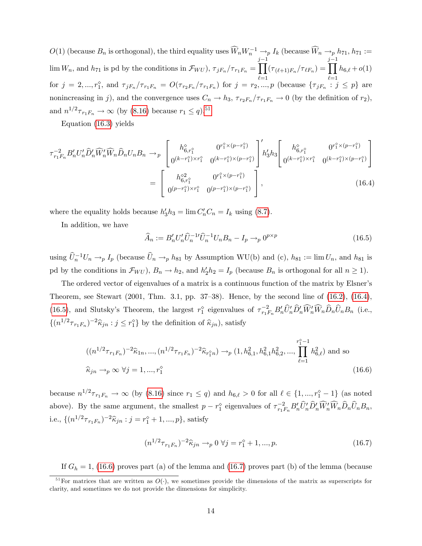$O(1)$  (because  $B_n$  is orthogonal), the third equality uses  $\widehat{W}_n W_n^{-1} \to_p I_k$  (because  $\widehat{W}_n \to_p h_{71}, h_{71} := \frac{1}{j-1}$  $\lim W_n$ , and  $h_{71}$  is pd by the conditions in  $\mathcal{F}_{WU}$ ),  $\tau_{jF_n}/\tau_{r_1F_n} =$  $\prod^{j-1} (\tau_{(\ell+1)F_n}/\tau_{\ell F_n}) = \prod^{j-1} h_{6,\ell} + o(1)$  $\ell=1$   $\ell=1$ for  $j = 2, ..., r_1^{\circ}$ , and  $\tau_{jF_n}/\tau_{r_1F_n} = O(\tau_{r_2F_n}/\tau_{r_1F_n})$  for  $j = r_2, ..., p$  (because  $\{\tau_{jF_n} : j \leq p\}$  are nonincreasing in j), and the convergence uses  $C_n \to h_3$ ,  $\tau_{r_2F_n}/\tau_{r_1F_n} \to 0$  (by the definition of  $r_2$ ), and  $n^{1/2}\tau_{r_1F_n} \to \infty$  (by [\(8.16\)](#page--1-12) because  $r_1 \le q$ ).<sup>[51](#page-15-0)</sup>

Equation [\(16.3\)](#page-14-0) yields

<span id="page-15-1"></span>
$$
\tau_{r_1F_n}^{-2} B'_n U'_n \hat{D}'_n \widehat{W}'_n \hat{D}_n U_n B_n \to_p \begin{bmatrix} h_{6,r_1^{\diamond}}^{\diamond} & 0^{r_1^{\diamond} \times (p-r_1^{\diamond})} \\ 0^{(k-r_1^{\diamond}) \times r_1^{\diamond}} & 0^{(k-r_1^{\diamond}) \times (p-r_1^{\diamond})} \end{bmatrix} h'_3 h_3 \begin{bmatrix} h_{6,r_1^{\diamond}}^{\diamond} & 0^{r_1^{\diamond} \times (p-r_1^{\diamond})} \\ 0^{(k-r_1^{\diamond}) \times r_1^{\diamond}} & 0^{(k-r_1^{\diamond}) \times (p-r_1^{\diamond})} \end{bmatrix} = \begin{bmatrix} h_{6,r_1^{\diamond}}^{\diamond} & 0^{r_1^{\diamond} \times (p-r_1^{\diamond})} \\ 0^{(p-r_1^{\diamond}) \times r_1^{\diamond}} & 0^{(p-r_1^{\diamond}) \times (p-r_1^{\diamond})} \end{bmatrix},
$$
\n(16.4)

where the equality holds because  $h'_3h_3 = \lim C'_nC_n = I_k$  using [\(8.7\)](#page--1-19).

In addition, we have

<span id="page-15-2"></span>
$$
\widehat{A}_n := B'_n U'_n \widehat{U}_n^{-1} \widehat{U}_n^{-1} U_n B_n - I_p \to_p 0^{p \times p}
$$
\n(16.5)

using  $\hat{U}_n^{-1}U_n \to_p I_p$  (because  $\hat{U}_n \to_p h_{81}$  by Assumption WU(b) and (c),  $h_{81} := \lim U_n$ , and  $h_{81}$  is pd by the conditions in  $\mathcal{F}_{WU}$ ),  $B_n \to h_2$ , and  $h'_2 h_2 = I_p$  (because  $B_n$  is orthogonal for all  $n \ge 1$ ).

The ordered vector of eigenvalues of a matrix is a continuous function of the matrix by Elsner's Theorem, see Stewart (2001, Thm. 3.1, pp. 37–38). Hence, by the second line of  $(16.2)$ ,  $(16.4)$ , [\(16.5\)](#page-15-2), and Slutsky's Theorem, the largest  $r_1^{\circ}$  eigenvalues of  $\tau_{r_1F_n}^{-2}B_n'\hat{U}_n'\hat{D}_n'\hat{W}_n'\hat{W}_n\hat{D}_n\hat{U}_nB_n$  (i.e.,  $\{(n^{1/2}\tau_{r_1F_n})^{-2}\hat{\kappa}_{jn}:j\leq r_1^{\circ}\}\$ by the definition of  $\hat{\kappa}_{jn}$ ), satisfy

<span id="page-15-3"></span>
$$
((n^{1/2}\tau_{r_1F_n})^{-2}\hat{\kappa}_{1n}, ..., (n^{1/2}\tau_{r_1F_n})^{-2}\hat{\kappa}_{r_1^{\circ}n}) \to_p (1, h_{6,1}^2, h_{6,1}^2, h_{6,2}^2, ..., \prod_{\ell=1}^{r_1^{\circ}-1}h_{6,\ell}^2)
$$
 and so  

$$
\hat{\kappa}_{jn} \to_p \infty \ \forall j = 1, ..., r_1^{\circ}
$$
 (16.6)

because  $n^{1/2}\tau_{r_1F_n} \to \infty$  (by [\(8.16\)](#page--1-12) since  $r_1 \leq q$ ) and  $h_{6,\ell} > 0$  for all  $\ell \in \{1, ..., r_1^{\diamond} - 1\}$  (as noted above). By the same argument, the smallest  $p - r_1^{\circ}$  eigenvalues of  $\tau_{r_1F_n}^{-2} B_n' \hat{U}_n' \hat{D}_n' \widehat{W}_n' \widehat{W}_n \widehat{D}_n \widehat{U}_n B_n$ , i.e.,  $\{(n^{1/2}\tau_{r_1F_n})^{-2}\hat{\kappa}_{jn} : j = r_1^{\diamond} + 1, ..., p\}$ , satisfy

<span id="page-15-4"></span>
$$
(n^{1/2}\tau_{r_1F_n})^{-2}\hat{\kappa}_{jn} \to_p 0 \,\forall j = r_1^{\diamond} + 1, ..., p. \tag{16.7}
$$

If  $G_h = 1$ , [\(16.6\)](#page-15-3) proves part (a) of the lemma and [\(16.7\)](#page-15-4) proves part (b) of the lemma (because

<span id="page-15-0"></span> $51$  For matrices that are written as  $O(·)$ , we sometimes provide the dimensions of the matrix as superscripts for clarity, and sometimes we do not provide the dimensions for simplicity.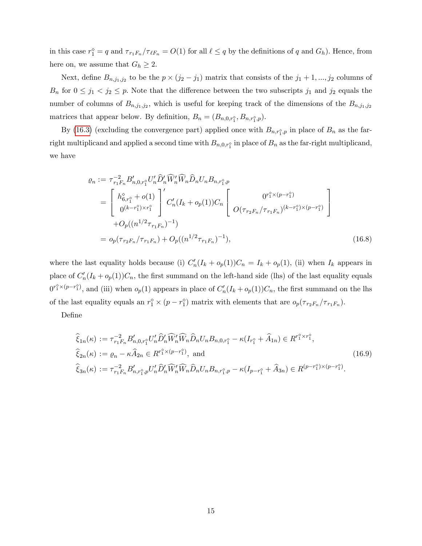in this case  $r_1^{\diamond} = q$  and  $\tau_{r_1F_n}/\tau_{\ell F_n} = O(1)$  for all  $\ell \leq q$  by the definitions of q and  $G_h$ ). Hence, from here on, we assume that  $G_h \geq 2$ .

Next, define  $B_{n,j_1,j_2}$  to be the  $p \times (j_2 - j_1)$  matrix that consists of the  $j_1 + 1, ..., j_2$  columns of  $B_n$  for  $0 \leq j_1 < j_2 \leq p$ . Note that the difference between the two subscripts  $j_1$  and  $j_2$  equals the number of columns of  $B_{n,j_1,j_2}$ , which is useful for keeping track of the dimensions of the  $B_{n,j_1,j_2}$ matrices that appear below. By definition,  $B_n = (B_{n,0,r_1}, B_{n,r_1}, p).$ 

By [\(16.3\)](#page-14-0) (excluding the convergence part) applied once with  $B_{n,r_1^{\diamond},p}$  in place of  $B_n$  as the farright multiplicand and applied a second time with  $B_{n,0,r_1^{\diamond}}$  in place of  $B_n$  as the far-right multiplicand, we have

<span id="page-16-0"></span>
$$
\varrho_{n} := \tau_{r_{1}F_{n}}^{-2} B'_{n,0,r_{1}^{\circ}} U'_{n} \widehat{D}'_{n} \widehat{W}'_{n} \widehat{D}_{n} U_{n} B_{n,r_{1}^{\circ},p}
$$
\n
$$
= \begin{bmatrix} h_{6,r_{1}^{\circ}}^{\circ} + o(1) \\ 0^{(k-r_{1}^{\circ}) \times r_{1}^{\circ}} \end{bmatrix}' C'_{n} (I_{k} + o_{p}(1)) C_{n} \begin{bmatrix} 0^{r_{1}^{\circ} \times (p-r_{1}^{\circ})} \\ O(\tau_{r_{2}F_{n}}/\tau_{r_{1}F_{n}})^{(k-r_{1}^{\circ}) \times (p-r_{1}^{\circ})} \end{bmatrix}
$$
\n
$$
+ O_{p}((n^{1/2} \tau_{r_{1}F_{n}})^{-1})
$$
\n
$$
= o_{p}(\tau_{r_{2}F_{n}}/\tau_{r_{1}F_{n}}) + O_{p}((n^{1/2} \tau_{r_{1}F_{n}})^{-1}), \qquad (16.8)
$$

where the last equality holds because (i)  $C'_n(I_k + o_p(1))C_n = I_k + o_p(1)$ , (ii) when  $I_k$  appears in place of  $C'_n(I_k + o_p(1))C_n$ , the first summand on the left-hand side (lhs) of the last equality equals  $0^{r_1^{\circ} \times (p-r_1^{\circ})}$ , and (iii) when  $o_p(1)$  appears in place of  $C'_n(I_k + o_p(1))C_n$ , the first summand on the lhs of the last equality equals an  $r_1^{\diamond} \times (p - r_1^{\diamond})$  matrix with elements that are  $o_p(\tau_{r_2F_n}/\tau_{r_1F_n})$ .

DeÖne

<span id="page-16-1"></span>
$$
\hat{\xi}_{1n}(\kappa) := \tau_{r_1 F_n}^{-2} B'_{n,0,r_1^{\circ}} U'_n \hat{D}'_n \widehat{W}'_n \widehat{W}_n \hat{D}_n U_n B_{n,0,r_1^{\circ}} - \kappa (I_{r_1^{\circ}} + \hat{A}_{1n}) \in R^{r_1^{\circ} \times r_1^{\circ}},
$$
\n
$$
\hat{\xi}_{2n}(\kappa) := \varrho_n - \kappa \hat{A}_{2n} \in R^{r_1^{\circ} \times (p - r_1^{\circ})}, \text{ and}
$$
\n
$$
\hat{\xi}_{3n}(\kappa) := \tau_{r_1 F_n}^{-2} B'_{n,r_1^{\circ},p} U'_n \widehat{D}'_n \widehat{W}'_n \widehat{W}_n \widehat{D}_n U_n B_{n,r_1^{\circ},p} - \kappa (I_{p - r_1^{\circ}} + \hat{A}_{3n}) \in R^{(p - r_1^{\circ}) \times (p - r_1^{\circ})}.
$$
\n(16.9)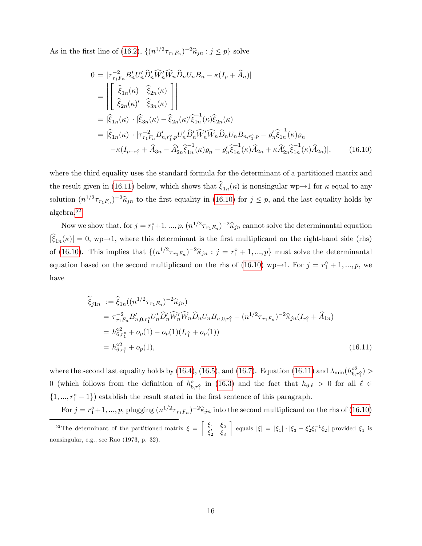As in the first line of [\(16.2\)](#page-14-1),  $\{(n^{1/2}\tau_{r_1F_n})^{-2}\hat{\kappa}_{jn} : j \leq p\}$  solve

<span id="page-17-1"></span>
$$
0 = |\tau_{r_1 r_n}^{-2} B_n' U_n' \hat{D}_n' \widehat{W}_n' \widehat{W}_n \hat{D}_n U_n B_n - \kappa (I_p + \widehat{A}_n)|
$$
  
\n
$$
= \left| \begin{bmatrix} \widehat{\xi}_{1n}(\kappa) & \widehat{\xi}_{2n}(\kappa) \\ \widehat{\xi}_{2n}(\kappa)' & \widehat{\xi}_{3n}(\kappa) \end{bmatrix} \right|
$$
  
\n
$$
= |\widehat{\xi}_{1n}(\kappa)| \cdot |\widehat{\xi}_{3n}(\kappa) - \widehat{\xi}_{2n}(\kappa)' \widehat{\xi}_{1n}^{-1}(\kappa) \widehat{\xi}_{2n}(\kappa)|
$$
  
\n
$$
= |\widehat{\xi}_{1n}(\kappa)| \cdot |\tau_{r_1 r_n}^{-2} B_{n, r_1^{\circ}, p} U_n' \widehat{D}_n' \widehat{W}_n' \widehat{W}_n \widehat{D}_n U_n B_{n, r_1^{\circ}, p} - \varrho_n' \widehat{\xi}_{1n}^{-1}(\kappa) \varrho_n
$$
  
\n
$$
- \kappa (I_{p-r_1^{\circ}} + \widehat{A}_{3n} - \widehat{A}_{2n}' \widehat{\xi}_{1n}^{-1}(\kappa) \varrho_n - \varrho_n' \widehat{\xi}_{1n}^{-1}(\kappa) \widehat{A}_{2n} + \kappa \widehat{A}_{2n}' \widehat{\xi}_{1n}^{-1}(\kappa) \widehat{A}_{2n})|, \qquad (16.10)
$$

where the third equality uses the standard formula for the determinant of a partitioned matrix and the result given in [\(16.11\)](#page-17-0) below, which shows that  $\xi_{1n}(\kappa)$  is nonsingular wp $\rightarrow$ 1 for  $\kappa$  equal to any solution  $(n^{1/2}\tau_{r_1F_n})^{-2}\hat{\kappa}_{jn}$  to the first equality in [\(16.10\)](#page-17-1) for  $j \leq p$ , and the last equality holds by algebra.[52](#page-17-2)

Now we show that, for  $j = r_1^{\circ}+1, ..., p, (n^{1/2}\tau_{r_1F_n})^{-2}\hat{\kappa}_{jn}$  cannot solve the determinantal equation  $|\xi_{1n}(\kappa)| = 0$ , wp $\rightarrow$ 1, where this determinant is the first multiplicand on the right-hand side (rhs) of [\(16.10\)](#page-17-1). This implies that  $\{(n^{1/2}\tau_{r_1F_n})^{-2}\hat{\kappa}_{jn} : j = r_1^{\diamond} + 1, ..., p\}$  must solve the determinantal equation based on the second multiplicand on the rhs of [\(16.10\)](#page-17-1) wp $\rightarrow$ 1. For  $j = r_1^{\diamond} + 1, ..., p$ , we have

<span id="page-17-0"></span>
$$
\tilde{\xi}_{j1n} := \hat{\xi}_{1n}((n^{1/2}\tau_{r_1F_n})^{-2}\hat{\kappa}_{jn})
$$
\n
$$
= \tau_{r_1F_n}^{-2}B'_{n,0,r_1^{\circ}}U'_n\hat{D}'_n\widehat{W}'_n\widehat{W}_n\hat{D}_nU_nB_{n,0,r_1^{\circ}} - (n^{1/2}\tau_{r_1F_n})^{-2}\hat{\kappa}_{jn}(I_{r_1^{\circ}} + \hat{A}_{1n})
$$
\n
$$
= h_{6,r_1^{\circ}}^{\circ 2} + o_p(1) - o_p(1)(I_{r_1^{\circ}} + o_p(1))
$$
\n
$$
= h_{6,r_1^{\circ}}^{\circ 2} + o_p(1),
$$
\n(16.11)

where the second last equality holds by [\(16.4\)](#page-15-1), [\(16.5\)](#page-15-2), and [\(16.7\)](#page-15-4). Equation [\(16.11\)](#page-17-0) and  $\lambda_{\min}(h_{6,r_1^o}^{\diamond 2})$ 0 (which follows from the definition of  $h_{6,r_1^{\diamond}}^{\diamond}$  in [\(16.3\)](#page-14-0) and the fact that  $h_{6,\ell} > 0$  for all  $\ell \in$  $\{1, ..., r_1^{\diamond} - 1\}$  establish the result stated in the first sentence of this paragraph.

For  $j = r_1^{\circ}+1, ..., p$ , plugging  $(n^{1/2}\tau_{r_1F_n})^{-2}\hat{\kappa}_{jn}$  into the second multiplicand on the rhs of [\(16.10\)](#page-17-1)

<span id="page-17-2"></span><sup>&</sup>lt;sup>52</sup>The determinant of the partitioned matrix  $\xi = \begin{bmatrix} \xi_1 & \xi_2 \\ \xi_1 & \xi_2 \end{bmatrix}$  $\xi_2'$   $\xi_3$ equals  $|\xi| = |\xi_1| \cdot |\xi_3 - \xi_2' \xi_1^{-1} \xi_2|$  provided  $\xi_1$  is nonsingular, e.g., see Rao (1973, p. 32).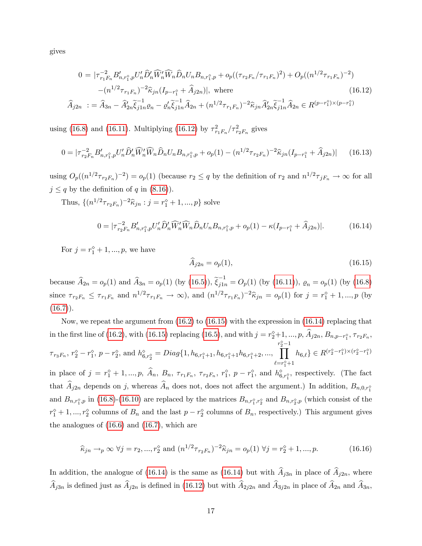gives

<span id="page-18-0"></span>
$$
0 = |\tau_{r_1F_n}^{-2} B'_{n,r_1^{\circ},p} U'_n \widehat{D}'_n \widehat{W}'_n \widehat{D}_n U_n B_{n,r_1^{\circ},p} + o_p((\tau_{r_2F_n}/\tau_{r_1F_n})^2) + O_p((n^{1/2} \tau_{r_1F_n})^{-2})
$$
  

$$
-(n^{1/2} \tau_{r_1F_n})^{-2} \widehat{\kappa}_{jn} (I_{p-r_1^{\circ}} + \widehat{A}_{j2n})|, \text{ where }
$$
  

$$
\widehat{A}_{j2n} := \widehat{A}_{3n} - \widehat{A}'_{2n} \widetilde{\xi}_{j1n}^{-1} \varrho_n - \varrho_n' \widetilde{\xi}_{j1n}^{-1} \widehat{A}_{2n} + (n^{1/2} \tau_{r_1F_n})^{-2} \widehat{\kappa}_{jn} \widehat{A}'_{2n} \widetilde{\xi}_{j1n}^{-1} \widehat{A}_{2n} \in R^{(p-r_1^{\circ}) \times (p-r_1^{\circ})}
$$
  
(16.12)

using [\(16.8\)](#page-16-0) and [\(16.11\)](#page-17-0). Multiplying [\(16.12\)](#page-18-0) by  $\tau_{r_1F_n}^2/\tau_{r_2F_n}^2$  gives

$$
0 = |\tau_{r_2F_n}^{-2} B'_{n,r_1^{\circ},p} U'_n \widehat{D}'_n \widehat{W}'_n \widehat{W}_n \widehat{D}_n U_n B_{n,r_1^{\circ},p} + o_p(1) - (n^{1/2} \tau_{r_2F_n})^{-2} \widehat{\kappa}_{jn} (I_{p-r_1^{\circ}} + \widehat{A}_{j2n})| \qquad (16.13)
$$

using  $O_p((n^{1/2}\tau_{r_2F_n})^{-2}) = o_p(1)$  (because  $r_2 \leq q$  by the definition of  $r_2$  and  $n^{1/2}\tau_{jF_n} \to \infty$  for all  $j \leq q$  by the definition of q in [\(8.16\)](#page--1-12)).

Thus,  $\{(n^{1/2}\tau_{r_2F_n})^{-2}\hat{\kappa}_{jn} : j = r_1^{\diamond} + 1, ..., p\}$  solve

<span id="page-18-2"></span>
$$
0 = |\tau_{r_2F_n}^{-2} B'_{n,r_1^{\circ},p} U'_n \widehat{D}'_n \widehat{W}'_n \widehat{W}_n \widehat{D}_n U_n B_{n,r_1^{\circ},p} + o_p(1) - \kappa (I_{p-r_1^{\circ}} + \widehat{A}_{j2n})|.
$$
 (16.14)

For  $j = r_1^{\diamond} + 1, ..., p$ , we have

<span id="page-18-1"></span>
$$
\widehat{A}_{j2n} = o_p(1),\tag{16.15}
$$

because  $\widehat{A}_{2n} = o_p(1)$  and  $\widehat{A}_{3n} = o_p(1)$  (by  $(16.5)$ ),  $\widetilde{\xi}_{j1n}^{-1} = O_p(1)$  (by  $(16.11)$ ),  $\varrho_n = o_p(1)$  (by  $(16.8)$ since  $\tau_{r_2F_n} \leq \tau_{r_1F_n}$  and  $n^{1/2}\tau_{r_1F_n} \to \infty$ ), and  $(n^{1/2}\tau_{r_1F_n})^{-2}\hat{\kappa}_{jn} = o_p(1)$  for  $j = r_1^{\diamond} + 1, ..., p$  (by  $(16.7)$ .

Now, we repeat the argument from [\(16.2\)](#page-14-1) to [\(16.15\)](#page-18-1) with the expression in [\(16.14\)](#page-18-2) replacing that in the first line of [\(16.2\)](#page-14-1), with [\(16.15\)](#page-18-1) replacing [\(16.5\)](#page-15-2), and with  $j = r_2^{\circ}+1, ..., p, A_{j2n}, B_{n,p-r_1^{\circ}}, \tau_{r_2F_n},$  $\tau_{r_3F_n}, r_2^{\diamond} - r_1^{\diamond}, p - r_2^{\diamond}, \text{ and } h_{6,r_2^{\diamond}}^{\diamond} = Diag\{1, h_{6,r_1^{\diamond}+1}, h_{6,r_1^{\diamond}+1}h_{6,r_1^{\diamond}+2}, ...,$  $\prod_{1}^{r_2^{\diamond}-1}$  $_{e=r_1^{\diamond}+1}$  $h_{6,\ell}$ }  $\in R^{(r_2^{\circ}-r_1^{\circ})\times(r_2^{\circ}-r_1^{\circ})}$ in place of  $j = r_1^{\diamond} + 1, ..., p, A_n, B_n, \tau_{r_1 F_n}, \tau_{r_2 F_n}, r_1^{\diamond}, p - r_1^{\diamond},$  and  $h_{6,r_1^{\diamond}}^{\diamond},$  respectively. (The fact that  $A_{j2n}$  depends on j, whereas  $A_n$  does not, does not affect the argument.) In addition,  $B_{n,0,r_1^{\circ}}$ and  $B_{n,r_1^{\diamond},p}$  in [\(16.8\)](#page-16-0)-[\(16.10\)](#page-17-1) are replaced by the matrices  $B_{n,r_1^{\diamond},r_2^{\diamond}}$  and  $B_{n,r_2^{\diamond},p}$  (which consist of the  $r_1^{\diamond}+1,...,r_2^{\diamond}$  columns of  $B_n$  and the last  $p-r_2^{\diamond}$  columns of  $B_n$ , respectively.) This argument gives the analogues of [\(16.6\)](#page-15-3) and [\(16.7\)](#page-15-4), which are

$$
\widehat{\kappa}_{jn} \to_p \infty \ \forall j = r_2, ..., r_2^{\diamond} \text{ and } (n^{1/2} \tau_{r_2 F_n})^{-2} \widehat{\kappa}_{jn} = o_p(1) \ \forall j = r_2^{\diamond} + 1, ..., p. \tag{16.16}
$$

In addition, the analogue of [\(16.14\)](#page-18-2) is the same as (16.14) but with  $\hat{A}_{j3n}$  in place of  $\hat{A}_{j2n}$ , where  $\widehat{A}_{j3n}$  is defined just as  $\widehat{A}_{j2n}$  is defined in [\(16.12\)](#page-18-0) but with  $\widehat{A}_{2j2n}$  and  $\widehat{A}_{3j2n}$  in place of  $\widehat{A}_{2n}$  and  $\widehat{A}_{3n}$ ,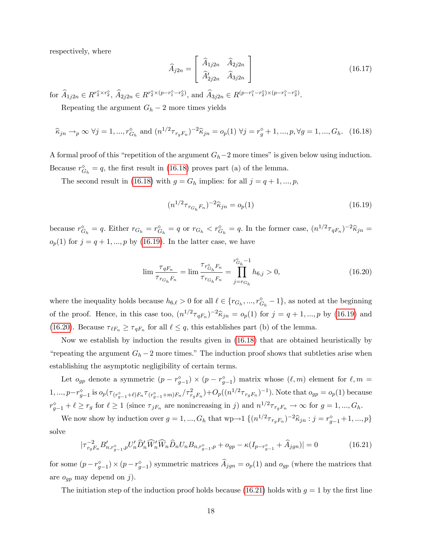respectively, where

$$
\widehat{A}_{j2n} = \begin{bmatrix} \widehat{A}_{1j2n} & \widehat{A}_{2j2n} \\ \widehat{A}'_{2j2n} & \widehat{A}_{3j2n} \end{bmatrix}
$$
\n(16.17)

for  $\widehat{A}_{1j2n} \in R^{r_2^{\circ} \times r_2^{\circ}}, \widehat{A}_{2j2n} \in R^{r_2^{\circ} \times (p-r_1^{\circ}-r_2^{\circ})}$ , and  $\widehat{A}_{3j2n} \in R^{(p-r_1^{\circ}-r_2^{\circ}) \times (p-r_1^{\circ}-r_2^{\circ})}$ .

Repeating the argument  $G_h - 2$  more times yields

<span id="page-19-0"></span>
$$
\widehat{\kappa}_{jn} \to_p \infty \ \forall j = 1, ..., r_{G_h}^{\diamond} \ \text{and} \ (n^{1/2} \tau_{r_g F_n})^{-2} \widehat{\kappa}_{jn} = o_p(1) \ \forall j = r_g^{\diamond} + 1, ..., p, \forall g = 1, ..., G_h. \tag{16.18}
$$

A formal proof of this "repetition of the argument  $G_h-2$  more times" is given below using induction. Because  $r_{G_h}^{\diamond} = q$ , the first result in [\(16.18\)](#page-19-0) proves part (a) of the lemma.

The second result in [\(16.18\)](#page-19-0) with  $g = G_h$  implies: for all  $j = q + 1, ..., p$ ,

<span id="page-19-1"></span>
$$
(n^{1/2}\tau_{r_{G_h}F_n})^{-2}\hat{\kappa}_{jn} = o_p(1)
$$
\n(16.19)

because  $r_{G_h}^{\diamond} = q$ . Either  $r_{G_h} = r_{G_h}^{\diamond} = q$  or  $r_{G_h} < r_{G_h}^{\diamond} = q$ . In the former case,  $(n^{1/2} \tau_{qF_n})^{-2} \hat{\kappa}_{jn} =$  $o_p(1)$  for  $j = q + 1, ..., p$  by [\(16.19\)](#page-19-1). In the latter case, we have

<span id="page-19-2"></span>
$$
\lim \frac{\tau_{qF_n}}{\tau_{r_{G_h}F_n}} = \lim \frac{\tau_{r_{G_h}^{\circ}F_n}}{\tau_{r_{G_h}F_n}} = \prod_{j=r_{G_h}}^{r_{G_h}^{\circ}-1} h_{6,j} > 0,
$$
\n(16.20)

where the inequality holds because  $h_{6,\ell} > 0$  for all  $\ell \in \{r_{G_h}, ..., r_{G_h}^{\diamond} - 1\}$ , as noted at the beginning of the proof. Hence, in this case too,  $(n^{1/2}\tau_{qF_n})^{-2}\hat{\kappa}_{jn} = o_p(1)$  for  $j = q + 1, ..., p$  by [\(16.19\)](#page-19-1) and [\(16.20\)](#page-19-2). Because  $\tau_{\ell F_n} \geq \tau_{qF_n}$  for all  $\ell \leq q$ , this establishes part (b) of the lemma.

Now we establish by induction the results given in [\(16.18\)](#page-19-0) that are obtained heuristically by "repeating the argument  $G_h - 2$  more times." The induction proof shows that subtleties arise when establishing the asymptotic negligibility of certain terms.

Let  $o_{gp}$  denote a symmetric  $(p - r_{g-1}^{\diamond}) \times (p - r_{g-1}^{\diamond})$  matrix whose  $(\ell, m)$  element for  $\ell, m =$  $1, ..., p-r_{g-1}^{\circ}$  is  $o_p(\tau_{(r_{g-1}^{\circ}+\ell)F_n}\tau_{(r_{g-1}^{\circ}+m)F_n}/\tau_{r_gF_n}^2)+O_p((n^{1/2}\tau_{r_gF_n})^{-1})$ . Note that  $o_{gp}=o_p(1)$  because  $r_{g-1}^{\diamond} + \ell \ge r_g$  for  $\ell \ge 1$  (since  $\tau_{jF_n}$  are nonincreasing in j) and  $n^{1/2}\tau_{r_gF_n} \to \infty$  for  $g = 1, ..., G_h$ .

We now show by induction over  $g = 1, ..., G_h$  that  $wp \to 1 \{ (n^{1/2} \tau_{r_g} F_n)^{-2} \hat{\kappa}_{jn} : j = r_{g-1}^{\diamond} + 1, ..., p \}$ solve

<span id="page-19-3"></span>
$$
|\tau_{r_{g}F_{n}}^{-2}B'_{n,r_{g-1}^{\diamond},p}U'_{n}\widehat{D}'_{n}\widehat{W}'_{n}\widehat{W}_{n}\widehat{D}_{n}U_{n}B_{n,r_{g-1}^{\diamond},p} + o_{gp} - \kappa(I_{p-r_{g-1}^{\diamond}} + \widehat{A}_{jgn})| = 0
$$
\n(16.21)

for some  $(p - r_{g-1}^{\circ}) \times (p - r_{g-1}^{\circ})$  symmetric matrices  $A_{jgn} = o_p(1)$  and  $o_{gp}$  (where the matrices that are  $o_{gp}$  may depend on j).

The initiation step of the induction proof holds because [\(16.21\)](#page-19-3) holds with  $g = 1$  by the first line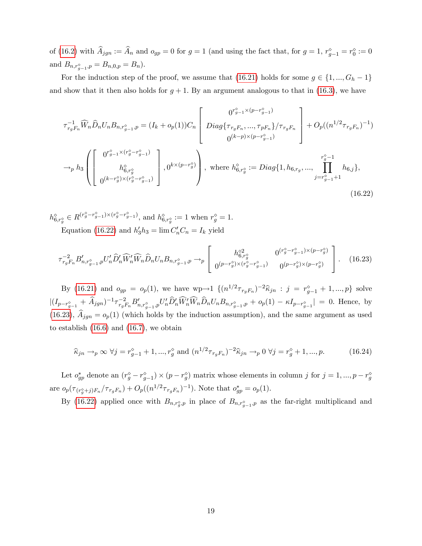of [\(16.2\)](#page-14-1) with  $A_{jgn} := A_n$  and  $o_{gp} = 0$  for  $g = 1$  (and using the fact that, for  $g = 1, r_g^{\diamond} = r_g^{\diamond} := 0$ and  $B_{n,r_{g-1}^{\diamond},p} = B_{n,0,p} = B_n$ ).

For the induction step of the proof, we assume that [\(16.21\)](#page-19-3) holds for some  $g \in \{1, ..., G_h - 1\}$ and show that it then also holds for  $g + 1$ . By an argument analogous to that in [\(16.3\)](#page-14-0), we have

<span id="page-20-0"></span>
$$
\tau_{r_{g}F_{n}}^{-1} \widehat{W}_{n} \widehat{D}_{n} U_{n} B_{n,r_{g-1}^{\circ},p} = (I_{k} + o_{p}(1)) C_{n} \begin{bmatrix} 0^{r_{g-1}^{\circ} \times (p-r_{g-1}^{\circ})} \\ \text{Diag}\{\tau_{r_{g}F_{n}}, \dots, \tau_{pF_{n}}\}/\tau_{r_{g}F_{n}} \\ 0^{(k-p) \times (p-r_{g-1}^{\circ})} \end{bmatrix} + O_{p}((n^{1/2} \tau_{r_{g}F_{n}})^{-1})
$$
  
\n
$$
\rightarrow_{p} h_{3} \left( \begin{bmatrix} 0^{r_{g-1}^{\circ} \times (r_{g}^{\circ} - r_{g-1}^{\circ})} \\ h_{6,r_{g}^{\circ}}^{\circ} \\ 0^{(k-r_{g}^{\circ}) \times (r_{g}^{\circ} - r_{g-1}^{\circ})} \end{bmatrix}, 0^{k \times (p-r_{g}^{\circ})} \right), \text{ where } h_{6,r_{g}^{\circ}}^{\circ} := \text{Diag}\{1, h_{6,r_{g}}^{\circ}, \dots, \prod_{j=r_{g-1}^{\circ}+1}^{r_{g}^{\circ}-1} h_{6,j}\},
$$
  
\n(16.22)

 $h_{6,r_g^{\diamond}}^{\diamond} \in R^{(r_g^{\diamond} - r_{g-1}^{\diamond}) \times (r_g^{\diamond} - r_{g-1}^{\diamond})}$ , and  $h_{6,r_g^{\diamond}}^{\diamond} := 1$  when  $r_g^{\diamond} = 1$ . Equation [\(16.22\)](#page-20-0) and  $h'_3 h_3 = \lim C'_n C_n = I_k$  yield

<span id="page-20-1"></span>
$$
\tau_{r_{g}F_{n}}^{-2} B'_{n,r_{g-1}^{\diamond},p} U'_{n} \hat{D}'_{n} \widehat{W}'_{n} \widehat{W}_{n} \widehat{D}_{n} U_{n} B_{n,r_{g-1}^{\diamond},p} \to_{p} \left[ \begin{array}{cc} h_{6,r_{g}^{\diamond}}^{\diamond 2} & 0^{(r_{g}^{\diamond}-r_{g-1}^{\diamond}) \times (p-r_{g}^{\diamond})} \\ 0^{(p-r_{g}^{\diamond}) \times (r_{g}^{\diamond}-r_{g-1}^{\diamond})} & 0^{(p-r_{g}^{\diamond}) \times (p-r_{g}^{\diamond})} \end{array} \right]. \tag{16.23}
$$

By [\(16.21\)](#page-19-3) and  $o_{gp} = o_p(1)$ , we have  $wp \to 1 \{ (n^{1/2} \tau_{r_gF_n})^{-2} \hat{\kappa}_{jn} : j = r_{g-1}^{\diamond} + 1, ..., p \}$  solve  $|(I_{p-r_{g-1}^{\circ}} + \hat{A}_{jgn})^{-1} \tau_{r_{g}F_{n}}^{-2} B'_{n,r_{g-1}^{\circ},p} U'_{n} \hat{D}'_{n} \widehat{W}'_{n} \widehat{W}_{n} \widehat{D}_{n} U_{n} B_{n,r_{g-1}^{\circ},p} + o_{p}(1) - \kappa I_{p-r_{g-1}^{\circ}}| = 0.$  Hence, by [\(16.23\)](#page-20-1),  $\hat{A}_{jgn} = o_p(1)$  (which holds by the induction assumption), and the same argument as used to establish [\(16.6\)](#page-15-3) and [\(16.7\)](#page-15-4), we obtain

<span id="page-20-2"></span>
$$
\hat{\kappa}_{jn} \to_p \infty \ \forall j = r_{g-1}^{\diamond} + 1, ..., r_g^{\diamond} \text{ and } (n^{1/2} \tau_{r_g F_n})^{-2} \hat{\kappa}_{jn} \to_p 0 \ \forall j = r_g^{\diamond} + 1, ..., p. \tag{16.24}
$$

Let  $o_{gp}^*$  denote an  $(r_g^{\diamond} - r_{g-1}^{\diamond}) \times (p - r_g^{\diamond})$  matrix whose elements in column j for  $j = 1, ..., p - r_g^{\diamond}$ are  $o_p(\tau_{(r_g^{\circ}+j)F_n}/\tau_{r_gF_n})+O_p((n^{1/2}\tau_{r_gF_n})^{-1})$ . Note that  $o_{gp}^* = o_p(1)$ .

By [\(16.22\)](#page-20-0) applied once with  $B_{n,r_g^{\diamond},p}$  in place of  $B_{n,r_{g-1}^{\diamond},p}$  as the far-right multiplicand and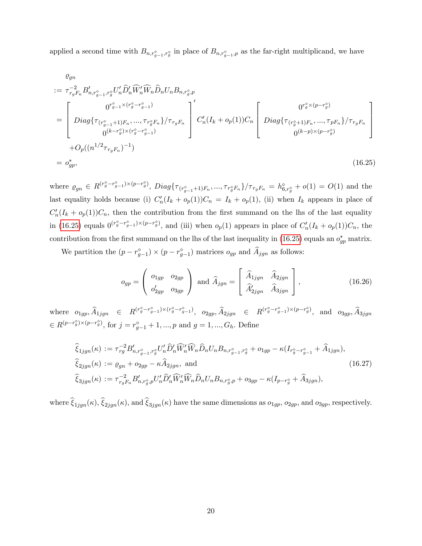applied a second time with  $B_{n,r_{g-1}^{\diamond},r_g^{\diamond}}$  in place of  $B_{n,r_{g-1}^{\diamond},p}$  as the far-right multiplicand, we have

<span id="page-21-0"></span>
$$
\varrho_{gn}
$$
\n
$$
:= \tau_{rg}^{-2} B'_{n, r_{g-1}^{\diamond}, r_g^{\diamond}} U'_n \hat{D}'_n \widehat{W}'_n \widehat{W}_n \hat{D}_n U_n B_{n, r_g^{\diamond}, p}
$$
\n
$$
= \begin{bmatrix}\n0^{r_{g-1}^{\diamond} \times (r_g^{\diamond} - r_{g-1}^{\diamond})} \\
Diag \{\tau_{(r_{g-1}^{\diamond} + 1)F_n}, \dots, \tau_{r_g^{\diamond} F_n}\} / \tau_{rg} F_n \\
0^{(k-r_g^{\diamond}) \times (r_g^{\diamond} - r_{g-1}^{\diamond})}\n\end{bmatrix}^{\prime} C'_n (I_k + o_p(1)) C_n \begin{bmatrix}\n0^{r_g^{\diamond} \times (p - r_g^{\diamond})} \\
Diag \{\tau_{(r_g^{\diamond} + 1)F_n}, \dots, \tau_{pF_n}\} / \tau_{rg} F_n \\
0^{(k-p) \times (p - r_g^{\diamond})}\n\end{bmatrix}
$$
\n
$$
+ O_p((n^{1/2} \tau_{rg} F_n)^{-1})
$$
\n
$$
= o_{gp}^*,
$$
\n(16.25)

where  $\varrho_{gn} \in R^{(r_g^{\circ} - r_{g-1}^{\circ}) \times (p - r_g^{\circ})}$ ,  $Diag\{\tau_{(r_{g-1}^{\circ} + 1)F_n}, \ldots, \tau_{r_g^{\circ} F_n}\}/\tau_{r_g F_n} = h_{6,r_g^{\circ}}^{\circ} + o(1) = O(1)$  and the last equality holds because (i)  $C'_n(I_k + o_p(1))C_n = I_k + o_p(1)$ , (ii) when  $I_k$  appears in place of  $C'_{n}(I_{k}+o_{p}(1))C_{n}$ , then the contribution from the first summand on the lhs of the last equality in [\(16.25\)](#page-21-0) equals  $0^{(r_g^o-r_{g-1}^o)\times(p-r_g^o)}$ , and (iii) when  $o_p(1)$  appears in place of  $C'_n(I_k+o_p(1))C_n$ , the contribution from the first summand on the lhs of the last inequality in [\(16.25\)](#page-21-0) equals an  $o_{gp}^*$  matrix.

We partition the  $(p - r_{g-1}^{\circ}) \times (p - r_{g-1}^{\circ})$  matrices  $o_{gp}$  and  $A_{jgn}$  as follows:

$$
o_{gp} = \begin{pmatrix} o_{1gp} & o_{2gp} \\ o'_{2gp} & o_{3gp} \end{pmatrix} \text{ and } \widehat{A}_{jgn} = \begin{bmatrix} \widehat{A}_{1jgn} & \widehat{A}_{2jgn} \\ \widehat{A}'_{2jgn} & \widehat{A}_{3jgn} \end{bmatrix},
$$
(16.26)

where  $o_{1gp}$ ,  $\widehat{A}_{1jgn}$   $\in R^{(r_g^{\circ}-r_{g-1}^{\circ}) \times (r_g^{\circ}-r_{g-1}^{\circ})}$ ,  $o_{2gp}$ ,  $\widehat{A}_{2jgn}$   $\in R^{(r_g^{\circ}-r_{g-1}^{\circ}) \times (p-r_g^{\circ})}$ , and  $o_{3gp}$ ,  $\widehat{A}_{3jgn}$  $\in R^{(p-r_g^{\circ})\times(p-r_g^{\circ})}$ , for  $j=r_{g-1}^{\circ}+1,...,p$  and  $g=1,...,G_h$ . Define

$$
\widehat{\xi}_{1jgn}(\kappa) := \tau_{rg}^{-2} B'_{n,r_{g-1}^{\diamond},r_g^{\diamond}} U'_n \widehat{D}'_n \widehat{W}'_n \widehat{W}_n \widehat{D}_n U_n B_{n,r_{g-1}^{\diamond},r_g^{\diamond}} + o_{1gp} - \kappa (I_{r_g^{\diamond} - r_{g-1}^{\diamond}} + \widehat{A}_{1jgn}),
$$
\n
$$
\widehat{\xi}_{2jgn}(\kappa) := \varrho_{gn} + o_{2gp} - \kappa \widehat{A}_{2jgn}, \text{ and}
$$
\n
$$
\widehat{\xi}_{3jgn}(\kappa) := \tau_{rg}^{-2} B'_{n,r_g^{\diamond},p} U'_n \widehat{D}'_n \widehat{W}'_n \widehat{W}_n \widehat{D}_n U_n B_{n,r_g^{\diamond},p} + o_{3gp} - \kappa (I_{p-r_g^{\diamond}} + \widehat{A}_{3jgn}),
$$
\n(16.27)

where  $\widehat{\xi}_{1jgn}(\kappa), \widehat{\xi}_{2jgn}(\kappa)$ , and  $\widehat{\xi}_{3jgn}(\kappa)$  have the same dimensions as  $o_{1gp}$ ,  $o_{2gp}$ , and  $o_{3gp}$ , respectively.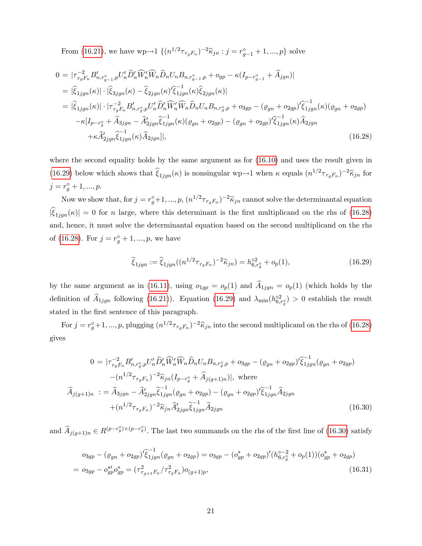From [\(16.21\)](#page-19-3), we have  $wp \to 1 \{ (n^{1/2} \tau_{r_gF_n})^{-2} \hat{\kappa}_{jn} : j = r_{g-1}^{\diamond} + 1, ..., p \}$  solve

<span id="page-22-1"></span>
$$
0 = |\tau_{r_{g}F_{n}}^{-2} B'_{n,r_{g-1}^{o},p} U'_{n} \hat{D}'_{n} \widehat{W}'_{n} \widehat{D}_{n} U_{n} B_{n,r_{g-1}^{o},p} + o_{gp} - \kappa (I_{p-r_{g-1}^{o}} + \widehat{A}_{jgn})|
$$
  
\n
$$
= |\widehat{\xi}_{1jgn}(\kappa)| \cdot |\widehat{\xi}_{3jgn}(\kappa) - \widehat{\xi}_{2jgn}(\kappa) \widehat{\xi}_{1jgn}(\kappa)| \widehat{\xi}_{2jgn}(\kappa)|
$$
  
\n
$$
= |\widehat{\xi}_{1jgn}(\kappa)| \cdot |\tau_{r_{g}F_{n}}^{-2} B'_{n,r_{g}^{o},p} U'_{n} \widehat{D}'_{n} \widehat{W}'_{n} \widehat{W}_{n} \widehat{D}_{n} U_{n} B_{n,r_{g}^{o},p} + o_{3gp} - (o_{gn} + o_{2gp}) \widehat{\xi}_{1jgn}^{-1}(\kappa)(o_{gn} + o_{2gp})
$$
  
\n
$$
- \kappa [I_{p-r_{g}^{o}} + \widehat{A}_{3jgn} - \widehat{A}'_{2jgn} \widehat{\xi}_{1jgn}^{-1}(\kappa)(o_{gn} + o_{2gp}) - (o_{gn} + o_{2gp}) \widehat{\xi}_{1jgn}^{-1}(\kappa) \widehat{A}_{2jgn}
$$
  
\n
$$
+ \kappa \widehat{A}'_{2jgn} \widehat{\xi}_{1jgn}^{-1}(\kappa) \widehat{A}_{2jgn}]|, \qquad (16.28)
$$

where the second equality holds by the same argument as for [\(16.10\)](#page-17-1) and uses the result given in [\(16.29\)](#page-22-0) below which shows that  $\hat{\xi}_{1jgn}(\kappa)$  is nonsingular wp $\rightarrow$ 1 when  $\kappa$  equals  $(n^{1/2}\tau_{r_gF_n})^{-2}\hat{\kappa}_{jn}$  for  $j = r_g^{\diamond} + 1, ..., p.$ 

Now we show that, for  $j = r_g^{\diamond}+1, ..., p, (n^{1/2}\tau_{r_gF_n})^{-2}\hat{\kappa}_{jn}$  cannot solve the determinantal equation  $|\hat{\xi}_{1jm}(\kappa)| = 0$  for n large, where this determinant is the first multiplicand on the rhs of [\(16.28\)](#page-22-1) and, hence, it must solve the determinantal equation based on the second multiplicand on the rhs of [\(16.28\)](#page-22-1). For  $j = r_g^{\diamond} + 1, ..., p$ , we have

<span id="page-22-0"></span>
$$
\widetilde{\xi}_{1jgn} := \widehat{\xi}_{1jgn}((n^{1/2}\tau_{r_gF_n})^{-2}\widehat{\kappa}_{jn}) = h_{6,r_g}^{\diamond 2} + o_p(1),\tag{16.29}
$$

by the same argument as in [\(16.11\)](#page-17-0), using  $o_{1gp} = o_p(1)$  and  $\hat{A}_{1jgn} = o_p(1)$  (which holds by the definition of  $\hat{A}_{1jgn}$  following [\(16.21\)](#page-19-3)). Equation [\(16.29\)](#page-22-0) and  $\lambda_{min}(h_{6,r_g^o}^{&0}) > 0$  establish the result stated in the first sentence of this paragraph.

For  $j = r_g^{\circ}+1, ..., p$ , plugging  $(n^{1/2}\tau_{r_gF_n})^{-2}\hat{\kappa}_{jn}$  into the second multiplicand on the rhs of [\(16.28\)](#page-22-1) gives

<span id="page-22-2"></span>
$$
0 = |\tau_{r_gF_n}^{-2} B'_{n,r_g^{\circ},p} U'_n \hat{D}'_n \widehat{W}'_n \widehat{W}_n \hat{D}_n U_n B_{n,r_g^{\circ},p} + o_{3gp} - (\varrho_{gn} + o_{2gp})' \widetilde{\xi}_{1jgn}^{-1} (\varrho_{gn} + o_{2gp})
$$
  

$$
-(n^{1/2} \tau_{r_gF_n})^{-2} \widehat{\kappa}_{jn} (I_{p-r_g^{\circ}} + \widehat{A}_{j(g+1)n})|, \text{ where}
$$
  

$$
\widehat{A}_{j(g+1)n} := \widehat{A}_{3jgn} - \widehat{A}'_{2jgn} \widetilde{\xi}_{1jgn}^{-1} (\varrho_{gn} + o_{2gp}) - (\varrho_{gn} + o_{2gp})' \widetilde{\xi}_{1jgn}^{-1} \widehat{A}_{2jgn}
$$
  

$$
+(n^{1/2} \tau_{r_gF_n})^{-2} \widehat{\kappa}_{jn} \widehat{A}'_{2jgn} \widetilde{\xi}_{1jgn}^{-1} \widehat{A}_{2jgn}
$$
 (16.30)

and  $\widehat{A}_{j(g+1)n} \in R^{(p-r_g^{\circ}) \times (p-r_g^{\circ})}$ . The last two summands on the rhs of the first line of [\(16.30\)](#page-22-2) satisfy

<span id="page-22-3"></span>
$$
o_{3gp} - (\varrho_{gn} + o_{2gp})' \tilde{\xi}_{1jgn}^{-1} (\varrho_{gn} + o_{2gp}) = o_{3gp} - (o_{gp}^* + o_{2gp})' (h_{6,r_g^{\diamond}}^{\diamond -2} + o_p(1)) (o_{gp}^* + o_{2gp})
$$
  
= 
$$
o_{3gp} - o_{gp}^* o_{gp}^* = (\tau_{r_{g+1}F_n}^2 / \tau_{r_gF_n}^2) o_{(g+1)p},
$$
 (16.31)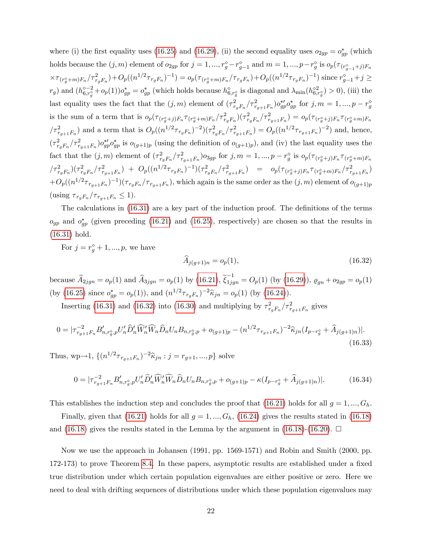where (i) the first equality uses [\(16.25\)](#page-21-0) and [\(16.29\)](#page-22-0), (ii) the second equality uses  $o_{2gp} = o_{gp}^*$  (which holds because the  $(j, m)$  element of  $o_{2gp}$  for  $j = 1, ..., r_g^{\diamond} - r_{g-1}^{\diamond}$  and  $m = 1, ..., p - r_g^{\diamond}$  is  $o_p(\tau_{(r_{g-1}^{\diamond}+j)F_n})$  $\times \tau_{(r_g^{\diamond}+m)F_n}/\tau_{r_gF_n}^2) + O_p((n^{1/2}\tau_{r_gF_n})^{-1}) = o_p(\tau_{(r_g^{\diamond}+m)F_n}/\tau_{r_gF_n}) + O_p((n^{1/2}\tau_{r_gF_n})^{-1})$  since  $r_{g-1}^{\diamond}+j \ge$  $(r_g)$  and  $(h_{6,r_g^{\diamond}}^{\diamond-2}+o_p(1))o_{gp}^* = o_{gp}^*$  (which holds because  $h_{6,r_g^{\diamond}}^{\diamond}$  is diagonal and  $\lambda_{\min}(h_{6,r_g^{\diamond}}^{\diamond 2}) > 0$ ), (iii) the last equality uses the fact that the  $(j, m)$  element of  $(\tau_{r_gF_n}^2/\tau_{r_{g+1}F_n}^2)\sigma_{gp}^{*\prime}\sigma_{gp}^*$  for  $j, m = 1, ..., p - r_g^{\circ}$ is the sum of a term that is  $o_p(\tau_{(r_g^{\circ}+j)F_n}\tau_{(r_g^{\circ}+m)F_n}/\tau_{r_gF_n}^2)(\tau_{r_gF_n}^2/\tau_{r_{g+1}F_n}^2) = o_p(\tau_{(r_g^{\circ}+j)F_n}\tau_{(r_g^{\circ}+m)F_n}$  $\sqrt{\tau_{r_{g+1}F_n}^2}$  and a term that is  $O_p((n^{1/2}\tau_{r_gF_n})^{-2})(\tau_{r_gF_n}^2/\tau_{r_{g+1}F_n}^2) = O_p((n^{1/2}\tau_{r_{g+1}F_n})^{-2})$  and, hence,  $(\tau_{r_gF_n}^2/\tau_{r_{g+1}F_n}^2)\circ_{gp}^{*\prime}\circ_{gp}^{*}$  is  $o_{(g+1)p}$  (using the definition of  $o_{(g+1)p}$ ), and (iv) the last equality uses the fact that the  $(j, m)$  element of  $(\tau_{r_gF_n}^2/\tau_{r_{g+1}F_n}^2)$  or  $j, m = 1, ..., p - r_g^{\diamond}$  is  $o_p(\tau_{(r_g^{\diamond}+j)F_n}\tau_{(r_g^{\diamond}+m)F_n}$  $\int\nonumber \int\nonumber \frac{d^2r_{gFn}}{dr_{gFn}}\int\nonumber \frac{d^2r_{gFn}}{dr_{gFn}}\nonumber \int\nonumber +\;\; O_{p}((n^{1/2}\tau_{r_{gFn}})^{-1})(\tau_{r_{gFn}}^2/\tau_{r_{g+1}Fn}^2) \;\;\; =\;\;\; o_{p}(\tau_{(r_{g}^{\diamond}+j)Fn}\tau_{(r_{g}^{\diamond}+m)Fn}/\tau_{r_{g+1}Fn}^2)$  $+O_p((n^{1/2}\tau_{r_{g+1}F_n})^{-1})(\tau_{r_gF_n}/\tau_{r_{g+1}F_n}),$  which again is the same order as the  $(j,m)$  element of  $o_{(g+1)p}$ (using  $\tau_{r_gF_n}/\tau_{r_{g+1}F_n} \leq 1$ ).

The calculations in  $(16.31)$  are a key part of the induction proof. The definitions of the terms  $o_{gp}$  and  $o_{gp}^*$  (given preceding [\(16.21\)](#page-19-3) and [\(16.25\)](#page-21-0), respectively) are chosen so that the results in [\(16.31\)](#page-22-3) hold.

For  $j = r_g^{\diamond} + 1, ..., p$ , we have

<span id="page-23-0"></span>
$$
\widehat{A}_{j(g+1)n} = o_p(1),\tag{16.32}
$$

because  $\widehat{A}_{2jgn} = o_p(1)$  and  $\widehat{A}_{3jgn} = o_p(1)$  by  $(16.21), \widetilde{\xi}_{1jgn}^{-1} = O_p(1)$  $(16.21), \widetilde{\xi}_{1jgn}^{-1} = O_p(1)$  (by  $(16.29)$ ),  $\varrho_{gn} + o_{2gp} = o_p(1)$ (by [\(16.25\)](#page-21-0) since  $o_{gp}^* = o_p(1)$ ), and  $(n^{1/2} \tau_{r_gF_n})^{-2} \hat{\kappa}_{jn} = o_p(1)$  (by [\(16.24\)](#page-20-2)).

Inserting [\(16.31\)](#page-22-3) and [\(16.32\)](#page-23-0) into [\(16.30\)](#page-22-2) and multiplying by  $\tau_{r_gF_n}^2/\tau_{r_{g+1}F_n}^2$  gives

$$
0 = |\tau_{r_{g+1}F_n}^{-2} B'_{n,r_g^{\diamond},p} U'_n \widehat{D}'_n \widehat{W}'_n \widehat{W}_n \widehat{D}_n U_n B_{n,r_g^{\diamond},p} + o_{(g+1)p} - (n^{1/2} \tau_{r_{g+1}F_n})^{-2} \widehat{\kappa}_{jn} (I_{p-r_g^{\diamond}} + \widehat{A}_{j(g+1)n})|.
$$
\n(16.33)

Thus, wp $\rightarrow$ 1,  $\{(n^{1/2}\tau_{r_{g+1}F_n})^{-2}\hat{\kappa}_{jn} : j = r_{g+1},...,p\}$  solve

$$
0 = |\tau_{r_{g+1}F_n}^{-2} B'_{n,r_g^{\diamond},p} U'_n \widehat{D}'_n \widehat{W}'_n \widehat{W}_n \widehat{D}_n U_n B_{n,r_g^{\diamond},p} + o_{(g+1)p} - \kappa (I_{p-r_g^{\diamond}} + \widehat{A}_{j(g+1)n})|.
$$
 (16.34)

This establishes the induction step and concludes the proof that [\(16.21\)](#page-19-3) holds for all  $g = 1, ..., G_h$ .

Finally, given that [\(16.21\)](#page-19-3) holds for all  $g = 1, ..., G_h$ , [\(16.24\)](#page-20-2) gives the results stated in [\(16.18\)](#page-19-0) and [\(16.18\)](#page-19-0) gives the results stated in the Lemma by the argument in (16.18)-[\(16.20\)](#page-19-2).  $\Box$ 

Now we use the approach in Johansen (1991, pp. 1569-1571) and Robin and Smith (2000, pp. 172-173) to prove Theorem [8.4.](#page--1-2) In these papers, asymptotic results are established under a fixed true distribution under which certain population eigenvalues are either positive or zero. Here we need to deal with drifting sequences of distributions under which these population eigenvalues may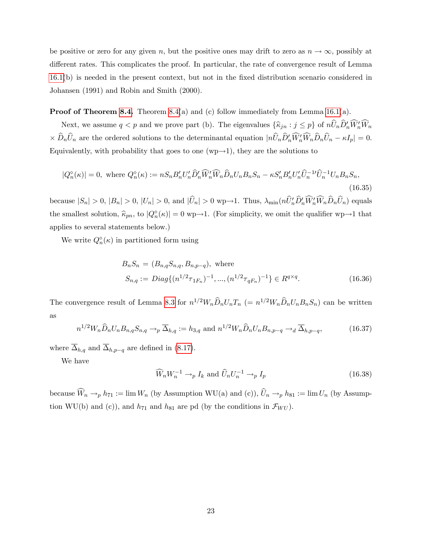be positive or zero for any given n, but the positive ones may drift to zero as  $n \to \infty$ , possibly at different rates. This complicates the proof. In particular, the rate of convergence result of Lemma [16.1\(](#page-13-0)b) is needed in the present context, but not in the Öxed distribution scenario considered in Johansen (1991) and Robin and Smith (2000).

**Proof of Theorem [8.4.](#page--1-2)** Theorem [8.4\(](#page--1-2)a) and (c) follow immediately from Lemma [16.1\(](#page-13-0)a).

Next, we assume  $q < p$  and we prove part (b). The eigenvalues  $\{\widehat{\kappa}_{jn} : j \leq p\}$  of  $nU_nD'_nW'_nW_n$  $\langle \times D_n U_n \rangle$  are the ordered solutions to the determinantal equation  $|nU_n D'_n W'_n W_n D_n U_n - \kappa I_p| = 0$ . Equivalently, with probability that goes to one  $(wp\rightarrow 1)$ , they are the solutions to

<span id="page-24-0"></span>
$$
|Q_n^{\diamond}(\kappa)| = 0, \text{ where } Q_n^{\diamond}(\kappa) := nS_n B_n' U_n' \widehat{D}_n' \widehat{W}_n' \widehat{W}_n \widehat{D}_n U_n B_n S_n - \kappa S_n' B_n' U_n' \widehat{U}_n^{-1} \widehat{U}_n^{-1} U_n B_n S_n,
$$
\n(16.35)

because  $|S_n| > 0$ ,  $|B_n| > 0$ ,  $|U_n| > 0$ , and  $|U_n| > 0$  wp $\rightarrow$ 1. Thus,  $\lambda_{\min}(nU_n'D_n'W_nD_nU_n)$  equals the smallest solution,  $\hat{\kappa}_{pn}$ , to  $|Q_n^{\diamond}(k)| = 0$  wp $\rightarrow$ 1. (For simplicity, we omit the qualifier wp $\rightarrow$ 1 that applies to several statements below.)

We write  $Q_n^{\diamond}(\kappa)$  in partitioned form using

<span id="page-24-3"></span>
$$
B_n S_n = (B_{n,q} S_{n,q}, B_{n,p-q}), \text{ where}
$$
  
\n
$$
S_{n,q} := Diag\{(n^{1/2}\tau_{1F_n})^{-1}, ..., (n^{1/2}\tau_{qF_n})^{-1}\} \in R^{q \times q}.
$$
\n(16.36)

The convergence result of Lemma [8.3](#page--1-1) for  $n^{1/2}W_n\widehat{D}_nU_nT_n$  (=  $n^{1/2}W_n\widehat{D}_nU_nB_nS_n$ ) can be written as

<span id="page-24-2"></span>
$$
n^{1/2}W_n\widehat{D}_nU_nB_{n,q}S_{n,q} \to_p \overline{\Delta}_{h,q} := h_{3,q} \text{ and } n^{1/2}W_n\widehat{D}_nU_nB_{n,p-q} \to_d \overline{\Delta}_{h,p-q},\tag{16.37}
$$

where  $\overline{\Delta}_{h,q}$  and  $\overline{\Delta}_{h,p-q}$  are defined in [\(8.17\)](#page--1-14).

We have

<span id="page-24-1"></span>
$$
\widehat{W}_n W_n^{-1} \to_p I_k \text{ and } \widehat{U}_n U_n^{-1} \to_p I_p \tag{16.38}
$$

because  $\widehat{W}_n \to_p h_{71} := \lim W_n$  (by Assumption WU(a) and (c)),  $\widehat{U}_n \to_p h_{81} := \lim U_n$  (by Assumption WU(b) and (c)), and  $h_{71}$  and  $h_{81}$  are pd (by the conditions in  $\mathcal{F}_{WU}$ ).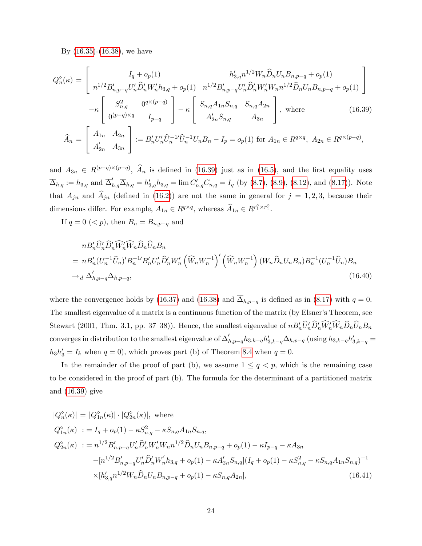By [\(16.35\)](#page-24-0)-[\(16.38\)](#page-24-1), we have

<span id="page-25-0"></span>
$$
Q_n^{\diamond}(\kappa) = \begin{bmatrix} I_q + o_p(1) & h'_{3,q} n^{1/2} W_n \hat{D}_n U_n B_{n,p-q} + o_p(1) \\ n^{1/2} B'_{n,p-q} U'_n \hat{D}'_n W'_n h_{3,q} + o_p(1) & n^{1/2} B'_{n,p-q} U'_n \hat{D}'_n W'_n W_n n^{1/2} \hat{D}_n U_n B_{n,p-q} + o_p(1) \end{bmatrix} - \kappa \begin{bmatrix} S_{n,q}^2 & 0^{q \times (p-q)} \\ 0^{(p-q) \times q} & I_{p-q} \end{bmatrix} - \kappa \begin{bmatrix} S_{n,q} A_{1n} S_{n,q} & S_{n,q} A_{2n} \\ A'_{2n} S_{n,q} & A_{3n} \end{bmatrix}, \text{ where } (16.39)
$$
  

$$
\hat{A}_n = \begin{bmatrix} A_{1n} & A_{2n} \\ A'_{2n} & A_{3n} \end{bmatrix} := B'_n U'_n \hat{U}_n^{-1} \hat{U}_n^{-1} U_n B_n - I_p = o_p(1) \text{ for } A_{1n} \in R^{q \times q}, A_{2n} \in R^{q \times (p-q)},
$$

and  $A_{3n} \in R^{(p-q)\times (p-q)}$ ,  $\widehat{A}_n$  is defined in [\(16.39\)](#page-25-0) just as in [\(16.5\)](#page-15-2), and the first equality uses  $\overline{\Delta}_{h,q} := h_{3,q} \text{ and } \overline{\Delta}_{h,q}' \overline{\Delta}_{h,q} = h'_{3,q} h_{3,q} = \lim C'_{n,q} C_{n,q} = I_q \text{ (by (8.7), (8.9), (8.12), and (8.17))}.$  $\overline{\Delta}_{h,q} := h_{3,q} \text{ and } \overline{\Delta}_{h,q}' \overline{\Delta}_{h,q} = h'_{3,q} h_{3,q} = \lim C'_{n,q} C_{n,q} = I_q \text{ (by (8.7), (8.9), (8.12), and (8.17))}.$  $\overline{\Delta}_{h,q} := h_{3,q} \text{ and } \overline{\Delta}_{h,q}' \overline{\Delta}_{h,q} = h'_{3,q} h_{3,q} = \lim C'_{n,q} C_{n,q} = I_q \text{ (by (8.7), (8.9), (8.12), and (8.17))}.$  $\overline{\Delta}_{h,q} := h_{3,q} \text{ and } \overline{\Delta}_{h,q}' \overline{\Delta}_{h,q} = h'_{3,q} h_{3,q} = \lim C'_{n,q} C_{n,q} = I_q \text{ (by (8.7), (8.9), (8.12), and (8.17))}.$  $\overline{\Delta}_{h,q} := h_{3,q} \text{ and } \overline{\Delta}_{h,q}' \overline{\Delta}_{h,q} = h'_{3,q} h_{3,q} = \lim C'_{n,q} C_{n,q} = I_q \text{ (by (8.7), (8.9), (8.12), and (8.17))}.$  $\overline{\Delta}_{h,q} := h_{3,q} \text{ and } \overline{\Delta}_{h,q}' \overline{\Delta}_{h,q} = h'_{3,q} h_{3,q} = \lim C'_{n,q} C_{n,q} = I_q \text{ (by (8.7), (8.9), (8.12), and (8.17))}.$  $\overline{\Delta}_{h,q} := h_{3,q} \text{ and } \overline{\Delta}_{h,q}' \overline{\Delta}_{h,q} = h'_{3,q} h_{3,q} = \lim C'_{n,q} C_{n,q} = I_q \text{ (by (8.7), (8.9), (8.12), and (8.17))}.$  $\overline{\Delta}_{h,q} := h_{3,q} \text{ and } \overline{\Delta}_{h,q}' \overline{\Delta}_{h,q} = h'_{3,q} h_{3,q} = \lim C'_{n,q} C_{n,q} = I_q \text{ (by (8.7), (8.9), (8.12), and (8.17))}.$  $\overline{\Delta}_{h,q} := h_{3,q} \text{ and } \overline{\Delta}_{h,q}' \overline{\Delta}_{h,q} = h'_{3,q} h_{3,q} = \lim C'_{n,q} C_{n,q} = I_q \text{ (by (8.7), (8.9), (8.12), and (8.17))}.$  Note that  $A_{jn}$  and  $\widehat{A}_{jn}$  (defined in [\(16.2\)](#page-14-1)) are not the same in general for  $j = 1, 2, 3$ , because their dimensions differ. For example,  $A_{1n} \in R^{q \times q}$ , whereas  $\widehat{A}_{1n} \in R^{r_1^{\circ} \times r_1^{\circ}}$ .

If  $q = 0 \, (< p)$ , then  $B_n = B_{n,p-q}$  and

$$
nB_n'\hat{U}_n'\hat{D}_n'\hat{W}_n'\hat{W}_n\hat{D}_n\hat{U}_nB_n
$$
  
=  $nB_n'(U_n^{-1}\hat{U}_n)'B_n^{-1}B_n'U_n'\hat{D}_n'W_n'\left(\hat{W}_nW_n^{-1}\right)'\left(\hat{W}_nW_n^{-1}\right)(W_n\hat{D}_nU_nB_n)B_n^{-1}(U_n^{-1}\hat{U}_n)B_n$   
 $\rightarrow_d \overline{\Delta}_{h,p-q}'\overline{\Delta}_{h,p-q}$ , (16.40)

where the convergence holds by [\(16.37\)](#page-24-2) and [\(16.38\)](#page-24-1) and  $\overline{\Delta}_{h,p-q}$  is defined as in [\(8.17\)](#page--1-14) with  $q = 0$ . The smallest eigenvalue of a matrix is a continuous function of the matrix (by Elsner's Theorem, see Stewart (2001, Thm. 3.1, pp. 37–38)). Hence, the smallest eigenvalue of  $nB'_{n}U'_{n}D'_{n}W'_{n}W_{n}D_{n}U_{n}B_{n}$ converges in distribution to the smallest eigenvalue of  $\overline{\Delta}_{h,p-q}' h_{3,k-q} h_{3,k-q}' \overline{\Delta}_{h,p-q}$  (using  $h_{3,k-q} h_{3,k-q}' =$  $h_3h'_3 = I_k$  when  $q = 0$ , which proves part (b) of Theorem [8.4](#page--1-2) when  $q = 0$ .

In the remainder of the proof of part (b), we assume  $1 \leq q \leq p$ , which is the remaining case to be considered in the proof of part (b). The formula for the determinant of a partitioned matrix and [\(16.39\)](#page-25-0) give

<span id="page-25-1"></span>
$$
|Q_n^{\circ}(\kappa)| = |Q_{1n}^{\circ}(\kappa)| \cdot |Q_{2n}^{\circ}(\kappa)|, \text{ where}
$$
  
\n
$$
Q_{1n}^{\circ}(\kappa) := I_q + o_p(1) - \kappa S_{n,q}^2 - \kappa S_{n,q} A_{1n} S_{n,q},
$$
  
\n
$$
Q_{2n}^{\circ}(\kappa) := n^{1/2} B'_{n,p-q} U'_n \hat{D}'_n W'_n W_n n^{1/2} \hat{D}_n U_n B_{n,p-q} + o_p(1) - \kappa I_{p-q} - \kappa A_{3n}
$$
  
\n
$$
-[n^{1/2} B'_{n,p-q} U'_n \hat{D}'_n W'_n h_{3,q} + o_p(1) - \kappa A'_{2n} S_{n,q} | (I_q + o_p(1) - \kappa S_{n,q}^2 - \kappa S_{n,q} A_{1n} S_{n,q})^{-1}
$$
  
\n
$$
\times [h'_{3,q} n^{1/2} W_n \hat{D}_n U_n B_{n,p-q} + o_p(1) - \kappa S_{n,q} A_{2n}], \qquad (16.41)
$$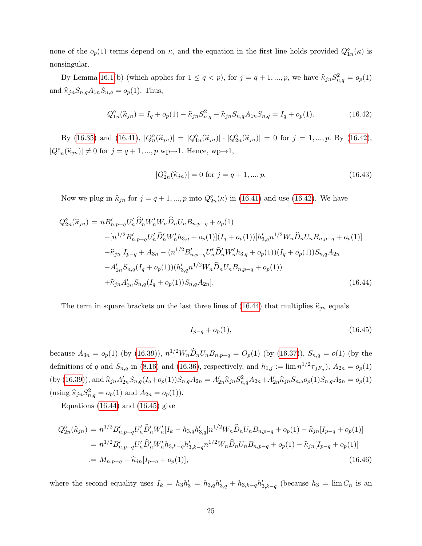none of the  $o_p(1)$  terms depend on  $\kappa$ , and the equation in the first line holds provided  $Q_{1n}^{\diamond}(\kappa)$  is nonsingular.

By Lemma [16.1\(](#page-13-0)b) (which applies for  $1 \le q < p$ ), for  $j = q + 1, ..., p$ , we have  $\widehat{\kappa}_{jn} S_{n,q}^2 = o_p(1)$ and  $\widehat{\kappa}_{jn}S_{n,q}A_{1n}S_{n,q} = o_p(1)$ . Thus,

<span id="page-26-0"></span>
$$
Q_{1n}^{\circ}(\hat{\kappa}_{jn}) = I_q + o_p(1) - \hat{\kappa}_{jn} S_{n,q}^2 - \hat{\kappa}_{jn} S_{n,q} A_{1n} S_{n,q} = I_q + o_p(1).
$$
 (16.42)

By [\(16.35\)](#page-24-0) and [\(16.41\)](#page-25-1),  $|Q_n^{\diamond}(\hat{\kappa}_{jn})| = |Q_{1n}^{\diamond}(\hat{\kappa}_{jn})| \cdot |Q_{2n}^{\diamond}(\hat{\kappa}_{jn})| = 0$  for  $j = 1, ..., p$ . By [\(16.42\)](#page-26-0),  $|Q_{1n}^{\circ}(\widehat{\kappa}_{jn})| \neq 0$  for  $j = q + 1, ..., p$  wp $\rightarrow$ 1. Hence, wp $\rightarrow$ 1,

<span id="page-26-3"></span>
$$
|Q_{2n}^{\diamond}(\hat{\kappa}_{jn})| = 0 \text{ for } j = q+1, ..., p.
$$
 (16.43)

Now we plug in  $\widehat{\kappa}_{jn}$  for  $j = q + 1, ..., p$  into  $Q_{2n}^{\diamond}(\kappa)$  in [\(16.41\)](#page-25-1) and use [\(16.42\)](#page-26-0). We have

<span id="page-26-1"></span>
$$
Q_{2n}^{\diamond}(\hat{\kappa}_{jn}) = nB'_{n,p-q}U'_{n}\hat{D}'_{n}W'_{n}W_{n}\hat{D}_{n}U_{n}B_{n,p-q} + o_{p}(1)
$$
  
\n
$$
-[n^{1/2}B'_{n,p-q}U'_{n}\hat{D}'_{n}W'_{n}h_{3,q} + o_{p}(1)](I_{q} + o_{p}(1))[h'_{3,q}n^{1/2}W_{n}\hat{D}_{n}U_{n}B_{n,p-q} + o_{p}(1)]
$$
  
\n
$$
-\hat{\kappa}_{jn}[I_{p-q} + A_{3n} - (n^{1/2}B'_{n,p-q}U'_{n}\hat{D}'_{n}W'_{n}h_{3,q} + o_{p}(1))(I_{q} + o_{p}(1))S_{n,q}A_{2n}
$$
  
\n
$$
-A'_{2n}S_{n,q}(I_{q} + o_{p}(1))(h'_{3,q}n^{1/2}W_{n}\hat{D}_{n}U_{n}B_{n,p-q} + o_{p}(1))
$$
  
\n
$$
+\hat{\kappa}_{jn}A'_{2n}S_{n,q}(I_{q} + o_{p}(1))S_{n,q}A_{2n}].
$$
  
\n(16.44)

The term in square brackets on the last three lines of [\(16.44\)](#page-26-1) that multiplies  $\hat{\kappa}_{jn}$  equals

<span id="page-26-2"></span>
$$
I_{p-q} + o_p(1), \t\t(16.45)
$$

because  $A_{3n} = o_p(1)$  (by [\(16.39\)](#page-25-0)),  $n^{1/2} W_n \widehat{D}_n U_n B_{n,p-q} = O_p(1)$  (by [\(16.37\)](#page-24-2)),  $S_{n,q} = o(1)$  (by the definitions of q and  $S_{n,q}$  in [\(8.16\)](#page--1-12) and [\(16.36\)](#page-24-3), respectively, and  $h_{1,j} := \lim_{n \to \infty} n^{1/2} \tau_{jF_n}$ ,  $A_{2n} = o_p(1)$ (by [\(16.39\)](#page-25-0)), and  $\hat{\kappa}_{jn} A'_{2n} S_{n,q} (I_q + o_p(1)) S_{n,q} A_{2n} = A'_{2n} \hat{\kappa}_{jn} S_{n,q}^2 A_{2n} + A'_{2n} \hat{\kappa}_{jn} S_{n,q} o_p(1) S_{n,q} A_{2n} = o_p(1)$ (using  $\widehat{\kappa}_{jn} S_{n,q}^2 = o_p(1)$  and  $A_{2n} = o_p(1)$ ).

Equations  $(16.44)$  and  $(16.45)$  give

<span id="page-26-4"></span>
$$
Q_{2n}^{\diamond}(\hat{\kappa}_{jn}) = n^{1/2} B'_{n,p-q} U'_{n} \hat{D}'_{n} W'_{n}[I_{k} - h_{3,q} h'_{3,q}] n^{1/2} W_{n} \hat{D}_{n} U_{n} B_{n,p-q} + o_{p}(1) - \hat{\kappa}_{jn} [I_{p-q} + o_{p}(1)]
$$
  
\n
$$
= n^{1/2} B'_{n,p-q} U'_{n} \hat{D}'_{n} W'_{n} h_{3,k-q} h'_{3,k-q} n^{1/2} W_{n} \hat{D}_{n} U_{n} B_{n,p-q} + o_{p}(1) - \hat{\kappa}_{jn} [I_{p-q} + o_{p}(1)]
$$
  
\n
$$
:= M_{n,p-q} - \hat{\kappa}_{jn} [I_{p-q} + o_{p}(1)], \qquad (16.46)
$$

where the second equality uses  $I_k = h_3 h'_3 = h_{3,q} h'_{3,q} + h_{3,k-q} h'_{3,k-q}$  (because  $h_3 = \lim C_n$  is an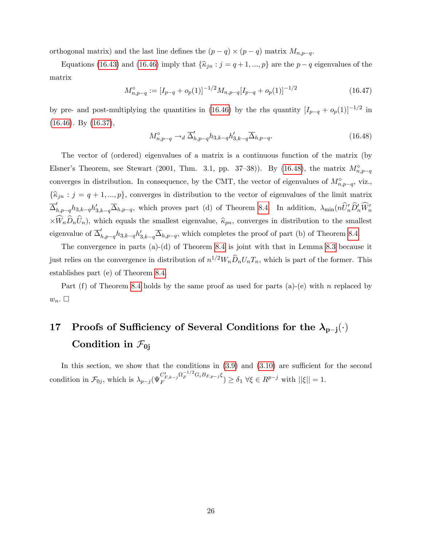orthogonal matrix) and the last line defines the  $(p - q) \times (p - q)$  matrix  $M_{n,p-q}$ .

Equations [\(16.43\)](#page-26-3) and [\(16.46\)](#page-26-4) imply that  $\{\widehat{\kappa}_{jn} : j = q + 1, ..., p\}$  are the  $p - q$  eigenvalues of the matrix

$$
M_{n,p-q}^{\diamond} := [I_{p-q} + o_p(1)]^{-1/2} M_{n,p-q} [I_{p-q} + o_p(1)]^{-1/2}
$$
\n(16.47)

by pre- and post-multiplying the quantities in [\(16.46\)](#page-26-4) by the rhs quantity  $[I_{p-q} + o_p(1)]^{-1/2}$  in [\(16.46\)](#page-26-4). By [\(16.37\)](#page-24-2),

<span id="page-27-1"></span>
$$
M_{n,p-q}^{\diamond} \to_d \overline{\Delta}_{h,p-q}' h_{3,k-q} h_{3,k-q}' \overline{\Delta}_{h,p-q}.
$$
\n(16.48)

The vector of (ordered) eigenvalues of a matrix is a continuous function of the matrix (by Elsner's Theorem, see Stewart (2001, Thm. 3.1, pp. 37–38)). By [\(16.48\)](#page-27-1), the matrix  $M_{n,p-q}^{\diamond}$ converges in distribution. In consequence, by the CMT, the vector of eigenvalues of  $M_{n,p-q}^{\diamond}$ , viz.,  $\{\widehat{\kappa}_{jn} : j = q + 1, ..., p\}$ , converges in distribution to the vector of eigenvalues of the limit matrix  $\overline{\Delta}_{h,p-q}' h_{3,k-q} h'_{3,k-q} \overline{\Delta}_{h,p-q}$ , which proves part (d) of Theorem [8.4.](#page--1-2) In addition,  $\lambda_{\min}(n\hat{U}'_n\hat{D}'_n\hat{W}'_n)$  $\times W_n D_n U_n$ , which equals the smallest eigenvalue,  $\hat{\kappa}_{pn}$ , converges in distribution to the smallest eigenvalue of  $\overline{\Delta}_{h,p-q}^{\prime}h_{3,k-q}h_{3,k-q}^{\prime}\overline{\Delta}_{h,p-q}$ , which completes the proof of part (b) of Theorem [8.4.](#page--1-2)

The convergence in parts (a)-(d) of Theorem [8.4](#page--1-2) is joint with that in Lemma [8.3](#page--1-1) because it just relies on the convergence in distribution of  $n^{1/2}W_n\widehat{D}_nU_nT_n$ , which is part of the former. This establishes part (e) of Theorem [8.4.](#page--1-2)

Part (f) of Theorem [8.4](#page--1-2) holds by the same proof as used for parts (a)-(e) with n replaced by  $w_n$ .  $\square$ 

## <span id="page-27-0"></span>17 Proofs of Sufficiency of Several Conditions for the  $\lambda_{p-j}(\cdot)$ Condition in  $\mathcal{F}_{0i}$

In this section, we show that the conditions in  $(3.9)$  and  $(3.10)$  are sufficient for the second condition in  $\mathcal{F}_{0j}$ , which is  $\lambda_{p-j} (\Psi_F^{C'_{F,k-j}} \Omega_F^{-1/2} G_i B_{F,p-j} \xi)$  $\int_{F}^{C_{F,k-j}\Lambda_E} F^{-\mathbf{G}_i D_{F,p-j}\zeta}$   $\geq \delta_1 \forall \xi \in R^{p-j}$  with  $||\xi|| = 1$ .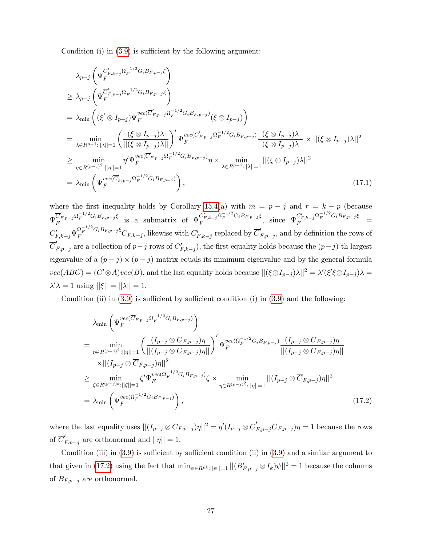Condition (i) in  $(3.9)$  is sufficient by the following argument:

$$
\lambda_{p-j} \left( \Psi_F^{C'_{F,k-j}} \Omega_F^{-1/2} G_i B_{F,p-j} \xi \right)
$$
\n
$$
\geq \lambda_{p-j} \left( \Psi_F^{\overline{C'_{F,p-j}}} \Omega_F^{-1/2} G_i B_{F,p-j} \xi \right)
$$
\n
$$
= \lambda_{\min} \left( (\xi' \otimes I_{p-j}) \Psi_F^{vec(\overline{C'_{F,p-j}} \Omega_F^{-1/2} G_i B_{F,p-j})} (\xi \otimes I_{p-j}) \right)
$$
\n
$$
= \min_{\lambda \in R^{p-j}: ||\lambda||=1} \left( \frac{(\xi \otimes I_{p-j})\lambda}{||(\xi \otimes I_{p-j})\lambda||} \right)' \Psi_F^{vec(\overline{C'_{F,p-j}} \Omega_F^{-1/2} G_i B_{F,p-j})} \frac{(\xi \otimes I_{p-j})\lambda}{||(\xi \otimes I_{p-j})\lambda||} \times ||(\xi \otimes I_{p-j})\lambda||^2
$$
\n
$$
\geq \min_{\eta \in R^{(p-j)^2}: ||\eta||=1} \eta' \Psi_F^{vec(\overline{C'_{F,p-j}} \Omega_F^{-1/2} G_i B_{F,p-j})} \eta \times \min_{\lambda \in R^{p-j}: ||\lambda||=1} ||(\xi \otimes I_{p-j})\lambda||^2
$$
\n
$$
= \lambda_{\min} \left( \Psi_F^{vec(\overline{C'_{F,p-j}} \Omega_F^{-1/2} G_i B_{F,p-j})} \right), \qquad (17.1)
$$

where the first inequality holds by Corollary [15.4\(](#page-7-3)a) with  $m = p - j$  and  $r = k - p$  (because  $\Psi_F^{\overline{C}'_{F,p-j}\Omega_F^{-1/2}G_iB_{F,p-j}\xi}$  is a submatrix of  $\Psi_F^{C'_{F,k-j}\Omega_F^{-1/2}G_iB_{F,p-j}\xi}$  $C'_{F,k-j} \Omega_F^{-1/2} G_i B_{F,p-j} \xi$ , since  $\Psi_F^{C'_{F,k-j}} \Omega_F^{-1/2} G_i B_{F,p-j} \xi =$  $C'_{F,k-j} \Psi_F^{\Omega_F^{-1/2} G_i B_{F,p-j}} C_{F,k-j}$ , likewise with  $C'_{F,k-j}$  replaced by  $\overline{C}'_{F,p-j}$ , and by definition the rows of  $\overline{C}'_{F,p-j}$  are a collection of  $p-j$  rows of  $C'_{F,k-j}$ , the first equality holds because the  $(p-j)$ -th largest eigenvalue of a  $(p - j) \times (p - j)$  matrix equals its minimum eigenvalue and by the general formula  $vec(ABC) = (C' \otimes A)vec(B)$ , and the last equality holds because  $||(\xi \otimes I_{p-j})\lambda||^2 = \lambda'(\xi' \xi \otimes I_{p-j})\lambda =$  $\lambda' \lambda = 1$  using  $||\xi|| = ||\lambda|| = 1$ .

Condition (ii) in  $(3.9)$  is sufficient by sufficient condition (i) in  $(3.9)$  and the following:

<span id="page-28-0"></span>
$$
\lambda_{\min} \left( \Psi_F^{vec(\overline{C}'_{F,p-j}\Omega_F^{-1/2}G_iB_{F,p-j})} \right)
$$
\n
$$
= \min_{\eta \in R^{(p-j)^2}: ||\eta||=1} \left( \frac{\left( I_{p-j} \otimes \overline{C}_{F,p-j} \right)\eta}{||(I_{p-j} \otimes \overline{C}_{F,p-j})\eta||} \right)' \Psi_F^{vec(\Omega_F^{-1/2}G_iB_{F,p-j})} \frac{\left( I_{p-j} \otimes \overline{C}_{F,p-j} \right)\eta}{||(I_{p-j} \otimes \overline{C}_{F,p-j})\eta||} \\
\times ||(I_{p-j} \otimes \overline{C}_{F,p-j})\eta||^2
$$
\n
$$
\geq \min_{\zeta \in R^{(p-j)k}: ||\zeta||=1} \zeta' \Psi_F^{vec(\Omega_F^{-1/2}G_iB_{F,p-j})} \zeta \times \min_{\eta \in R^{(p-j)^2}: ||\eta||=1} ||(I_{p-j} \otimes \overline{C}_{F,p-j})\eta||^2
$$
\n
$$
= \lambda_{\min} \left( \Psi_F^{vec(\Omega_F^{-1/2}G_iB_{F,p-j})} \right), \qquad (17.2)
$$

where the last equality uses  $||(I_{p-j} \otimes \overline{C}_{F,p-j})\eta||^2 = \eta'(I_{p-j} \otimes \overline{C}'_{F,p-j}\overline{C}_{F,p-j})\eta = 1$  because the rows of  $\overline{C}_{F,p-j}$  are orthonormal and  $||\eta|| = 1$ .

Condition (iii) in  $(3.9)$  is sufficient by sufficient condition (ii) in  $(3.9)$  and a similar argument to that given in [\(17.2\)](#page-28-0) using the fact that  $\min_{\psi \in R^{pk}: ||\psi||=1} ||(B'_{F,p-j} \otimes I_k)\psi||^2 = 1$  because the columns of  $B_{F,p-j}$  are orthonormal.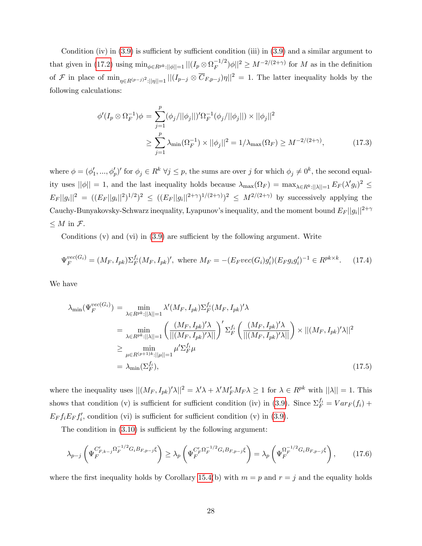Condition (iv) in  $(3.9)$  is sufficient by sufficient condition (iii) in  $(3.9)$  and a similar argument to that given in [\(17.2\)](#page-28-0) using  $\min_{\phi \in R^{pk}: ||\phi||=1} ||(I_p \otimes \Omega_F^{-1/2})\phi||^2 \geq M^{-2/(2+\gamma)}$  for M as in the definition of F in place of  $\min_{\eta \in R^{(p-j)^2}: ||\eta||=1} ||(I_{p-j} \otimes \overline{C}_{F,p-j})\eta||^2 = 1$ . The latter inequality holds by the following calculations:

$$
\phi'(I_p \otimes \Omega_F^{-1})\phi = \sum_{j=1}^p (\phi_j/||\phi_j||)' \Omega_F^{-1}(\phi_j/||\phi_j||) \times ||\phi_j||^2
$$
  

$$
\geq \sum_{j=1}^p \lambda_{\min}(\Omega_F^{-1}) \times ||\phi_j||^2 = 1/\lambda_{\max}(\Omega_F) \geq M^{-2/(2+\gamma)},
$$
 (17.3)

where  $\phi = (\phi'_1, ..., \phi'_p)'$  for  $\phi_j \in R^k \ \forall j \leq p$ , the sums are over j for which  $\phi_j \neq 0^k$ , the second equality uses  $||\phi|| = 1$ , and the last inequality holds because  $\lambda_{\max}(\Omega_F) = \max_{\lambda \in R^k : ||\lambda|| = 1} E_F(\lambda' g_i)^2 \le$  $E_F||g_i||^2 = ((E_F||g_i||^2)^{1/2})^2 \leq ((E_F||g_i||^{2+\gamma})^{1/(2+\gamma)})^2 \leq M^{2/(2+\gamma)}$  by successively applying the Cauchy-Bunyakovsky-Schwarz inequality, Lyapunov's inequality, and the moment bound  $E_F||g_i||^{2+\gamma}$  $\leq M$  in  $\mathcal{F}.$ 

Conditions  $(v)$  and  $(vi)$  in  $(3.9)$  are sufficient by the following argument. Write

$$
\Psi_F^{vec(G_i)} = (M_F, I_{pk}) \Sigma_F^{f_i} (M_F, I_{pk})', \text{ where } M_F = -(E_F vec(G_i) g_i') (E_F g_i g_i')^{-1} \in R^{pk \times k}.
$$
 (17.4)

We have

$$
\lambda_{\min}(\Psi_F^{vec(G_i)}) = \min_{\lambda \in R^{pk}: ||\lambda||=1} \lambda'(M_F, I_{pk}) \Sigma_F^{f_i}(M_F, I_{pk})' \lambda
$$
  
\n
$$
= \min_{\lambda \in R^{pk}: ||\lambda||=1} \left( \frac{(M_F, I_{pk})' \lambda}{||(M_F, I_{pk})' \lambda||} \right)' \Sigma_F^{f_i} \left( \frac{(M_F, I_{pk})' \lambda}{||(M_F, I_{pk})' \lambda||} \right) \times ||(M_F, I_{pk})' \lambda||^2
$$
  
\n
$$
\geq \min_{\mu \in R^{(p+1)k}: ||\mu||=1} \mu' \Sigma_F^{f_i} \mu
$$
  
\n
$$
= \lambda_{\min}(\Sigma_F^{f_i}), \qquad (17.5)
$$

where the inequality uses  $||(M_F, I_{pk})' \lambda||^2 = \lambda' \lambda + \lambda' M'_F M_F \lambda \ge 1$  for  $\lambda \in R^{pk}$  with  $||\lambda|| = 1$ . This shows that condition (v) is sufficient for sufficient condition (iv) in [\(3.9\)](#page--1-4). Since  $\Sigma_F^{f_i} = Var_F(f_i) +$  $E_F f_i E_F f'_i$ , condition (vi) is sufficient for sufficient condition (v) in [\(3.9\)](#page--1-4).

The condition in  $(3.10)$  is sufficient by the following argument:

$$
\lambda_{p-j} \left( \Psi_F^{C'_{F,k-j} \Omega_F^{-1/2} G_i B_{F,p-j} \xi} \right) \ge \lambda_p \left( \Psi_F^{C'_F \Omega_F^{-1/2} G_i B_{F,p-j} \xi} \right) = \lambda_p \left( \Psi_F^{ \Omega_F^{-1/2} G_i B_{F,p-j} \xi} \right), \tag{17.6}
$$

where the first inequality holds by Corollary [15.4\(](#page-7-3)b) with  $m = p$  and  $r = j$  and the equality holds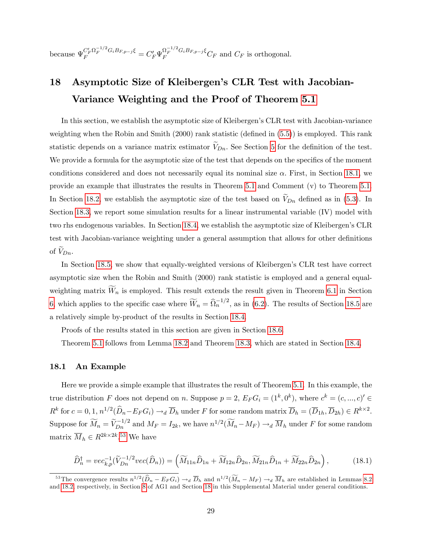because  $\Psi_F^{C'_F \Omega_F^{-1/2} G_i B_{F,p-j} \xi} = C'_F \Psi_F^{\Omega_F^{-1/2} G_i B_{F,p-j} \xi} C_F$  and  $C_F$  is orthogonal.

## <span id="page-30-0"></span>18 Asymptotic Size of Kleibergen's CLR Test with Jacobian-Variance Weighting and the Proof of Theorem [5.1](#page--1-6)

In this section, we establish the asymptotic size of Kleibergen's CLR test with Jacobian-variance weighting when the Robin and Smith  $(2000)$  rank statistic (defined in  $(5.5)$ ) is employed. This rank statistic depends on a variance matrix estimator  $V_{Dn}$ . See Section [5](#page--1-7) for the definition of the test. We provide a formula for the asymptotic size of the test that depends on the specifics of the moment conditions considered and does not necessarily equal its nominal size  $\alpha$ . First, in Section [18.1,](#page-30-1) we provide an example that illustrates the results in Theorem [5.1](#page--1-6) and Comment (v) to Theorem [5.1.](#page--1-6) In Section [18.2,](#page-31-0) we establish the asymptotic size of the test based on  $V_{Dn}$  defined as in [\(5.3\)](#page--1-24). In Section [18.3,](#page-38-0) we report some simulation results for a linear instrumental variable (IV) model with two rhs endogenous variables. In Section [18.4,](#page-40-0) we establish the asymptotic size of Kleibergenís CLR test with Jacobian-variance weighting under a general assumption that allows for other definitions of  $V_{Dn}$ .

In Section [18.5,](#page-44-0) we show that equally-weighted versions of Kleibergen's CLR test have correct asymptotic size when the Robin and Smith (2000) rank statistic is employed and a general equalweighting matrix  $W_n$  is employed. This result extends the result given in Theorem [6.1](#page--1-25) in Section [6,](#page--1-26) which applies to the specific case where  $\widetilde{W}_n = \widehat{\Omega}_n^{-1/2}$ , as in [\(6.2\)](#page--1-27). The results of Section [18.5](#page-44-0) are a relatively simple by-product of the results in Section [18.4.](#page-40-0)

Proofs of the results stated in this section are given in Section [18.6.](#page-46-0)

Theorem [5.1](#page--1-6) follows from Lemma [18.2](#page-41-0) and Theorem [18.3,](#page-41-1) which are stated in Section [18.4.](#page-40-0)

#### <span id="page-30-1"></span>18.1 An Example

Here we provide a simple example that illustrates the result of Theorem [5.1.](#page--1-6) In this example, the true distribution F does not depend on n. Suppose  $p = 2$ ,  $E_F G_i = (1^k, 0^k)$ , where  $c^k = (c, ..., c)' \in$  $R^k$  for  $c = 0, 1, n^{1/2}(\widehat{D}_n - E_F G_i) \rightarrow_d \overline{D}_h$  under F for some random matrix  $\overline{D}_h = (\overline{D}_{1h}, \overline{D}_{2h}) \in R^{k \times 2}$ . Suppose for  $\widetilde{M}_n = \widetilde{V}_{Dn}^{-1/2}$  and  $M_F = I_{2k}$ , we have  $n^{1/2}(\widetilde{M}_n - M_F) \to_d \overline{M}_h$  under F for some random matrix  $\overline{M}_h \in R^{2k \times 2k}$ .<sup>[53](#page-30-2)</sup> We have

<span id="page-30-3"></span>
$$
\widehat{D}_n^{\dagger} = vec_{k,p}^{-1}(\widetilde{V}_{Dn}^{-1/2} vec(\widehat{D}_n)) = \left(\widetilde{M}_{11n}\widehat{D}_{1n} + \widetilde{M}_{12n}\widehat{D}_{2n}, \widetilde{M}_{21n}\widehat{D}_{1n} + \widetilde{M}_{22n}\widehat{D}_{2n}\right),\tag{18.1}
$$

<span id="page-30-2"></span><sup>&</sup>lt;sup>53</sup>The convergence results  $n^{1/2}(\hat{D}_n - E_F G_i) \rightarrow_d \overline{D}_h$  and  $n^{1/2}(\widetilde{M}_n - M_F) \rightarrow_d \overline{M}_h$  are established in Lemmas [8.2](#page--1-0) and [18.2,](#page-41-0) respectively, in Section [8](#page--1-3) of AG1 and Section [18](#page-30-0) in this Supplemental Material under ge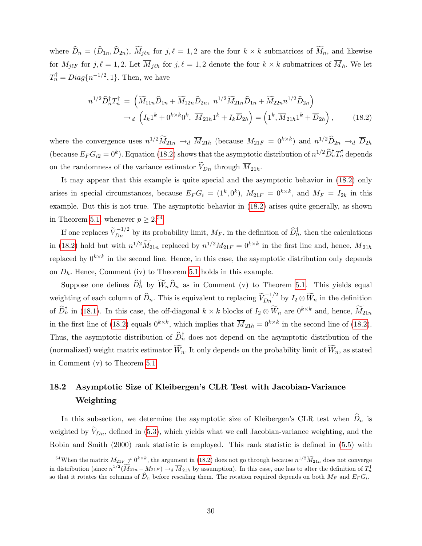where  $D_n = (D_{1n}, D_{2n}), M_{j\ell n}$  for  $j, \ell = 1, 2$  are the four  $k \times k$  submatrices of  $M_n$ , and likewise for  $M_{j\ell F}$  for  $j, \ell = 1, 2$ . Let  $M_{j\ell h}$  for  $j, \ell = 1, 2$  denote the four  $k \times k$  submatrices of  $M_h$ . We let  $T_n^{\dagger} = Diag\{n^{-1/2}, 1\}.$  Then, we have

<span id="page-31-1"></span>
$$
n^{1/2}\widehat{D}_{n}^{\dagger}T_{n}^{\dagger} = (\widetilde{M}_{11n}\widehat{D}_{1n} + \widetilde{M}_{12n}\widehat{D}_{2n}, \; n^{1/2}\widetilde{M}_{21n}\widehat{D}_{1n} + \widetilde{M}_{22n}n^{1/2}\widehat{D}_{2n})
$$

$$
\to_{d} \left(I_{k}1^{k} + 0^{k \times k}0^{k}, \; \overline{M}_{21h}1^{k} + I_{k}\overline{D}_{2h}\right) = \left(1^{k}, \overline{M}_{21h}1^{k} + \overline{D}_{2h}\right), \tag{18.2}
$$

where the convergence uses  $n^{1/2} \widetilde{M}_{21n} \to_d \overline{M}_{21h}$  (because  $M_{21F} = 0^{k \times k}$ ) and  $n^{1/2} \widehat{D}_{2n} \to_d \overline{D}_{2h}$ (because  $E_F G_{i2} = 0^k$ ). Equation [\(18.2\)](#page-31-1) shows that the asymptotic distribution of  $n^{1/2} \widehat{D}_n^{\dagger} T_n^{\dagger}$  depends on the randomness of the variance estimator  $V_{Dn}$  through  $\overline{M}_{21h}$ .

It may appear that this example is quite special and the asymptotic behavior in [\(18.2\)](#page-31-1) only arises in special circumstances, because  $E_F G_i = (1^k, 0^k)$ ,  $M_{21F} = 0^{k \times k}$ , and  $M_F = I_{2k}$  in this example. But this is not true. The asymptotic behavior in [\(18.2\)](#page-31-1) arises quite generally, as shown in Theorem [5.1,](#page--1-6) whenever  $p \geq 2^{.54}$  $p \geq 2^{.54}$  $p \geq 2^{.54}$ 

If one replaces  $\widetilde{V}_{Dn}^{-1/2}$  by its probability limit,  $M_F$ , in the definition of  $\widehat{D}_n^{\dagger}$ , then the calculations in [\(18.2\)](#page-31-1) hold but with  $n^{1/2}M_{21n}$  replaced by  $n^{1/2}M_{21F} = 0^{k \times k}$  in the first line and, hence,  $\overline{M}_{21h}$ replaced by  $0^{k \times k}$  in the second line. Hence, in this case, the asymptotic distribution only depends on  $\overline{D}_h$ . Hence, Comment (iv) to Theorem [5.1](#page--1-6) holds in this example.

Suppose one defines  $D_n^{\dagger}$  by  $W_n D_n$  as in Comment (v) to Theorem [5.1.](#page--1-6) This yields equal weighting of each column of  $\widehat{D}_n$ . This is equivalent to replacing  $\widetilde{V}_{Dn}^{-1/2}$  by  $I_2 \otimes \widetilde{W}_n$  in the definition of  $\widehat{D}_n^{\dagger}$  in [\(18.1\)](#page-30-3). In this case, the off-diagonal  $k \times k$  blocks of  $I_2 \otimes W_n$  are  $0^{k \times k}$  and, hence,  $\widetilde{M}_{21n}$ in the first line of [\(18.2\)](#page-31-1) equals  $0^{k \times k}$ , which implies that  $\overline{M}_{21h} = 0^{k \times k}$  in the second line of (18.2). Thus, the asymptotic distribution of  $D_n^{\dagger}$  does not depend on the asymptotic distribution of the (normalized) weight matrix estimator  $\widetilde{W}_n$ . It only depends on the probability limit of  $\widetilde{W}_n$ , as stated in Comment (v) to Theorem [5.1.](#page--1-6)

### <span id="page-31-0"></span>18.2 Asymptotic Size of Kleibergen's CLR Test with Jacobian-Variance Weighting

In this subsection, we determine the asymptotic size of Kleibergen's CLR test when  $\hat{D}_n$  is weighted by  $V_{Dn}$ , defined in [\(5.3\)](#page--1-24), which yields what we call Jacobian-variance weighting, and the Robin and Smith  $(2000)$  rank statistic is employed. This rank statistic is defined in  $(5.5)$  with

<span id="page-31-2"></span><sup>&</sup>lt;sup>54</sup>When the matrix  $M_{21F} \neq 0^{k \times k}$ , the argument in [\(18.2\)](#page-31-1) does not go through because  $n^{1/2} \widetilde{M}_{21n}$  does not converge in distribution (since  $n^{1/2}(\widetilde{M}_{21n} - M_{21F}) \rightarrow_d \widetilde{M}_{21h}$  by assumption). In this case, one has to alter the definition of  $T_n^{\dagger}$ so that it rotates the columns of  $\widehat{D}_n$  before rescaling them. The rotation required depends on both  $M_F$  and  $E_F G_i$ .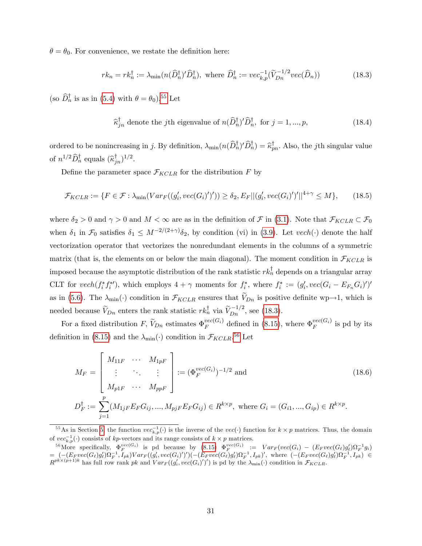$\theta = \theta_0$ . For convenience, we restate the definition here:

<span id="page-32-1"></span>
$$
rk_n = rk_n^{\dagger} := \lambda_{\min}(n(\widehat{D}_n^{\dagger})' \widehat{D}_n^{\dagger}), \text{ where } \widehat{D}_n^{\dagger} := vec_{k,p}^{-1}(\widetilde{V}_{D_n}^{-1/2} vec(\widehat{D}_n))
$$
\n(18.3)

(so  $\widehat{D}_n^{\dagger}$  is as in [\(5.4\)](#page--1-28) with  $\theta = \theta_0$ ).<sup>[55](#page-32-0)</sup> Let

$$
\widehat{\kappa}_{jn}^{\dagger}
$$
 denote the *j*th eigenvalue of  $n(\widehat{D}_{n}^{\dagger})'\widehat{D}_{n}^{\dagger}$ , for  $j = 1, ..., p$ , (18.4)

ordered to be nonincreasing in j. By definition,  $\lambda_{\min}(n(D_n^{\dagger})' D_n^{\dagger}) = \widehat{\kappa}_{pn}^{\dagger}$ . Also, the jth singular value of  $n^{1/2}\widehat{D}_{n}^{\dagger}$  equals  $(\widehat{\kappa}_{jn}^{\dagger})^{1/2}$ .

Define the parameter space  $\mathcal{F}_{KCLR}$  for the distribution F by

<span id="page-32-3"></span>
$$
\mathcal{F}_{KCLR} := \{ F \in \mathcal{F} : \lambda_{\min}(Var_F((g'_i, vec(G_i)')')) \ge \delta_2, E_F || (g'_i, vec(G_i)')'||^{4+\gamma} \le M \},\tag{18.5}
$$

where  $\delta_2 > 0$  and  $\gamma > 0$  and  $M < \infty$  are as in the definition of F in [\(3.1\)](#page--1-29). Note that  $\mathcal{F}_{KCLR} \subset \mathcal{F}_0$ when  $\delta_1$  in  $\mathcal{F}_0$  satisfies  $\delta_1 \leq M^{-2/(2+\gamma)} \delta_2$ , by condition (vi) in [\(3.9\)](#page--1-4). Let  $vech(\cdot)$  denote the half vectorization operator that vectorizes the nonredundant elements in the columns of a symmetric matrix (that is, the elements on or below the main diagonal). The moment condition in  $\mathcal{F}_{KCLR}$  is imposed because the asymptotic distribution of the rank statistic  $rk_n^{\dagger}$  depends on a triangular array CLT for  $vech(f_i^*f_i^*)$ , which employs  $4 + \gamma$  moments for  $f_i^*$ , where  $f_i^* := (g_i', vec(G_i - E_{F_n}G_i)')'$ as in [\(5.6\)](#page--1-30). The  $\lambda_{\min}(\cdot)$  condition in  $\mathcal{F}_{KCLR}$  ensures that  $V_{Dn}$  is positive definite wp $\rightarrow$ 1, which is needed because  $\widetilde{V}_{Dn}$  enters the rank statistic  $rk_n^{\dagger}$  via  $\widetilde{V}_{Dn}^{-1/2}$ , see [\(18.3\)](#page-32-1).

For a fixed distribution  $F$ ,  $\widetilde{V}_{Dn}$  estimates  $\Phi_F^{vec(G_i)}$  $_{F}^{vec(G_i)}$  defined in [\(8.15\)](#page--1-13), where  $\Phi_F^{vec(G_i)}$  $\int_F^{\text{vec}(\mathbf{G}_i)}$  is pd by its definition in [\(8.15\)](#page--1-13) and the  $\lambda_{\min}(\cdot)$  condition in  $\mathcal{F}_{KCLR}$ <sup>[56](#page-32-2)</sup> Let

<span id="page-32-4"></span>
$$
M_F = \begin{bmatrix} M_{11F} & \cdots & M_{1pF} \\ \vdots & \ddots & \vdots \\ M_{p1F} & \cdots & M_{ppF} \end{bmatrix} := (\Phi_F^{vec(G_i)})^{-1/2} \text{ and } (18.6)
$$
  

$$
D_F^{\dagger} := \sum_{j=1}^p (M_{1jF} E_F G_{ij}, ..., M_{pjF} E_F G_{ij}) \in R^{k \times p}, \text{ where } G_i = (G_{i1}, ..., G_{ip}) \in R^{k \times p}.
$$

<span id="page-32-0"></span><sup>&</sup>lt;sup>55</sup>As in Section [5,](#page--1-7) the function  $vec_{k,p}(\cdot)$  is the inverse of the  $vec(\cdot)$  function for  $k \times p$  matrices. Thus, the domain of  $vec_{k,p}(\cdot)$  consists of kp-vectors and its range consists of  $k \times p$  matrices.

<span id="page-32-2"></span><sup>&</sup>lt;sup>56</sup>More specifically,  $\Phi_F^{vec(G_i)}$  is pd because by [\(8.15\)](#page--1-13)  $\Phi_F^{vec(G_i)} := Var_F(vec(G_i) - (E_F vec(G_\ell)g'_\ell)\Omega_F^{-1}g_i)$ =  $(-(E_F vec(G_\ell) g'_\ell) \Omega_F^{-1}, I_{pk}) Var_F((g'_i, vec(G_i)')')(- (E_F vec(G_\ell) g'_\ell) \Omega_F^{-1}, I_{pk})'$ , where  $(-(E_F vec(G_\ell) g'_\ell) \Omega_F^{-1}, I_{pk}) \in R^{pk \times (p+1)k}$  has full row rank pk and  $Var_F((g'_i, vec(G_i)')')$  is pd by the  $\lambda_{\min}(\cdot)$  condition in  $\mathcal{F}_{KCLR}$ .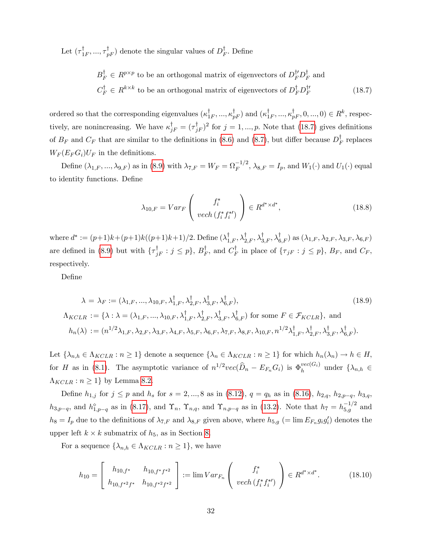Let  $(\tau_{1F}^{\dagger},...,\tau_{pF}^{\dagger})$  denote the singular values of  $D_F^{\dagger}$ . Define

<span id="page-33-0"></span>
$$
B_F^{\dagger} \in R^{p \times p}
$$
 to be an orthogonal matrix of eigenvectors of  $D_F^{\dagger} D_F^{\dagger}$  and  

$$
C_F^{\dagger} \in R^{k \times k}
$$
 to be an orthogonal matrix of eigenvectors of  $D_F^{\dagger} D_F^{\dagger}$  (18.7)

ordered so that the corresponding eigenvalues  $(\kappa_{1F}^{\dagger},...,\kappa_{pF}^{\dagger})$  and  $(\kappa_{1F}^{\dagger},...,\kappa_{pF}^{\dagger},0,...,0) \in R^{k}$ , respectively, are nonincreasing. We have  $\kappa_{jF}^{\dagger} = (\tau_{jF}^{\dagger})^2$  for  $j = 1, ..., p$ . Note that [\(18.7\)](#page-33-0) gives definitions of  $B_F$  and  $C_F$  that are similar to the definitions in [\(8.6\)](#page--1-9) and [\(8.7\)](#page--1-19), but differ because  $D_F^{\dagger}$  replaces  $W_F(E_F G_i) U_F$  in the definitions.

Define  $(\lambda_{1,F},...,\lambda_{9,F})$  as in [\(8.9\)](#page--1-21) with  $\lambda_{7,F} = W_F = \Omega_F^{-1/2}$ ,  $\lambda_{8,F} = I_p$ , and  $W_1(\cdot)$  and  $U_1(\cdot)$  equal to identity functions. Define

$$
\lambda_{10,F} = Var_F \left( \frac{f_i^*}{\text{vech} \left( f_i^* f_i^{*\prime} \right)} \right) \in R^{d^* \times d^*},\tag{18.8}
$$

where  $d^* := (p+1)k + (p+1)k((p+1)k+1)/2$ . Define  $(\lambda_{1,F}^{\text{T}}, \lambda_{2,F}^{\text{T}}, \lambda_{3,F}^{\text{T}}, \lambda_{6,F}^{\text{T}})$  as  $(\lambda_{1,F}, \lambda_{2,F}, \lambda_{3,F}, \lambda_{6,F})$ are defined in [\(8.9\)](#page--1-21) but with  $\{\tau_{jF}^{\dagger} : j \leq p\}$ ,  $B_F^{\dagger}$ , and  $C_F^{\dagger}$  in place of  $\{\tau_{jF} : j \leq p\}$ ,  $B_F$ , and  $C_F$ , respectively.

DeÖne

$$
\lambda = \lambda_F := (\lambda_{1,F}, ..., \lambda_{10,F}, \lambda_{1,F}^{\dagger}, \lambda_{2,F}^{\dagger}, \lambda_{3,F}^{\dagger}, \lambda_{6,F}^{\dagger}),
$$
\n
$$
\Lambda_{KCLR} := \{\lambda : \lambda = (\lambda_{1,F}, ..., \lambda_{10,F}, \lambda_{1,F}^{\dagger}, \lambda_{2,F}^{\dagger}, \lambda_{3,F}^{\dagger}, \lambda_{6,F}^{\dagger}) \text{ for some } F \in \mathcal{F}_{KCLR}\}, \text{ and}
$$
\n
$$
h_n(\lambda) := (n^{1/2}\lambda_{1,F}, \lambda_{2,F}, \lambda_{3,F}, \lambda_{4,F}, \lambda_{5,F}, \lambda_{6,F}, \lambda_{7,F}, \lambda_{8,F}, \lambda_{10,F}, n^{1/2}\lambda_{1,F}^{\dagger}, \lambda_{2,F}^{\dagger}, \lambda_{3,F}^{\dagger}, \lambda_{6,F}^{\dagger}).
$$
\n
$$
(18.9)
$$

Let  $\{\lambda_{n,h} \in \Lambda_{KCLR} : n \geq 1\}$  denote a sequence  $\{\lambda_n \in \Lambda_{KCLR} : n \geq 1\}$  for which  $h_n(\lambda_n) \to h \in H$ , for H as in [\(8.1\)](#page--1-31). The asymptotic variance of  $n^{1/2}vec(\hat{D}_n - E_{F_n}G_i)$  is  $\Phi_h^{vec(G_i)}$  $h^{vec(G_i)}$  under  $\{\lambda_{n,h} \in$  $\Lambda_{KCLR}: n \geq 1$  by Lemma [8.2.](#page--1-0)

Define  $h_{1,j}$  for  $j \leq p$  and  $h_s$  for  $s = 2, ..., 8$  as in [\(8.12\)](#page--1-16),  $q = q_h$  as in [\(8.16\)](#page--1-12),  $h_{2,q}$ ,  $h_{2,p-q}$ ,  $h_{3,q}$ ,  $h_{3,p-q}$ , and  $h_{1,p-q}^{\circ}$  as in [\(8.17\)](#page--1-14), and  $\Upsilon_n$ ,  $\Upsilon_{n,q}$ , and  $\Upsilon_{n,p-q}$  as in [\(13.2\)](#page-4-2). Note that  $h_7 = h_{5,g}^{-1/2}$  and  $h_8 = I_p$  due to the definitions of  $\lambda_{7,F}$  and  $\lambda_{8,F}$  given above, where  $h_{5,g}$  (= lim  $E_{F_n} g_i g_i'$ ) denotes the upper left  $k \times k$  submatrix of  $h_5$ , as in Section [8.](#page--1-3)

For a sequence  $\{\lambda_{n,h} \in \Lambda_{KCLR} : n \geq 1\}$ , we have

<span id="page-33-1"></span>
$$
h_{10} = \begin{bmatrix} h_{10,f^*} & h_{10,f^*f^{*2}} \\ h_{10,f^{*2}f^*} & h_{10,f^{*2}f^{*2}} \end{bmatrix} := \lim Var_{F_n} \begin{pmatrix} f_i^* \\ vech \left(f_i^* f_i^*\right) \end{pmatrix} \in R^{d^* \times d^*}. \tag{18.10}
$$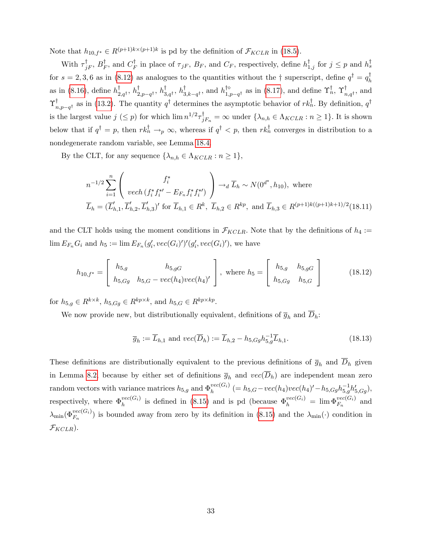Note that  $h_{10,f^*} \in R^{(p+1)k \times (p+1)k}$  is pd by the definition of  $\mathcal{F}_{KCLR}$  in [\(18.5\)](#page-32-3).

With  $\tau_{jF}^{\dagger}$ ,  $B_F^{\dagger}$ , and  $C_F^{\dagger}$  in place of  $\tau_{jF}$ ,  $B_F$ , and  $C_F$ , respectively, define  $h_{1,j}^{\dagger}$  for  $j \leq p$  and  $h_s^{\dagger}$ for  $s = 2, 3, 6$  as in [\(8.12\)](#page--1-16) as analogues to the quantities without the  $\dagger$  superscript, define  $q^{\dagger} = q_h^{\dagger}$ as in [\(8.16\)](#page--1-12), define  $h_{2,q}^{\dagger}$ ,  $h_{3,p-q}^{\dagger}$ ,  $h_{3,q}^{\dagger}$ ,  $h_{3,k-q}^{\dagger}$ , and  $h_{1,p-q}^{\dagger}$  as in [\(8.17\)](#page--1-14), and define  $\Upsilon_{n}^{\dagger}$ ,  $\Upsilon_{n,q}^{\dagger}$ , and  $\Upsilon^{\dagger}_{n,p-q^{\dagger}}$  as in [\(13.2\)](#page-4-2). The quantity  $q^{\dagger}$  determines the asymptotic behavior of  $rk_n^{\dagger}$ . By definition,  $q^{\dagger}$ is the largest value  $j \leq p$  for which  $\lim_{n \to \infty} n^{1/2} \tau_{jF_n}^{\dagger} = \infty$  under  $\{\lambda_{n,h} \in \Lambda_{KCLR} : n \geq 1\}$ . It is shown below that if  $q^{\dagger} = p$ , then  $rk_n^{\dagger} \to_p \infty$ , whereas if  $q^{\dagger} < p$ , then  $rk_n^{\dagger}$  converges in distribution to a nondegenerate random variable, see Lemma [18.4.](#page-42-0)

By the CLT, for any sequence  $\{\lambda_{n,h} \in \Lambda_{KCLR} : n \geq 1\},\$ 

<span id="page-34-1"></span>
$$
n^{-1/2} \sum_{i=1}^{n} \left( \frac{f_i^*}{\text{vech} \left( f_i^* f_i^{*'} - E_{F_n} f_i^* f_i^{*'} \right)} \right) \to_d \overline{L}_h \sim N(0^{d^*}, h_{10}), \text{ where}
$$
  

$$
\overline{L}_h = (\overline{L}'_{h,1}, \overline{L}'_{h,2}, \overline{L}'_{h,3})' \text{ for } \overline{L}_{h,1} \in R^k, \ \overline{L}_{h,2} \in R^{kp}, \text{ and } \overline{L}_{h,3} \in R^{(p+1)k((p+1)k+1)/2}(18.11)
$$

and the CLT holds using the moment conditions in  $\mathcal{F}_{KCLR}$ . Note that by the definitions of  $h_4 :=$  $\lim E_{F_n} G_i$  and  $h_5 := \lim E_{F_n}(g_i', vec(G_i)')'(g_i', vec(G_i)'),$  we have

$$
h_{10,f^*} = \begin{bmatrix} h_{5,g} & h_{5,gG} \\ h_{5,Gg} & h_{5,G} - vec(h_4)vec(h_4)' \end{bmatrix}, \text{ where } h_5 = \begin{bmatrix} h_{5,g} & h_{5,gG} \\ h_{5,Gg} & h_{5,G} \end{bmatrix}
$$
 (18.12)

for  $h_{5,g} \in R^{k \times k}$ ,  $h_{5,Gg} \in R^{kp \times k}$ , and  $h_{5,G} \in R^{kp \times kp}$ .

We now provide new, but distributionally equivalent, definitions of  $\overline{g}_h$  and  $\overline{D}_h$ :

<span id="page-34-0"></span>
$$
\overline{g}_h := \overline{L}_{h,1} \text{ and } vec(\overline{D}_h) := \overline{L}_{h,2} - h_{5,Gg} h_{5,g}^{-1} \overline{L}_{h,1}.
$$
 (18.13)

These definitions are distributionally equivalent to the previous definitions of  $\overline{g}_h$  and  $\overline{D}_h$  given in Lemma [8.2,](#page--1-0) because by either set of definitions  $\overline{g}_h$  and  $vec(\overline{D}_h)$  are independent mean zero random vectors with variance matrices  $h_{5,g}$  and  $\Phi_h^{vec(G_i)}$  $h_h^{vec(G_i)}$  (=  $h_{5,G} - vec(h_4)vec(h_4)' - h_{5,Gg}h_{5,g}^{-1}h_{5,Gg}$ ), respectively, where  $\Phi_h^{vec(G_i)}$  $\Phi_h^{vec(G_i)}$  is defined in [\(8.15\)](#page--1-13) and is pd (because  $\Phi_h^{vec(G_i)} = \lim \Phi_{F_n}^{vec(G_i)}$  and  $\lambda_{\min}(\Phi_{F_n}^{vec(G_i)})$  is bounded away from zero by its definition in [\(8.15\)](#page--1-13) and the  $\lambda_{\min}(\cdot)$  condition in  $\mathcal{F}_{KCLR}$ ).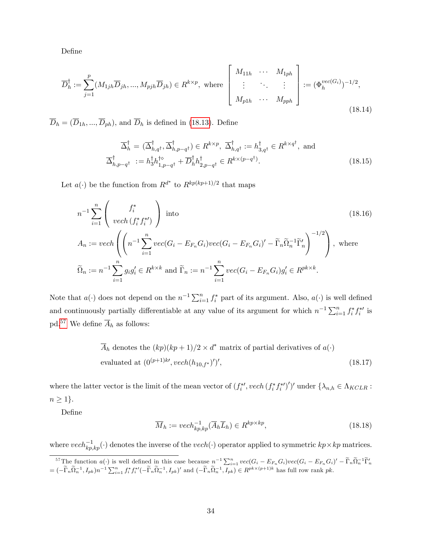DeÖne

<span id="page-35-1"></span>
$$
\overline{D}_h^{\dagger} := \sum_{j=1}^p (M_{1jh}\overline{D}_{jh}, ..., M_{pjh}\overline{D}_{jh}) \in R^{k \times p}, \text{ where } \begin{bmatrix} M_{11h} & \cdots & M_{1ph} \\ \vdots & \ddots & \vdots \\ M_{p1h} & \cdots & M_{pph} \end{bmatrix} := (\Phi_h^{vec(G_i)})^{-1/2},
$$
\n(18.14)

 $\overline{D}_h = (\overline{D}_{1h}, ..., \overline{D}_{ph})$ , and  $\overline{D}_h$  is defined in [\(18.13\)](#page-34-0). Define

<span id="page-35-2"></span>
$$
\overline{\Delta}_{h}^{\dagger} = (\overline{\Delta}_{h,q}^{\dagger}, \overline{\Delta}_{h,p-q}^{\dagger}) \in R^{k \times p}, \ \overline{\Delta}_{h,q}^{\dagger} := h_{3,q}^{\dagger} \in R^{k \times q^{\dagger}}, \text{ and}
$$

$$
\overline{\Delta}_{h,p-q}^{\dagger} := h_{3}^{\dagger} h_{1,p-q^{\dagger}}^{\dagger} + \overline{D}_{h}^{\dagger} h_{2,p-q^{\dagger}}^{\dagger} \in R^{k \times (p-q^{\dagger})}.
$$
(18.15)

Let  $a(\cdot)$  be the function from  $R^{d^*}$  to  $R^{kp(kp+1)/2}$  that maps

<span id="page-35-4"></span>
$$
n^{-1} \sum_{i=1}^{n} \left( \frac{f_i^*}{\text{vech}(f_i^* f_i^*)} \right) \text{ into}
$$
\n
$$
A_n := \text{vech}\left( \left( n^{-1} \sum_{i=1}^n \text{vec}(G_i - E_{F_n} G_i) \text{vec}(G_i - E_{F_n} G_i)' - \widetilde{\Gamma}_n \widetilde{\Omega}_n^{-1} \widetilde{\Gamma}_n' \right)^{-1/2} \right), \text{ where}
$$
\n
$$
\widetilde{\Omega}_n := n^{-1} \sum_{i=1}^n g_i g_i' \in R^{k \times k} \text{ and } \widetilde{\Gamma}_n := n^{-1} \sum_{i=1}^n \text{vec}(G_i - E_{F_n} G_i) g_i' \in R^{pk \times k}.
$$
\n(18.16)

Note that  $a(\cdot)$  does not depend on the  $n^{-1}\sum_{i=1}^{n} f_i^*$  part of its argument. Also,  $a(\cdot)$  is well defined and continuously partially differentiable at any value of its argument for which  $n^{-1} \sum_{i=1}^{n} f_i^* f_i^{*'}$  is pd.<sup>[57](#page-35-0)</sup> We define  $\overline{A}_h$  as follows:

$$
\overline{A}_h
$$
 denotes the  $(kp)(kp+1)/2 \times d^*$  matrix of partial derivatives of  $a(\cdot)$   
evaluated at  $(0^{(p+1)k'}, vech(h_{10,f^*})')',$  (18.17)

where the latter vector is the limit of the mean vector of  $(f_i^*, \text{vech}(f_i^*, f_i^*)')'$  under  $\{\lambda_{n,h} \in \Lambda_{KCLR} :$  $n \geq 1$ .

DeÖne

<span id="page-35-3"></span>
$$
\overline{M}_h := \operatorname{vech}_{kp, kp}^{-1}(\overline{A}_h \overline{L}_h) \in R^{kp \times kp},\tag{18.18}
$$

where  $vech_{kp,kp}^{-1}(\cdot)$  denotes the inverse of the  $vech(\cdot)$  operator applied to symmetric  $kp \times kp$  matrices.

<span id="page-35-0"></span><sup>&</sup>lt;sup>57</sup>The function  $a(\cdot)$  is well defined in this case because  $n^{-1} \sum_{i=1}^{n} vec(G_i - E_{F_n}G_i)vec(G_i - E_{F_n}G_i)' - \widetilde{\Gamma}_n \widetilde{\Omega}_n^{-1} \widetilde{\Gamma}_n'$  $= (-\widetilde{\Gamma}_n \widetilde{\Omega}_n^{-1}, I_{pk})n^{-1} \sum_{i=1}^n f_i^* f_i^{*\prime}(-\widetilde{\Gamma}_n \widetilde{\Omega}_n^{-1}, I_{pk})'$  and  $(-\widetilde{\Gamma}_n \widetilde{\Omega}_n^{-1}, I_{pk}) \in R^{pk \times (p+1)k}$  has full row rank pk.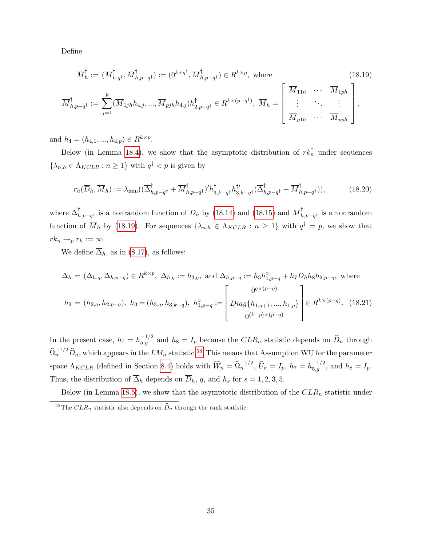DeÖne

<span id="page-36-0"></span>
$$
\overline{M}_h^{\dagger} := (\overline{M}_{h,q^{\dagger}}^{\dagger}, \overline{M}_{h,p-q^{\dagger}}^{\dagger}) := (0^{k \times q^{\dagger}}, \overline{M}_{h,p-q^{\dagger}}^{\dagger}) \in R^{k \times p}, \text{ where}
$$
\n
$$
\overline{M}_{h,p-q^{\dagger}}^{\dagger} := \sum_{j=1}^{p} (\overline{M}_{1jh} h_{4,j}, ..., \overline{M}_{pjh} h_{4,j}) h_{2,p-q^{\dagger}}^{\dagger} \in R^{k \times (p-q^{\dagger})}, \overline{M}_h = \begin{bmatrix} \overline{M}_{11h} & \cdots & \overline{M}_{1ph} \\ \vdots & \ddots & \vdots \\ \overline{M}_{p1h} & \cdots & \overline{M}_{pph} \end{bmatrix},
$$
\n(18.19)

and  $h_4 = (h_{4,1}, ..., h_{4,p}) \in R^{k \times p}$ .

Below (in Lemma [18.4\)](#page-42-0), we show that the asymptotic distribution of  $rk_n^{\dagger}$  under sequences  $\{\lambda_{n,h} \in \Lambda_{KCLR} : n \geq 1\}$  with  $q^{\dagger} < p$  is given by

<span id="page-36-2"></span>
$$
r_h(\overline{D}_h, \overline{M}_h) := \lambda_{\min}((\overline{\Delta}_{h, p-q^{\dagger}}^{\dagger} + \overline{M}_{h, p-q^{\dagger}}^{\dagger})' h_{3, k-q^{\dagger}}^{\dagger} h_{3, k-q^{\dagger}}^{t'}(\overline{\Delta}_{h, p-q^{\dagger}}^{\dagger} + \overline{M}_{h, p-q^{\dagger}}^{\dagger})),
$$
(18.20)

where  $\overline{\Delta}_{h,p-q}^{\dagger}$  is a nonrandom function of  $\overline{D}_h$  by [\(18.14\)](#page-35-1) and [\(18.15\)](#page-35-2) and  $\overline{M}_{h,p-q}^{\dagger}$  is a nonrandom function of  $M_h$  by [\(18.19\)](#page-36-0). For sequences  $\{\lambda_{n,h} \in \Lambda_{KCLR} : n \geq 1\}$  with  $q^{\dagger} = p$ , we show that  $rk_n \rightarrow_p \overline{r}_h := \infty.$ 

We define  $\overline{\Delta}_h$ , as in [\(8.17\)](#page--1-14), as follows:

<span id="page-36-3"></span>
$$
\overline{\Delta}_h = (\overline{\Delta}_{h,q}, \overline{\Delta}_{h,p-q}) \in R^{k \times p}, \ \overline{\Delta}_{h,q} := h_{3,q}, \text{ and } \overline{\Delta}_{h,p-q} := h_3 h_{1,p-q}^{\diamond} + h_7 \overline{D}_h h_8 h_{2,p-q}, \text{ where}
$$

$$
h_2 = (h_{2,q}, h_{2,p-q}), \ h_3 = (h_{3,q}, h_{3,k-q}), \ h_{1,p-q}^{\diamond} := \begin{bmatrix} 0^{q \times (p-q)} \\ Diag\{h_{1,q+1}, ..., h_{1,p}\} \\ 0^{(k-p) \times (p-q)} \end{bmatrix} \in R^{k \times (p-q)}. \tag{18.21}
$$

In the present case,  $h_7 = h_{5,g}^{-1/2}$  and  $h_8 = I_p$  because the  $CLR_n$  statistic depends on  $\widehat{D}_n$  through  $\widehat{\Omega}_n^{-1/2} \widehat{D}_n$ , which appears in the  $LM_n$  statistic.<sup>[58](#page-36-1)</sup> This means that Assumption WU for the parameter space  $\Lambda_{KCLR}$  (defined in Section [8.4\)](#page--1-32) holds with  $\widehat{W}_n = \widehat{\Omega}_n^{-1/2}$ ,  $\widehat{U}_n = I_p$ ,  $h_7 = h_{5,g}^{-1/2}$ , and  $h_8 = I_p$ . Thus, the distribution of  $\overline{\Delta}_h$  depends on  $\overline{D}_h$ , q, and  $h_s$  for  $s = 1, 2, 3, 5$ .

Below (in Lemma [18.5\)](#page-42-1), we show that the asymptotic distribution of the  $CLR_n$  statistic under

<span id="page-36-1"></span><sup>&</sup>lt;sup>58</sup>The  $CLR_n$  statistic also depends on  $\widehat{D}_n$  through the rank statistic.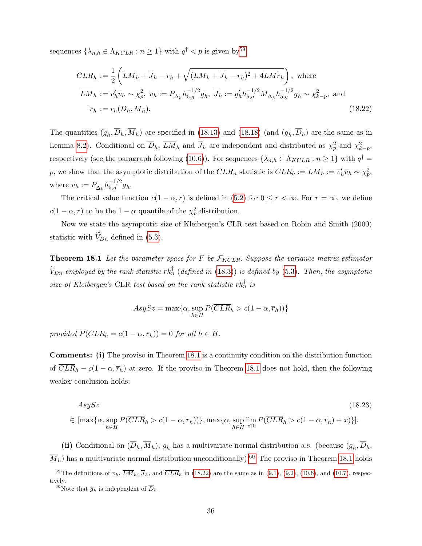sequences  $\{\lambda_{n,h} \in \Lambda_{KCLR} : n \ge 1\}$  with  $q^{\dagger} < p$  is given by  $59$ 

<span id="page-37-3"></span>
$$
\overline{CLR}_h := \frac{1}{2} \left( \overline{LM}_h + \overline{J}_h - \overline{r}_h + \sqrt{(\overline{LM}_h + \overline{J}_h - \overline{r}_h)^2 + 4\overline{LM}\overline{r}_h} \right), \text{ where}
$$
\n
$$
\overline{LM}_h := \overline{v}'_h \overline{v}_h \sim \chi_p^2, \ \overline{v}_h := P_{\overline{\Delta}_h} h_{5,g}^{-1/2} \overline{g}_h, \ \overline{J}_h := \overline{g}'_h h_{5,g}^{-1/2} M_{\overline{\Delta}_h} h_{5,g}^{-1/2} \overline{g}_h \sim \chi_{k-p}^2, \text{ and}
$$
\n
$$
\overline{r}_h := r_h(\overline{D}_h, \overline{M}_h). \tag{18.22}
$$

The quantities  $(\bar{g}_h, D_h, M_h)$  are specified in [\(18.13\)](#page-34-0) and [\(18.18\)](#page-35-3) (and  $(\bar{g}_h, D_h)$  are the same as in Lemma [8.2\)](#page--1-0). Conditional on  $\overline{D}_h$ ,  $\overline{LM}_h$  and  $\overline{J}_h$  are independent and distributed as  $\chi_p^2$  and  $\chi_{k-p}^2$ , respectively (see the paragraph following [\(10.6\)](#page--1-33)). For sequences  $\{\lambda_{n,h} \in \Lambda_{KCLR} : n \ge 1\}$  with  $q^{\dagger} =$ p, we show that the asymptotic distribution of the  $CLR_n$  statistic is  $\overline{CLR}_h := \overline{LM}_h := \overline{v}'_h \overline{v}_h \sim \chi_p^2$ , where  $\overline{v}_h := P_{\overline{\Delta}_h} h_{5,g}^{-1/2} \overline{g}_h$ .

The critical value function  $c(1 - \alpha, r)$  is defined in [\(5.2\)](#page--1-34) for  $0 \le r < \infty$ . For  $r = \infty$ , we define  $c(1 - \alpha, r)$  to be the  $1 - \alpha$  quantile of the  $\chi_p^2$  distribution.

Now we state the asymptotic size of Kleibergen's CLR test based on Robin and Smith (2000) statistic with  $V_{Dn}$  defined in [\(5.3\)](#page--1-24).

<span id="page-37-1"></span>**Theorem 18.1** Let the parameter space for F be  $\mathcal{F}_{KCLR}$ . Suppose the variance matrix estimator  $V_{Dn}$  employed by the rank statistic  $rk_n^{\dagger}$  (defined in [\(18.3\)](#page-32-1)) is defined by [\(5.3\)](#page--1-24). Then, the asymptotic size of Kleibergen's CLR test based on the rank statistic  $rk_n^{\dagger}$  is

$$
AsySz = \max\{\alpha, \sup_{h \in H} P(\overline{CLR}_h > c(1 - \alpha, \overline{r}_h))\}
$$

provided  $P(\overline{CLR}_h = c(1 - \alpha, \overline{r}_h)) = 0$  for all  $h \in H$ .

Comments: (i) The proviso in Theorem [18.1](#page-37-1) is a continuity condition on the distribution function of  $\overline{CLR}_h - c(1 - \alpha, \overline{r}_h)$  at zero. If the proviso in Theorem [18.1](#page-37-1) does not hold, then the following weaker conclusion holds:

$$
AsySz
$$
\n
$$
\in [\max\{\alpha, \sup_{h \in H} P(\overline{CLR}_h > c(1-\alpha, \overline{r}_h))\}, \max\{\alpha, \sup_{h \in H} \lim_{x \uparrow 0} P(\overline{CLR}_h > c(1-\alpha, \overline{r}_h) + x)\}].
$$
\n(18.23)

(ii) Conditional on  $(D_h, M_h)$ ,  $\overline{g}_h$  has a multivariate normal distribution a.s. (because  $(\overline{g}_h, D_h,$  $\overline{M}_h$ ) has a multivariate normal distribution unconditionally).<sup>[60](#page-37-2)</sup> The proviso in Theorem [18.1](#page-37-1) holds

<span id="page-37-0"></span><sup>&</sup>lt;sup>59</sup>The definitions of  $\overline{v}_h$ ,  $\overline{LM}_h$ ,  $\overline{J}_h$ , and  $\overline{CLR}_h$  in [\(18.22\)](#page-37-3) are the same as in [\(9.1\)](#page--1-35), [\(9.2\)](#page--1-36), [\(10.6\)](#page--1-33), and [\(10.7\)](#page--1-37), respectively.

<span id="page-37-2"></span><sup>&</sup>lt;sup>60</sup>Note that  $\overline{g}_h$  is independent of  $\overline{D}_h$ .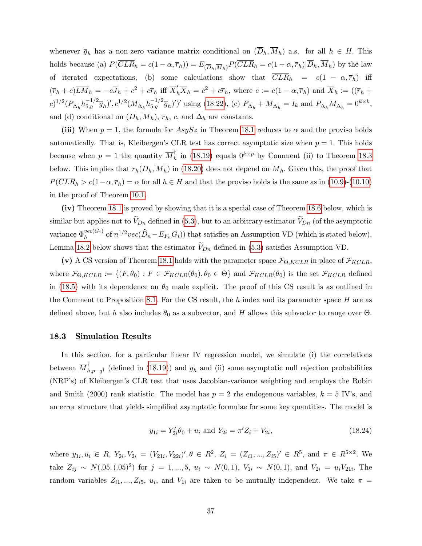whenever  $\overline{g}_h$  has a non-zero variance matrix conditional on  $(\overline{D}_h, \overline{M}_h)$  a.s. for all  $h \in H$ . This holds because (a)  $P(\overline{CLR}_h = c(1-\alpha,\overline{r}_h)) = E_{(\overline{D}_h,\overline{M}_h)}P(\overline{CLR}_h = c(1-\alpha,\overline{r}_h)|\overline{D}_h,\overline{M}_h)$  by the law of iterated expectations, (b) some calculations show that  $\overline{CLR}_h = c(1 - \alpha, \overline{r}_h)$  iff  $(\bar{r}_h + c)\overline{LM}_h = -c\overline{J}_h + c^2 + c\overline{r}_h$  iff  $\overline{X}'_h\overline{X}_h = c^2 + c\overline{r}_h$ , where  $c := c(1 - \alpha, \overline{r}_h)$  and  $\overline{X}_h := ((\overline{r}_h + c)\overline{LM}_h)$  $(c)^{1/2} (P_{\overline{\Delta}_h} h_{5,g}^{-1/2} \overline{g}_h)'$ ,  $c^{1/2} (M_{\overline{\Delta}_h} h_{5,g}^{-1/2} \overline{g}_h)')'$  using [\(18.22\)](#page-37-3), (c)  $P_{\overline{\Delta}_h} + M_{\overline{\Delta}_h} = I_k$  and  $P_{\overline{\Delta}_h} M_{\overline{\Delta}_h} = 0^{k \times k}$ , and (d) conditional on  $(\overline{D}_h, \overline{M}_h)$ ,  $\overline{r}_h$ , c, and  $\overline{\Delta}_h$  are constants.

(iii) When  $p = 1$ , the formula for  $AsySz$  in Theorem [18.1](#page-37-1) reduces to  $\alpha$  and the proviso holds automatically. That is, Kleibergen's CLR test has correct asymptotic size when  $p = 1$ . This holds because when  $p = 1$  the quantity  $\overline{M}_h^{\dagger}$  in [\(18.19\)](#page-36-0) equals  $0^{k \times p}$  by Comment (ii) to Theorem [18.3](#page-41-1) below. This implies that  $r_h(\overline{D}_h, \overline{M}_h)$  in [\(18.20\)](#page-36-2) does not depend on  $\overline{M}_h$ . Given this, the proof that  $P(\overline{CLR}_h > c(1-\alpha, \overline{r}_h) = \alpha$  for all  $h \in H$  and that the proviso holds is the same as in [\(10.9\)](#page--1-38)-[\(10.10\)](#page--1-39) in the proof of Theorem [10.1.](#page--1-25)

(iv) Theorem [18.1](#page-37-1) is proved by showing that it is a special case of Theorem [18.6](#page-43-0) below, which is similar but applies not to  $V_{Dn}$  defined in [\(5.3\)](#page--1-24), but to an arbitrary estimator  $V_{Dn}$  (of the asymptotic variance  $\Phi_h^{vec(G_i)}$  $\lim_{h} \frac{\text{vec}(G_i)}{h}$  of  $n^{1/2}\text{vec}(\widehat{D}_n - E_{F_n}G_i)$  that satisfies an Assumption VD (which is stated below). Lemma [18.2](#page-41-0) below shows that the estimator  $V_{Dn}$  defined in [\(5.3\)](#page--1-24) satisfies Assumption VD.

(v) A CS version of Theorem [18.1](#page-37-1) holds with the parameter space  $\mathcal{F}_{\Theta, KCLR}$  in place of  $\mathcal{F}_{KCLR}$ , where  $\mathcal{F}_{\Theta, KCLR} := \{(F, \theta_0) : F \in \mathcal{F}_{KCLR}(\theta_0), \theta_0 \in \Theta\}$  and  $\mathcal{F}_{KCLR}(\theta_0)$  is the set  $\mathcal{F}_{KCLR}$  defined in [\(18.5\)](#page-32-3) with its dependence on  $\theta_0$  made explicit. The proof of this CS result is as outlined in the Comment to Proposition [8.1.](#page--1-40) For the CS result, the h index and its parameter space H are as defined above, but h also includes  $\theta_0$  as a subvector, and H allows this subvector to range over  $\Theta$ .

#### <span id="page-38-0"></span>18.3 Simulation Results

In this section, for a particular linear IV regression model, we simulate (i) the correlations between  $\overline{M}_{h,p-q}^{\dagger}$  (defined in [\(18.19\)](#page-36-0)) and  $\overline{g}_h$  and (ii) some asymptotic null rejection probabilities (NRPís) of Kleibergenís CLR test that uses Jacobian-variance weighting and employs the Robin and Smith (2000) rank statistic. The model has  $p = 2$  rhs endogenous variables,  $k = 5$  IV's, and an error structure that yields simplified asymptotic formulae for some key quantities. The model is

$$
y_{1i} = Y_{2i}'\theta_0 + u_i \text{ and } Y_{2i} = \pi' Z_i + V_{2i},\tag{18.24}
$$

where  $y_{1i}, u_i \in R$ ,  $Y_{2i}, V_{2i} = (V_{21i}, V_{22i})', \theta \in R^2$ ,  $Z_i = (Z_{i1}, ..., Z_{i5})' \in R^5$ , and  $\pi \in R^{5 \times 2}$ . We take  $Z_{ij} \sim N(.05, (.05)^2)$  for  $j = 1, ..., 5, u_i \sim N(0, 1), V_{1i} \sim N(0, 1),$  and  $V_{2i} = u_i V_{21i}$ . The random variables  $Z_{i1},..., Z_{i5}, u_i$ , and  $V_{1i}$  are taken to be mutually independent. We take  $\pi$  =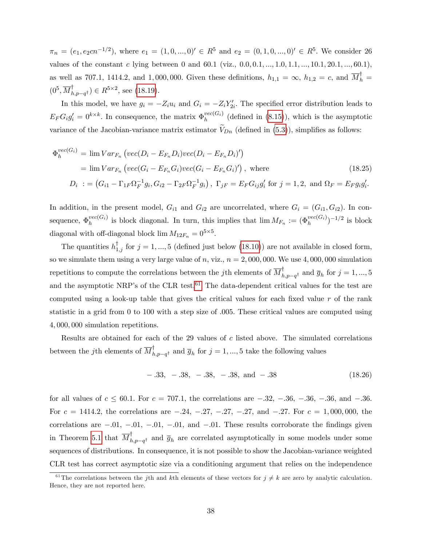$\pi_n = (e_1, e_2cn^{-1/2}),$  where  $e_1 = (1, 0, ..., 0)' \in R^5$  and  $e_2 = (0, 1, 0, ..., 0)' \in R^5$ . We consider 26 values of the constant c lying between 0 and 60.1 (viz.,  $0.0, 0.1, ..., 1.0, 1.1, ..., 10.1, 20.1, ..., 60.1$ ), as well as 707.1, 1414.2, and 1,000,000. Given these definitions,  $h_{1,1} = \infty$ ,  $h_{1,2} = c$ , and  $\overline{M}_h^{\dagger} =$  $(0^5, \overline{M}_{h,p-q^{\dagger}}^{\dagger}) \in R^{5 \times 2}$ , see [\(18.19\)](#page-36-0).

In this model, we have  $g_i = -Z_i u_i$  and  $G_i = -Z_i Y'_{2i}$ . The specified error distribution leads to  $E_F G_i g_i' = 0^{k \times k}$ . In consequence, the matrix  $\Phi_h^{vec(G_i)}$  $h_h^{vec(G_i)}$  (defined in [\(8.15\)](#page--1-13)), which is the asymptotic variance of the Jacobian-variance matrix estimator  $V_{Dn}$  (defined in [\(5.3\)](#page--1-24)), simplifies as follows:

$$
\Phi_h^{vec(G_i)} = \lim Var_{F_n} \left( vec(D_i - E_{F_n} D_i) vec(D_i - E_{F_n} D_i)' \right)
$$
\n
$$
= \lim Var_{F_n} \left( vec(G_i - E_{F_n} G_i) vec(G_i - E_{F_n} G_i)' \right), \text{ where}
$$
\n
$$
D_i := \left( G_{i1} - \Gamma_{1F} \Omega_F^{-1} g_i, G_{i2} - \Gamma_{2F} \Omega_F^{-1} g_i \right), \ \Gamma_{jF} = E_F G_{ij} g'_i \text{ for } j = 1, 2, \text{ and } \Omega_F = E_F g_i g'_i.
$$
\n
$$
(18.25)
$$

In addition, in the present model,  $G_{i1}$  and  $G_{i2}$  are uncorrelated, where  $G_i = (G_{i1}, G_{i2})$ . In consequence,  $\Phi_h^{vec(G_i)}$  $\binom{vec(G_i)}{h}$  is block diagonal. In turn, this implies that  $\lim M_{F_n} := (\Phi_h^{vec(G_i)})^{-1/2}$  is block diagonal with off-diagonal block  $\lim M_{12F_n} = 0^{5 \times 5}$ .

The quantities  $h_{1,j}^{\dagger}$  for  $j = 1, ..., 5$  (defined just below [\(18.10\)](#page-33-1)) are not available in closed form, so we simulate them using a very large value of n, viz.,  $n = 2,000,000$ . We use 4,000,000 simulation repetitions to compute the correlations between the jth elements of  $\overline{M}_{h,p-q^{\dagger}}^{\dagger}$  and  $\overline{g}_h$  for  $j = 1, ..., 5$ and the asymptotic NRP's of the CLR test.<sup>[61](#page-39-0)</sup> The data-dependent critical values for the test are computed using a look-up table that gives the critical values for each fixed value  $r$  of the rank statistic in a grid from 0 to 100 with a step size of  $.005$ . These critical values are computed using 4; 000; 000 simulation repetitions.

Results are obtained for each of the 29 values of  $c$  listed above. The simulated correlations between the *j*th elements of  $\overline{M}_{h,p-q^{\dagger}}$  and  $\overline{g}_h$  for  $j = 1, ..., 5$  take the following values

$$
-.33, -.38, -.38, -.38, \text{ and } -.38 \tag{18.26}
$$

for all values of  $c \le 60.1$ . For  $c = 707.1$ , the correlations are  $-.32, -.36, -.36, -.36, and -.36$ . For  $c = 1414.2$ , the correlations are  $-.24, -.27, -.27, -.27, and -.27.$  For  $c = 1,000,000$ , the correlations are  $-.01, -.01, -.01, -.01, and -.01$ . These results corroborate the findings given in Theorem [5.1](#page--1-6) that  $\overline{M}_{h,p-q^{\dagger}}^{\dagger}$  and  $\overline{g}_h$  are correlated asymptotically in some models under some sequences of distributions. In consequence, it is not possible to show the Jacobian-variance weighted CLR test has correct asymptotic size via a conditioning argument that relies on the independence

<span id="page-39-0"></span><sup>&</sup>lt;sup>61</sup>The correlations between the jth and kth elements of these vectors for  $j \neq k$  are zero by analytic calculation. Hence, they are not reported here.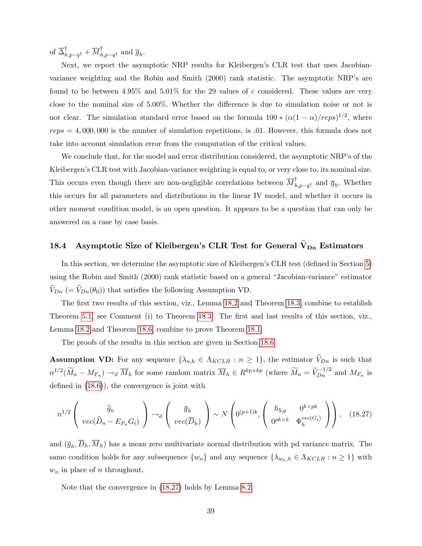of  $\overline{\Delta}_{h,p-q^{\dagger}}^{\dagger} + \overline{M}_{h,p-q^{\dagger}}^{\dagger}$  and  $\overline{g}_h$ .

Next, we report the asymptotic NRP results for Kleibergen's CLR test that uses Jacobianvariance weighting and the Robin and Smith  $(2000)$  rank statistic. The asymptotic NRP's are found to be between  $4.95\%$  and  $5.01\%$  for the 29 values of c considered. These values are very close to the nominal size of  $5.00\%$ . Whether the difference is due to simulation noise or not is not clear. The simulation standard error based on the formula  $100 * (\alpha(1-\alpha)/reps)^{1/2}$ , where  $reps = 4,000,000$  is the number of simulation repetitions, is 0.01. However, this formula does not take into account simulation error from the computation of the critical values.

We conclude that, for the model and error distribution considered, the asymptotic NRP's of the Kleibergen's CLR test with Jacobian-variance weighting is equal to, or very close to, its nominal size. This occurs even though there are non-negligible correlations between  $\overline{M}_{h,p-q}^{\dagger}$  and  $\overline{g}_h$ . Whether this occurs for all parameters and distributions in the linear IV model, and whether it occurs in other moment condition model, is an open question. It appears to be a question that can only be answered on a case by case basis.

### <span id="page-40-0"></span>18.4 Asymptotic Size of Kleibergen's CLR Test for General  $\widetilde{V}_{Dn}$  Estimators

In this section, we determine the asymptotic size of Kleibergen's CLR test (defined in Section [5\)](#page--1-7) using the Robin and Smith (2000) rank statistic based on a general "Jacobian-variance" estimator  $V_{Dn}$  (=  $V_{Dn}(\theta_0)$ ) that satisfies the following Assumption VD.

The first two results of this section, viz., Lemma [18.2](#page-41-0) and Theorem [18.3,](#page-41-1) combine to establish Theorem [5.1,](#page--1-6) see Comment (i) to Theorem [18.3.](#page-41-1) The first and last results of this section, viz., Lemma [18.2](#page-41-0) and Theorem [18.6,](#page-43-0) combine to prove Theorem [18.1.](#page-37-1)

The proofs of the results in this section are given in Section [18.6.](#page-46-0)

**Assumption VD:** For any sequence  $\{\lambda_{n,h} \in \Lambda_{KCLR} : n \geq 1\}$ , the estimator  $V_{Dn}$  is such that  $n^{1/2}(\widetilde{M}_n - M_{F_n}) \to_d \overline{M}_h$  for some random matrix  $\overline{M}_h \in R^{kp \times kp}$  (where  $\widetilde{M}_n = \widetilde{V}_{Dn}^{-1/2}$  and  $M_{F_n}$  is defined in  $(18.6)$ , the convergence is joint with

<span id="page-40-1"></span>
$$
n^{1/2} \left( \begin{array}{c} \widehat{g}_n \\ vec(\widehat{D}_n - E_{F_n} G_i) \end{array} \right) \rightarrow_d \left( \begin{array}{c} \overline{g}_h \\ vec(\overline{D}_h) \end{array} \right) \sim N \left( 0^{(p+1)k}, \left( \begin{array}{cc} h_{5,g} & 0^{k \times pk} \\ 0^{pk \times k} & \Phi_h^{vec(G_i)} \end{array} \right) \right), \quad (18.27)
$$

and  $(\overline{g}_h, D_h, M_h)$  has a mean zero multivariate normal distribution with pd variance matrix. The same condition holds for any subsequence  $\{w_n\}$  and any sequence  $\{\lambda_{w_n,h} \in \Lambda_{KCLR} : n \geq 1\}$  with  $w_n$  in place of n throughout.

Note that the convergence in [\(18.27\)](#page-40-1) holds by Lemma [8.2.](#page--1-0)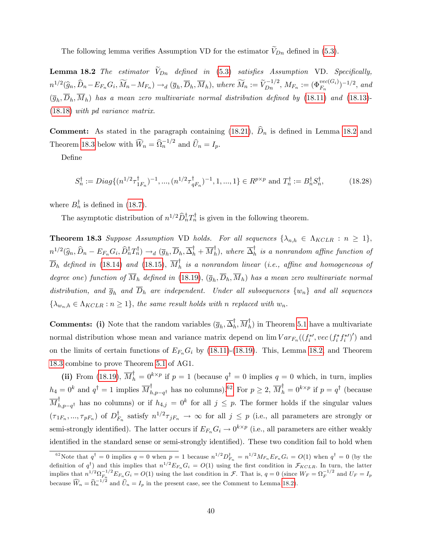The following lemma verifies Assumption VD for the estimator  $V_{Dn}$  defined in [\(5.3\)](#page--1-24).

<span id="page-41-0"></span>**Lemma 18.2** The estimator  $\widetilde{V}_{Dn}$  defined in [\(5.3\)](#page--1-24) satisfies Assumption VD. Specifically,  $n^{1/2}(\widehat{g}_n, \widehat{D}_n - E_{F_n}G_i, \widetilde{M}_n - M_{F_n}) \rightarrow_d (\overline{g}_h, \overline{D}_h, \overline{M}_h),$  where  $\widetilde{M}_n := \widetilde{V}_{Dn}^{-1/2}, M_{F_n} := (\Phi_{F_n}^{vec(G_i)})^{-1/2},$  and  $(\overline{g}_h, D_h, M_h)$  has a mean zero multivariate normal distribution defined by [\(18.11\)](#page-34-1) and [\(18.13\)](#page-34-0)-[\(18.18\)](#page-35-3) with pd variance matrix.

**Comment:** As stated in the paragraph containing [\(18.21\)](#page-36-3),  $D_n$  is defined in Lemma [18.2](#page-41-0) and Theorem [18.3](#page-41-1) below with  $\widehat{W}_n = \widehat{\Omega}_n^{-1/2}$  and  $\widehat{U}_n = I_p$ .

DeÖne

<span id="page-41-3"></span>
$$
S_n^{\dagger} := Diag\{(n^{1/2}\tau_{1F_n}^{\dagger})^{-1}, ..., (n^{1/2}\tau_{qF_n}^{\dagger})^{-1}, 1, ..., 1\} \in R^{p \times p} \text{ and } T_n^{\dagger} := B_n^{\dagger} S_n^{\dagger}, \tag{18.28}
$$

where  $B_n^{\dagger}$  is defined in [\(18.7\)](#page-33-0).

The asymptotic distribution of  $n^{1/2} \hat{D}_n^{\dagger} T_n^{\dagger}$  is given in the following theorem.

<span id="page-41-1"></span>**Theorem 18.3** Suppose Assumption VD holds. For all sequences  $\{\lambda_{n,h} \in \Lambda_{KCLR} : n \geq 1\}$ ,  $n^{1/2}(\widehat{g}_n, \widehat{D}_n - E_{F_n}G_i, \widehat{D}_n^{\dagger}T_n^{\dagger}) \rightarrow_d (\overline{g}_h, \overline{D}_h, \overline{\Delta}_h^{\dagger} + \overline{M}_h^{\dagger}),$  where  $\overline{\Delta}_h^{\dagger}$  is a nonrandom affine function of  $\overline{D}_h$  defined in [\(18.14\)](#page-35-1) and [\(18.15\)](#page-35-2),  $\overline{M}_h^\intercal$  is a nonrandom linear (i.e., affine and homogeneous of degree one) function of  $M_h$  defined in [\(18.19\)](#page-36-0),  $(\overline{g}_h, D_h, M_h)$  has a mean zero multivariate normal distribution, and  $\overline{g}_h$  and  $\overline{D}_h$  are independent. Under all subsequences  $\{w_n\}$  and all sequences  $\{\lambda_{w_n,h} \in \Lambda_{KCLR} : n \geq 1\}$ , the same result holds with n replaced with  $w_n$ .

**Comments:** (i) Note that the random variables  $(\overline{g}_h, \overline{\Delta}_h^{\dagger}, \overline{M}_h^{\dagger})$  in Theorem [5.1](#page--1-6) have a multivariate normal distribution whose mean and variance matrix depend on  $\lim Var_{F_n}((f_i^{*,}vec(f_i^{*,*}))')$  and on the limits of certain functions of  $E_{F_n}G_i$  by [\(18.11\)](#page-34-1)-[\(18.19\)](#page-36-0). This, Lemma [18.2,](#page-41-0) and Theorem [18.3](#page-41-1) combine to prove Theorem [5.1](#page--1-6) of AG1.

(ii) From [\(18.19\)](#page-36-0),  $\overline{M}_h^{\dagger} = 0^{k \times p}$  if  $p = 1$  (because  $q^{\dagger} = 0$  implies  $q = 0$  which, in turn, implies  $h_4 = 0^k$  and  $q^{\dagger} = 1$  implies  $\overline{M}_{h,p-q^{\dagger}}^{\dagger}$  has no columns).<sup>[62](#page-41-2)</sup> For  $p \geq 2$ ,  $\overline{M}_{h}^{\dagger} = 0^{k \times p}$  if  $p = q^{\dagger}$  (because  $\overline{M}_{h,p-q^{\dagger}}^{\dagger}$  has no columns) or if  $h_{4,j} = 0^k$  for all  $j \leq p$ . The former holds if the singular values  $(\tau_{1F_n},...,\tau_{pF_n})$  of  $D_{F_n}^{\dagger}$  satisfy  $n^{1/2}\tau_{jF_n} \to \infty$  for all  $j \leq p$  (i.e., all parameters are strongly or semi-strongly identified). The latter occurs if  $E_{F_n}G_i \to 0^{k \times p}$  (i.e., all parameters are either weakly identified in the standard sense or semi-strongly identified). These two condition fail to hold when

<span id="page-41-2"></span><sup>&</sup>lt;sup>62</sup>Note that  $q^{\dagger} = 0$  implies  $q = 0$  when  $p = 1$  because  $n^{1/2}D_{F_n}^{\dagger} = n^{1/2}M_{F_n}E_{F_n}G_i = O(1)$  when  $q^{\dagger} = 0$  (by the definition of  $q^{\dagger}$ ) and this implies that  $n^{1/2}E_{F_n}G_i = O(1)$  using the first condition in  $\mathcal{F}_{KCLR}$ . In turn, the latter implies that  $n^{1/2} \Omega_{F_n}^{-1/2} E_{F_n} G_i = O(1)$  using the last condition in  $\mathcal{F}$ . That is,  $q = 0$  (since  $W_F = \Omega_F^{-1/2}$  and  $U_F = I_p$ because  $\widehat{W}_n = \widehat{\Omega}_n^{-1/2}$  and  $\widehat{U}_n = I_p$  in the present case, see the Comment to Lemma [18.2\)](#page-41-0).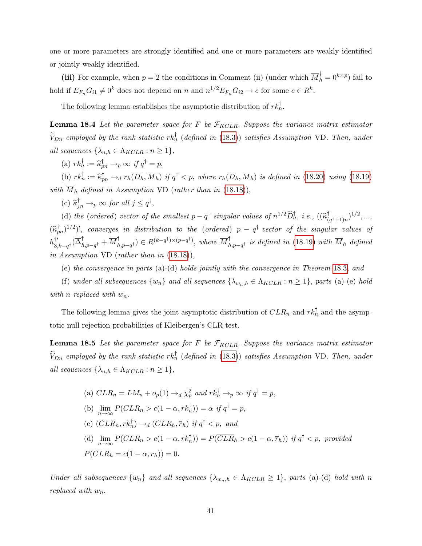one or more parameters are strongly identified and one or more parameters are weakly identified or jointly weakly identified.

(iii) For example, when  $p = 2$  the conditions in Comment (ii) (under which  $\overline{M}_h^{\dagger} = 0^{k \times p}$ ) fail to hold if  $E_{F_n}G_{i1} \neq 0^k$  does not depend on n and  $n^{1/2}E_{F_n}G_{i2} \to c$  for some  $c \in R^k$ .

The following lemma establishes the asymptotic distribution of  $rk_n^{\dagger}$ .

<span id="page-42-0"></span>**Lemma 18.4** Let the parameter space for F be  $\mathcal{F}_{KCLR}$ . Suppose the variance matrix estimator  $V_{Dn}$  employed by the rank statistic  $rk_n^{\dagger}$  (defined in [\(18.3\)](#page-32-1)) satisfies Assumption VD. Then, under all sequences  $\{\lambda_{n,h} \in \Lambda_{KCLR} : n \geq 1\},\$ 

(a)  $rk_n^{\dagger} := \widehat{\kappa}_{pn}^{\dagger} \rightarrow_p \infty$  if  $q^{\dagger} = p$ ,

(b)  $rk_n^{\dagger} := \widehat{\kappa}_{pn}^{\dagger} \rightarrow_d r_h(D_h, M_h)$  if  $q^{\dagger} < p$ , where  $r_h(D_h, M_h)$  is defined in [\(18.20\)](#page-36-2) using [\(18.19\)](#page-36-0) with  $\overline{M}_h$  defined in Assumption VD (rather than in [\(18.18\)](#page-35-3)),

(c)  $\widehat{\kappa}_{jn}^{\dagger} \rightarrow_p \infty$  for all  $j \leq q^{\dagger}$ ,

(d) the (ordered) vector of the smallest  $p - q^{\dagger}$  singular values of  $n^{1/2} \widehat{D}_n^{\dagger}$ , i.e.,  $((\widehat{k}_{(q^{\dagger}+1)n}^{\dagger})^{1/2}, ...,$  $(\widehat{\kappa}_{pn}^{\dagger})^{1/2})'$ , converges in distribution to the (ordered)  $p - q^{\dagger}$  vector of the singular values of  $h^{\dagger\prime}_{3,k-q^{\dagger}}(\overline{\Delta}^{\dagger}_{h,p-q^{\dagger}}+\overline{M}^{\dagger}_{h,p-q^{\dagger}}) \in R^{(k-q^{\dagger})\times (p-q^{\dagger})}$ , where  $\overline{M}^{\dagger}_{h,p-q^{\dagger}}$  is defined in [\(18.19\)](#page-36-0) with  $\overline{M}_h$  defined in Assumption VD (rather than in [\(18.18\)](#page-35-3)),

(e) the convergence in parts (a)-(d) holds jointly with the convergence in Theorem [18.3](#page-41-1), and

(f) under all subsequences  $\{w_n\}$  and all sequences  $\{\lambda_{w_n,h} \in \Lambda_{KCLR} : n \geq 1\}$ , parts (a)-(e) hold with n replaced with  $w_n$ .

The following lemma gives the joint asymptotic distribution of  $CLR_n$  and  $rk_n^{\dagger}$  and the asymptotic null rejection probabilities of Kleibergen's CLR test.

<span id="page-42-1"></span>**Lemma 18.5** Let the parameter space for F be  $\mathcal{F}_{KCLR}$ . Suppose the variance matrix estimator  $V_{Dn}$  employed by the rank statistic  $rk_n^{\dagger}$  (defined in [\(18.3\)](#page-32-1)) satisfies Assumption VD. Then, under all sequences  $\{\lambda_{n,h} \in \Lambda_{KCLR} : n \geq 1\},\$ 

(a) 
$$
CLR_n = LM_n + o_p(1) \rightarrow_d \chi_p^2
$$
 and  $rk_n^{\dagger} \rightarrow_p \infty$  if  $q^{\dagger} = p$ ,  
\n(b)  $\lim_{n \to \infty} P(CLR_n > c(1 - \alpha, rk_n^{\dagger})) = \alpha$  if  $q^{\dagger} = p$ ,  
\n(c)  $(CLR_n, rk_n^{\dagger}) \rightarrow_d (\overline{CLR}_h, \overline{r}_h)$  if  $q^{\dagger} < p$ , and  
\n(d)  $\lim_{n \to \infty} P(CLR_n > c(1 - \alpha, rk_n^{\dagger})) = P(\overline{CLR}_h > c(1 - \alpha, \overline{r}_h))$  if  $q^{\dagger} < p$ , provided  
\n $P(\overline{CLR}_h = c(1 - \alpha, \overline{r}_h)) = 0$ .

Under all subsequences  $\{w_n\}$  and all sequences  $\{\lambda_{w_n,h} \in \Lambda_{KCLR} \geq 1\}$ , parts (a)-(d) hold with n replaced with  $w_n$ .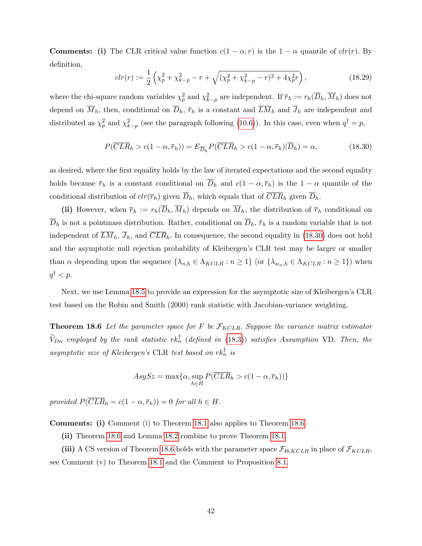**Comments:** (i) The CLR critical value function  $c(1 - \alpha, r)$  is the  $1 - \alpha$  quantile of  $clr(r)$ . By definition,

$$
clr(r) := \frac{1}{2} \left( \chi_p^2 + \chi_{k-p}^2 - r + \sqrt{(\chi_p^2 + \chi_{k-p}^2 - r)^2 + 4\chi_p^2 r} \right),
$$
\n(18.29)

where the chi-square random variables  $\chi_p^2$  and  $\chi_{k-p}^2$  are independent. If  $\overline{r}_h := r_h(\overline{D}_h, \overline{M}_h)$  does not depend on  $\overline{M}_h$ , then, conditional on  $\overline{D}_h$ ,  $\overline{r}_h$  is a constant and  $\overline{LM}_h$  and  $\overline{J}_h$  are independent and distributed as  $\chi_p^2$  and  $\chi_{k-p}^2$  (see the paragraph following [\(10.6\)](#page--1-33)). In this case, even when  $q^{\dagger} = p$ ,

<span id="page-43-1"></span>
$$
P(\overline{CLR}_h > c(1 - \alpha, \overline{r}_h)) = E_{\overline{D}_h} P(\overline{CLR}_h > c(1 - \alpha, \overline{r}_h) | \overline{D}_h) = \alpha,
$$
\n(18.30)

as desired, where the first equality holds by the law of iterated expectations and the second equality holds because  $\bar{r}_h$  is a constant conditional on  $\bar{D}_h$  and  $c(1 - \alpha, \bar{r}_h)$  is the  $1 - \alpha$  quantile of the conditional distribution of  $clr(\overline{r}_h)$  given  $\overline{D}_h$ , which equals that of  $\overline{CLR}_h$  given  $\overline{D}_h$ .

(ii) However, when  $\bar{r}_h := r_h(\overline{D}_h, \overline{M}_h)$  depends on  $\overline{M}_h$ , the distribution of  $\bar{r}_h$  conditional on  $\overline{D}_h$  is not a pointmass distribution. Rather, conditional on  $\overline{D}_h$ ,  $\overline{r}_h$  is a random variable that is not independent of  $\overline{LM}_h$ ,  $\overline{J}_h$ , and  $\overline{CLR}_h$ . In consequence, the second equality in [\(18.30\)](#page-43-1) does not hold and the asymptotic null rejection probability of Kleibergen's CLR test may be larger or smaller than  $\alpha$  depending upon the sequence  $\{\lambda_{n,h} \in \Lambda_{KCLR} : n \geq 1\}$  (or  $\{\lambda_{w_n,h} \in \Lambda_{KCLR} : n \geq 1\}$ ) when  $q^{\dagger} < p$ .

Next, we use Lemma [18.5](#page-42-1) to provide an expression for the asymptotic size of Kleibergen's CLR test based on the Robin and Smith (2000) rank statistic with Jacobian-variance weighting.

<span id="page-43-0"></span>**Theorem 18.6** Let the parameter space for F be  $\mathcal{F}_{KCLR}$ . Suppose the variance matrix estimator  $V_{Dn}$  employed by the rank statistic  $rk_n^{\dagger}$  (defined in [\(18.3\)](#page-32-1)) satisfies Assumption VD. Then, the asymptotic size of Kleibergen's CLR test based on  $rk_n^{\dagger}$  is

$$
AsySz = \max\{\alpha, \sup_{h \in H} P(\overline{CLR}_h > c(1 - \alpha, \overline{r}_h))\}
$$

provided  $P(\overline{CLR}_h = c(1 - \alpha, \overline{r}_h)) = 0$  for all  $h \in H$ .

Comments: (i) Comment (i) to Theorem [18.1](#page-37-1) also applies to Theorem [18.6.](#page-43-0)

(ii) Theorem [18.6](#page-43-0) and Lemma [18.2](#page-41-0) combine to prove Theorem [18.1.](#page-37-1)

(iii) A CS version of Theorem [18.6](#page-43-0) holds with the parameter space  $\mathcal{F}_{\Theta, KCLR}$  in place of  $\mathcal{F}_{KCLR}$ , see Comment (v) to Theorem [18.1](#page-37-1) and the Comment to Proposition [8.1.](#page--1-40)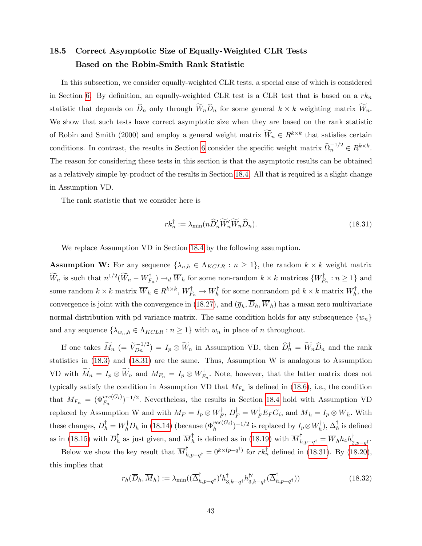### <span id="page-44-0"></span>18.5 Correct Asymptotic Size of Equally-Weighted CLR Tests Based on the Robin-Smith Rank Statistic

In this subsection, we consider equally-weighted CLR tests, a special case of which is considered in Section [6.](#page--1-26) By definition, an equally-weighted CLR test is a CLR test that is based on a  $rk_n$ statistic that depends on  $D_n$  only through  $W_nD_n$  for some general  $k \times k$  weighting matrix  $W_n$ . We show that such tests have correct asymptotic size when they are based on the rank statistic of Robin and Smith (2000) and employ a general weight matrix  $W_n \in R^{k \times k}$  that satisfies certain conditions. In contrast, the results in Section [6](#page--1-26) consider the specific weight matrix  $\widehat{\Omega}_n^{-1/2} \in R^{k \times k}$ . The reason for considering these tests in this section is that the asymptotic results can be obtained as a relatively simple by-product of the results in Section [18.4.](#page-40-0) All that is required is a slight change in Assumption VD.

The rank statistic that we consider here is

<span id="page-44-1"></span>
$$
rk_n^{\dagger} := \lambda_{\min}(n\widehat{D}_n'\widetilde{W}_n'\widehat{W}_n\widehat{D}_n). \tag{18.31}
$$

We replace Assumption VD in Section [18.4](#page-40-0) by the following assumption.

**Assumption W:** For any sequence  $\{\lambda_{n,h} \in \Lambda_{KCLR} : n \geq 1\}$ , the random  $k \times k$  weight matrix  $W_n$  is such that  $n^{1/2}(W_n - W_{F_n}^{\dagger}) \to_d \overline{W}_h$  for some non-random  $k \times k$  matrices  $\{W_{F_n}^{\dagger} : n \geq 1\}$  and some random  $k \times k$  matrix  $\overline{W}_h \in R^{k \times k}$ ,  $W_{F_n}^{\dagger} \to W_h^{\dagger}$  for some nonrandom pd  $k \times k$  matrix  $W_h^{\dagger}$ , the convergence is joint with the convergence in [\(18.27\)](#page-40-1), and  $(\bar{g}_h, D_h, W_h)$  has a mean zero multivariate normal distribution with pd variance matrix. The same condition holds for any subsequence  $\{w_n\}$ and any sequence  $\{\lambda_{w_n,h} \in \Lambda_{KCLR} : n \geq 1\}$  with  $w_n$  in place of n throughout.

If one takes  $\widetilde{M}_n$  (=  $\widetilde{V}_{Dn}^{-1/2}$ ) =  $I_p \otimes \widetilde{W}_n$  in Assumption VD, then  $\widehat{D}_n^{\dagger} = \widetilde{W}_n \widehat{D}_n$  and the rank statistics in [\(18.3\)](#page-32-1) and [\(18.31\)](#page-44-1) are the same. Thus, Assumption W is analogous to Assumption VD with  $M_n = I_p \otimes W_n$  and  $M_{F_n} = I_p \otimes W_{F_n}^{\dagger}$ . Note, however, that the latter matrix does not typically satisfy the condition in Assumption VD that  $M_{F_n}$  is defined in [\(18.6\)](#page-32-4), i.e., the condition that  $M_{F_n} = (\Phi_{F_n}^{vec(G_i)})^{-1/2}$ . Nevertheless, the results in Section [18.4](#page-40-0) hold with Assumption VD replaced by Assumption W and with  $M_F = I_p \otimes W_F^{\dagger}$ ,  $D_F^{\dagger} = W_F^{\dagger} E_F G_i$ , and  $M_h = I_p \otimes W_h$ . With these changes,  $\overline{D}_h^{\dagger} = W_h^{\dagger} \overline{D}_h$  in [\(18.14\)](#page-35-1) (because  $(\Phi_h^{vec(G_i)})^{-1/2}$  is replaced by  $I_p \otimes W_h^{\dagger}$ ),  $\overline{\Delta}_h^{\dagger}$  is defined as in [\(18.15\)](#page-35-2) with  $\overline{D}_h^{\dagger}$  as just given, and  $\overline{M}_h^{\dagger}$  is defined as in [\(18.19\)](#page-36-0) with  $\overline{M}_{h,p-q^{\dagger}}^{\dagger} = \overline{W}_h h_4 h_{2,p-q^{\dagger}}^{\dagger}$ .

Below we show the key result that  $\overline{M}_{h,p-q^{\dagger}}^{\dagger} = 0^{k \times (p-q^{\dagger})}$  for  $rk_n^{\dagger}$  defined in [\(18.31\)](#page-44-1). By [\(18.20\)](#page-36-2), this implies that

<span id="page-44-2"></span>
$$
r_h(\overline{D}_h, \overline{M}_h) := \lambda_{\min}((\overline{\Delta}_{h, p-q^{\dagger}}^{\dagger})' h_{3,k-q^{\dagger}}^{\dagger} h_{3,k-q^{\dagger}}^{\dagger \prime}(\overline{\Delta}_{h, p-q^{\dagger}}^{\dagger}))
$$
(18.32)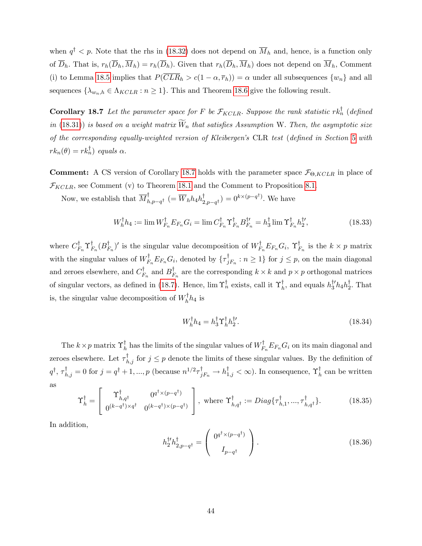when  $q^{\dagger} < p$ . Note that the rhs in [\(18.32\)](#page-44-2) does not depend on  $M_h$  and, hence, is a function only of  $\overline{D}_h$ . That is,  $r_h(\overline{D}_h, \overline{M}_h) = r_h(\overline{D}_h)$ . Given that  $r_h(\overline{D}_h, \overline{M}_h)$  does not depend on  $\overline{M}_h$ , Comment (i) to Lemma [18.5](#page-42-1) implies that  $P(\overline{CLR}_h > c(1-\alpha, \overline{r}_h)) = \alpha$  under all subsequences  $\{w_n\}$  and all sequences  $\{\lambda_{w_n,h} \in \Lambda_{KCLR} : n \geq 1\}$ . This and Theorem [18.6](#page-43-0) give the following result.

<span id="page-45-0"></span>**Corollary 18.7** Let the parameter space for F be  $\mathcal{F}_{KCLR}$ . Suppose the rank statistic rk<sub>n</sub><sub>1</sub> (defined in [\(18.31\)](#page-44-1)) is based on a weight matrix  $W_n$  that satisfies Assumption W. Then, the asymptotic size of the corresponding equally-weighted version of Kleibergen's CLR test (defined in Section [5](#page--1-7) with  $rk_n(\theta) = rk_n^{\dagger}$  equals  $\alpha$ .

**Comment:** A CS version of Corollary [18.7](#page-45-0) holds with the parameter space  $\mathcal{F}_{\Theta, KCLR}$  in place of  $\mathcal{F}_{KCLR}$ , see Comment (v) to Theorem [18.1](#page-37-1) and the Comment to Proposition [8.1.](#page--1-40)

Now, we establish that  $\overline{M}_{h,p-q^{\dagger}}^{\dagger}$   $(=\overline{W}_h h_4 h_{2,p-q^{\dagger}}^{\dagger}) = 0^{k \times (p-q^{\dagger})}$ . We have

$$
W_h^{\dagger} h_4 := \lim W_{F_n}^{\dagger} E_{F_n} G_i = \lim C_{F_n}^{\dagger} \Upsilon_{F_n}^{\dagger} B_{F_n}^{\dagger} = h_3^{\dagger} \lim \Upsilon_{F_n}^{\dagger} h_2^{\dagger'}, \tag{18.33}
$$

where  $C_{F_n}^{\dagger} \Upsilon_{F_n}^{\dagger} (B_{F_n}^{\dagger})'$  is the singular value decomposition of  $W_{F_n}^{\dagger} E_{F_n} G_i$ ,  $\Upsilon_{F_n}^{\dagger}$  is the  $k \times p$  matrix with the singular values of  $W_{F_n}^{\dagger}E_{F_n}G_i$ , denoted by  $\{\tau_{jF_n}^{\dagger}:n\geq 1\}$  for  $j\leq p$ , on the main diagonal and zeroes elsewhere, and  $C_{F_n}^{\dagger}$  and  $B_{F_n}^{\dagger}$  are the corresponding  $k \times k$  and  $p \times p$  orthogonal matrices of singular vectors, as defined in [\(18.7\)](#page-33-0). Hence,  $\lim_{n \to \infty} \Upsilon_n^{\dagger}$  exists, call it  $\Upsilon_h^{\dagger}$ , and equals  $h_3^{\dagger'} h_4 h_2^{\dagger}$ . That is, the singular value decomposition of  $W_h^{\dagger} h_4$  is

$$
W_h^\dagger h_4 = h_3^\dagger \Upsilon_h^\dagger h_2^{\dagger'}.\tag{18.34}
$$

The  $k \times p$  matrix  $\Upsilon^{\dagger}_h$  has the limits of the singular values of  $W^{\dagger}_{F_n} E_{F_n} G_i$  on its main diagonal and zeroes elsewhere. Let  $\tau_{h,j}^{\mathsf{T}}$  for  $j \leq p$  denote the limits of these singular values. By the definition of  $q^{\dagger}, \tau^{\dagger}_{h,j} = 0$  for  $j = q^{\dagger} + 1, ..., p$  (because  $n^{1/2} \tau^{\dagger}_{jF_n} \to h^{\dagger}_{1,j} < \infty$ ). In consequence,  $\Upsilon^{\dagger}_h$  can be written as

<span id="page-45-1"></span>
$$
\Upsilon_h^{\dagger} = \begin{bmatrix} \Upsilon_{h,q^{\dagger}}^{\dagger} & 0^{q^{\dagger} \times (p-q^{\dagger})} \\ 0^{(k-q^{\dagger}) \times q^{\dagger}} & 0^{(k-q^{\dagger}) \times (p-q^{\dagger})} \end{bmatrix}, \text{ where } \Upsilon_{h,q^{\dagger}}^{\dagger} := Diag\{\tau_{h,1}^{\dagger}, \dots, \tau_{h,q^{\dagger}}^{\dagger}\}. \tag{18.35}
$$

In addition,

<span id="page-45-2"></span>
$$
h_2^{\dagger'} h_{2,p-q^{\dagger}}^{\dagger} = \begin{pmatrix} 0^{q^{\dagger} \times (p-q^{\dagger})} \\ I_{p-q^{\dagger}} \end{pmatrix} . \tag{18.36}
$$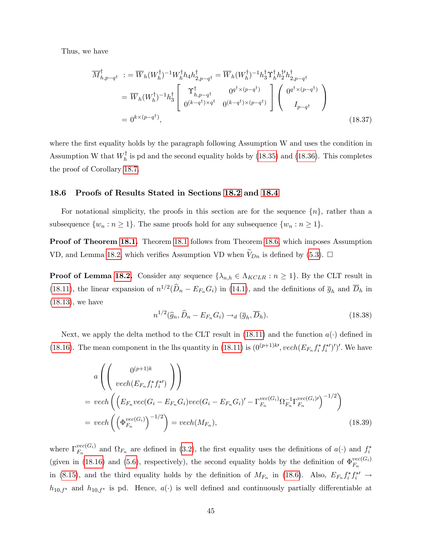Thus, we have

$$
\overline{M}_{h,p-q^{\dagger}}^{\dagger} := \overline{W}_h (W_h^{\dagger})^{-1} W_h^{\dagger} h_4 h_{2,p-q^{\dagger}}^{\dagger} = \overline{W}_h (W_h^{\dagger})^{-1} h_3^{\dagger} \Upsilon_h^{\dagger} h_2^{\dagger} h_{2,p-q^{\dagger}}^{\dagger}
$$
\n
$$
= \overline{W}_h (W_h^{\dagger})^{-1} h_3^{\dagger} \left[ \begin{array}{cc} \Upsilon_{h,p-q^{\dagger}}^{\dagger} & 0^{q^{\dagger} \times (p-q^{\dagger})} \\ 0^{(k-q^{\dagger}) \times q^{\dagger}} & 0^{(k-q^{\dagger}) \times (p-q^{\dagger})} \end{array} \right] \left( \begin{array}{c} 0^{q^{\dagger} \times (p-q^{\dagger})} \\ I_{p-q^{\dagger}} \end{array} \right)
$$
\n
$$
= 0^{k \times (p-q^{\dagger})}, \tag{18.37}
$$

where the first equality holds by the paragraph following Assumption W and uses the condition in Assumption W that  $W_h^{\dagger}$  is pd and the second equality holds by [\(18.35\)](#page-45-1) and [\(18.36\)](#page-45-2). This completes the proof of Corollary [18.7.](#page-45-0)

#### <span id="page-46-0"></span>18.6 Proofs of Results Stated in Sections [18.2](#page-31-0) and [18.4](#page-40-0)

For notational simplicity, the proofs in this section are for the sequence  $\{n\}$ , rather than a subsequence  $\{w_n : n \geq 1\}$ . The same proofs hold for any subsequence  $\{w_n : n \geq 1\}$ .

Proof of Theorem [18.1.](#page-37-1) Theorem [18.1](#page-37-1) follows from Theorem [18.6,](#page-43-0) which imposes Assumption VD, and Lemma [18.2,](#page-41-0) which verifies Assumption VD when  $V_{Dn}$  is defined by [\(5.3\)](#page--1-24).  $\Box$ 

**Proof of Lemma [18.2.](#page-41-0)** Consider any sequence  $\{\lambda_{n,h} \in \Lambda_{KCLR} : n \geq 1\}$ . By the CLT result in [\(18.11\)](#page-34-1), the linear expansion of  $n^{1/2}(\hat{D}_n - E_{F_n}G_i)$  in [\(14.1\)](#page-4-1), and the definitions of  $\overline{g}_h$  and  $\overline{D}_h$  in [\(18.13\)](#page-34-0), we have

<span id="page-46-2"></span>
$$
n^{1/2}(\widehat{g}_n, \widehat{D}_n - E_{F_n} G_i) \to_d (\overline{g}_h, \overline{D}_h). \tag{18.38}
$$

Next, we apply the delta method to the CLT result in [\(18.11\)](#page-34-1) and the function  $a(\cdot)$  defined in [\(18.16\)](#page-35-4). The mean component in the lhs quantity in [\(18.11\)](#page-34-1) is  $(0^{(p+1)k}, vech(E_{F_n}f_i^*f_i^*)')'$ . We have

<span id="page-46-1"></span>
$$
a \left( \left( \begin{array}{c} 0^{(p+1)k} \\ vech(E_{F_n} f_i^* f_i^*) \end{array} \right) \right)
$$
  
=  $vech \left( \left( E_{F_n} vec(G_i - E_{F_n} G_i) vec(G_i - E_{F_n} G_i)' - \Gamma_{F_n}^{vec(G_i)} \Omega_{F_n}^{-1} \Gamma_{F_n}^{vec(G_i)} \right)^{-1/2} \right)$   
=  $vech \left( \left( \Phi_{F_n}^{vec(G_i)} \right)^{-1/2} \right) = vech(M_{F_n}),$  (18.39)

where  $\Gamma_{F_r}^{vec(G_i)}$  $F_n^{vec(G_i)}$  and  $\Omega_{F_n}$  are defined in [\(3.2\)](#page--1-20), the first equality uses the definitions of  $a(\cdot)$  and  $f_i^*$ (given in [\(18.16\)](#page-35-4) and [\(5.6\)](#page--1-30), respectively), the second equality holds by the definition of  $\Phi_{F_n}^{vec(G_i)}$  $F_n$ in [\(8.15\)](#page--1-13), and the third equality holds by the definition of  $M_{F_n}$  in [\(18.6\)](#page-32-4). Also,  $E_{F_n} f_i^* f_i^* \rightarrow$  $h_{10,f^*}$  and  $h_{10,f^*}$  is pd. Hence,  $a(\cdot)$  is well defined and continuously partially differentiable at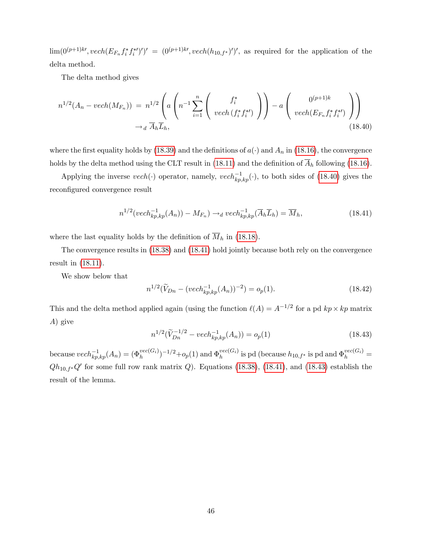$\lim(0^{(p+1)k'}\,,vech(E_{F_n}f_i^*f_i^{*\prime})')' = (0^{(p+1)k'}\,vech(h_{10,f^*})')',$  as required for the application of the delta method.

The delta method gives

<span id="page-47-0"></span>
$$
n^{1/2}(A_n - vech(M_{F_n})) = n^{1/2} \left( a \left( n^{-1} \sum_{i=1}^n \left( \begin{array}{c} f_i^* \\ vech(f_i^* f_i^*) \end{array} \right) \right) - a \left( \begin{array}{c} 0^{(p+1)k} \\ vech(E_{F_n} f_i^* f_i^*) \end{array} \right) \right) - a \left( \begin{array}{c} 0^{(p+1)k} \\ vech(E_{F_n} f_i^* f_i^*) \end{array} \right) \right)
$$
\n(18.40)

where the first equality holds by [\(18.39\)](#page-46-1) and the definitions of  $a(\cdot)$  and  $A_n$  in [\(18.16\)](#page-35-4), the convergence holds by the delta method using the CLT result in [\(18.11\)](#page-34-1) and the definition of  $\overline{A}_h$  following [\(18.16\)](#page-35-4).

Applying the inverse  $vech(\cdot)$  operator, namely,  $vech_{kp,kp}^{-1}(\cdot)$ , to both sides of [\(18.40\)](#page-47-0) gives the reconfigured convergence result

<span id="page-47-1"></span>
$$
n^{1/2}(vech_{kp,kp}^{-1}(A_n)) - M_{F_n}) \rightarrow_d vech_{kp,kp}^{-1}(\overline{A}_h \overline{L}_h) = \overline{M}_h,
$$
\n(18.41)

where the last equality holds by the definition of  $\overline{M}_h$  in [\(18.18\)](#page-35-3).

The convergence results in [\(18.38\)](#page-46-2) and [\(18.41\)](#page-47-1) hold jointly because both rely on the convergence result in [\(18.11\)](#page-34-1).

We show below that

<span id="page-47-3"></span>
$$
n^{1/2}(\widetilde{V}_{Dn} - (vech_{kp,kp}^{-1}(A_n))^{-2}) = o_p(1).
$$
 (18.42)

This and the delta method applied again (using the function  $\ell(A) = A^{-1/2}$  for a pd  $kp \times kp$  matrix A) give

<span id="page-47-2"></span>
$$
n^{1/2}(\widetilde{V}_{Dn}^{-1/2} - vech_{kp,kp}^{-1}(A_n)) = o_p(1)
$$
\n(18.43)

because  $vech_{kp,kp}^{-1}(A_n) = (\Phi_k^{vec(G_i)})^{-1/2} + o_p(1)$  and  $\Phi_k^{vec(G_i)}$  $h_h^{vec(G_i)}$  is pd (because  $h_{10,f^*}$  is pd and  $\Phi_h^{vec(G_i)}$  =  $Qh_{10,f^*}Q'$  for some full row rank matrix Q). Equations [\(18.38\)](#page-46-2), [\(18.41\)](#page-47-1), and [\(18.43\)](#page-47-2) establish the result of the lemma.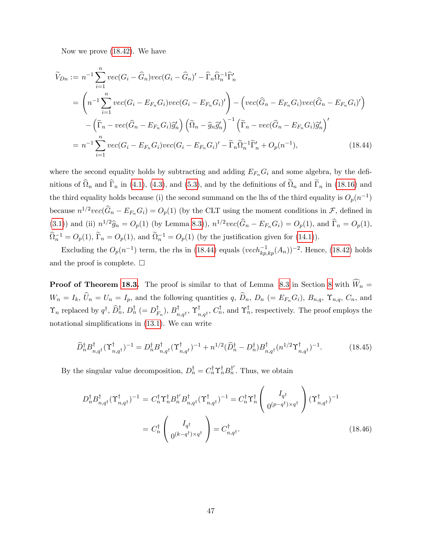Now we prove [\(18.42\)](#page-47-3). We have

<span id="page-48-0"></span>
$$
\widetilde{V}_{Dn} := n^{-1} \sum_{i=1}^{n} vec(G_i - \widehat{G}_n) vec(G_i - \widehat{G}_n)' - \widehat{\Gamma}_n \widehat{\Omega}_n^{-1} \widehat{\Gamma}_n'
$$
\n
$$
= \left( n^{-1} \sum_{i=1}^{n} vec(G_i - E_{F_n} G_i) vec(G_i - E_{F_n} G_i)' \right) - \left( vec(\widehat{G}_n - E_{F_n} G_i) vec(\widehat{G}_n - E_{F_n} G_i)' \right)
$$
\n
$$
- \left( \widetilde{\Gamma}_n - vec(\widehat{G}_n - E_{F_n} G_i) \widehat{g}_n' \right) \left( \widetilde{\Omega}_n - \widehat{g}_n \widehat{g}_n' \right)^{-1} \left( \widetilde{\Gamma}_n - vec(\widehat{G}_n - E_{F_n} G_i) \widehat{g}_n' \right)'
$$
\n
$$
= n^{-1} \sum_{i=1}^{n} vec(G_i - E_{F_n} G_i) vec(G_i - E_{F_n} G_i)' - \widetilde{\Gamma}_n \widehat{\Omega}_n^{-1} \widetilde{\Gamma}_n' + O_p(n^{-1}), \tag{18.44}
$$

where the second equality holds by subtracting and adding  $E_{F_n}G_i$  and some algebra, by the definitions of  $\Omega_n$  and  $\Gamma_n$  in [\(4.1\)](#page--1-41), [\(4.3\)](#page--1-42), and [\(5.3\)](#page--1-24), and by the definitions of  $\Omega_n$  and  $\Gamma_n$  in [\(18.16\)](#page-35-4) and the third equality holds because (i) the second summand on the lhs of the third equality is  $O_p(n^{-1})$ because  $n^{1/2}vec(\hat{G}_n - E_{F_n}G_i) = O_p(1)$  (by the CLT using the moment conditions in  $\mathcal{F}$ , defined in [\(3.1\)](#page--1-29)) and (ii)  $n^{1/2}\hat{g}_n = O_p(1)$  (by Lemma [8.3\)](#page--1-1)),  $n^{1/2}vec(\hat{G}_n - E_{F_n}G_i) = O_p(1)$ , and  $\hat{\Gamma}_n = O_p(1)$ ,  $\widehat{\Omega}_n^{-1} = O_p(1), \widetilde{\Gamma}_n = O_p(1),$  and  $\widetilde{\Omega}_n^{-1} = O_p(1)$  (by the justification given for [\(14.1\)](#page-4-1)).

Excluding the  $O_p(n^{-1})$  term, the rhs in [\(18.44\)](#page-48-0) equals  $(vech_{kp, kp}^{-1}(A_n))^{-2}$ . Hence, [\(18.42\)](#page-47-3) holds and the proof is complete.  $\Box$ 

**Proof of Theorem [18.3.](#page-41-1)** The proof is similar to that of Lemma [8.3](#page--1-1) in Section [8](#page--1-3) with  $\widehat{W}_n =$  $W_n = I_k$ ,  $\hat{U}_n = U_n = I_p$ , and the following quantities q,  $\hat{D}_n$ ,  $D_n$  (=  $E_{F_n}G_i$ ),  $B_{n,q}$ ,  $\Upsilon_{n,q}$ ,  $C_n$ , and  $\Upsilon_n$  replaced by  $q^{\dagger}$ ,  $D_n^{\dagger}$ ,  $D_n^{\dagger}$  (=  $D_{F_n}^{\dagger}$ ),  $B_{n,q^{\dagger}}^{\dagger}$ ,  $\Upsilon_{n,q^{\dagger}}^{\dagger}$ ,  $C_n^{\dagger}$ , and  $\Upsilon_n^{\dagger}$ , respectively. The proof employs the notational simplifications in  $(13.1)$ . We can write

<span id="page-48-1"></span>
$$
\widehat{D}_{n}^{\dagger} B_{n,q^{\dagger}}^{\dagger} (\Upsilon_{n,q^{\dagger}}^{\dagger})^{-1} = D_{n}^{\dagger} B_{n,q^{\dagger}}^{\dagger} (\Upsilon_{n,q^{\dagger}}^{\dagger})^{-1} + n^{1/2} (\widehat{D}_{n}^{\dagger} - D_{n}^{\dagger}) B_{n,q^{\dagger}}^{\dagger} (n^{1/2} \Upsilon_{n,q^{\dagger}}^{\dagger})^{-1}.
$$
\n(18.45)

By the singular value decomposition,  $D_n^{\dagger} = C_n^{\dagger} \Upsilon_n^{\dagger} B_n^{\dagger'}$ . Thus, we obtain

$$
D_n^{\dagger} B_{n,q^{\dagger}}^{\dagger} (\Upsilon_{n,q^{\dagger}}^{\dagger})^{-1} = C_n^{\dagger} \Upsilon_n^{\dagger} B_n^{\dagger'} B_{n,q^{\dagger}}^{\dagger} (\Upsilon_{n,q^{\dagger}}^{\dagger})^{-1} = C_n^{\dagger} \Upsilon_n^{\dagger} \begin{pmatrix} I_{q^{\dagger}} \\ 0^{(p-q^{\dagger}) \times q^{\dagger}} \end{pmatrix} (\Upsilon_{n,q^{\dagger}}^{\dagger})^{-1}
$$

$$
= C_n^{\dagger} \begin{pmatrix} I_{q^{\dagger}} \\ 0^{(k-q^{\dagger}) \times q^{\dagger}} \end{pmatrix} = C_{n,q^{\dagger}}^{\dagger}. \tag{18.46}
$$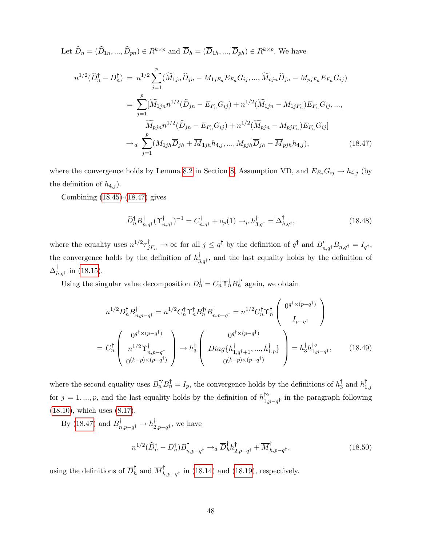Let  $\widehat{D}_n = (\widehat{D}_{1n},...,\widehat{D}_{pn}) \in R^{k \times p}$  and  $\overline{D}_h = (\overline{D}_{1h},...,\overline{D}_{ph}) \in R^{k \times p}$ . We have

<span id="page-49-0"></span>
$$
n^{1/2}(\hat{D}_{n}^{\dagger} - D_{n}^{\dagger}) = n^{1/2} \sum_{j=1}^{p} (\widetilde{M}_{1jn}\hat{D}_{jn} - M_{1jF_{n}}E_{F_{n}}G_{ij}, ..., \widetilde{M}_{pjn}\hat{D}_{jn} - M_{pjF_{n}}E_{F_{n}}G_{ij})
$$
  

$$
= \sum_{j=1}^{p} [\widetilde{M}_{1jn}n^{1/2}(\hat{D}_{jn} - E_{F_{n}}G_{ij}) + n^{1/2}(\widetilde{M}_{1jn} - M_{1jF_{n}})E_{F_{n}}G_{ij}, ...,
$$

$$
\widetilde{M}_{pjn}n^{1/2}(\widehat{D}_{jn} - E_{F_{n}}G_{ij}) + n^{1/2}(\widetilde{M}_{pjn} - M_{pjF_{n}})E_{F_{n}}G_{ij}]
$$

$$
\rightarrow d \sum_{j=1}^{p} (M_{1jh}\overline{D}_{jh} + \overline{M}_{1jh}h_{4,j}, ..., M_{pjh}\overline{D}_{jh} + \overline{M}_{pjh}h_{4,j}), \qquad (18.47)
$$

where the convergence holds by Lemma [8.2](#page--1-0) in Section [8,](#page--1-3) Assumption VD, and  $E_{F_n}G_{ij} \to h_{4,j}$  (by the definition of  $h_{4,j}$ ).

Combining [\(18.45\)](#page-48-1)-[\(18.47\)](#page-49-0) gives

<span id="page-49-3"></span>
$$
\widehat{D}_{n}^{\dagger} B_{n,q^{\dagger}}^{\dagger} (\Upsilon_{n,q^{\dagger}}^{\dagger})^{-1} = C_{n,q^{\dagger}}^{\dagger} + o_{p}(1) \rightarrow_{p} h_{3,q^{\dagger}}^{\dagger} = \overline{\Delta}_{h,q^{\dagger}}^{\dagger}, \qquad (18.48)
$$

where the equality uses  $n^{1/2} \tau_{jF_n}^{\dagger} \to \infty$  for all  $j \leq q^{\dagger}$  by the definition of  $q^{\dagger}$  and  $B'_{n,q^{\dagger}} B_{n,q^{\dagger}} = I_{q^{\dagger}}$ , the convergence holds by the definition of  $h_{3,q}^{\dagger}$ , and the last equality holds by the definition of  $\overline{\Delta}_{h,q^{\dagger}}^{\dagger}$  in [\(18.15\)](#page-35-2).

Using the singular value decomposition  $D_n^{\dagger} = C_n^{\dagger} \Upsilon_n^{\dagger} B_n^{\dagger}$  again, we obtain

<span id="page-49-1"></span>
$$
n^{1/2}D_{n}^{\dagger}B_{n,p-q^{\dagger}}^{\dagger} = n^{1/2}C_{n}^{\dagger}\Upsilon_{n}^{\dagger}B_{n,p-q^{\dagger}}^{\dagger} = n^{1/2}C_{n}^{\dagger}\Upsilon_{n}^{\dagger}\left(\begin{array}{c} 0^{q^{\dagger}\times(p-q^{\dagger})} \\ I_{p-q^{\dagger}} \end{array}\right)
$$

$$
= C_{n}^{\dagger} \left(\begin{array}{c} 0^{q^{\dagger}\times(p-q^{\dagger})} \\ n^{1/2}\Upsilon_{n,p-q^{\dagger}}^{\dagger} \\ 0^{(k-p)\times(p-q^{\dagger})} \end{array}\right) \rightarrow h_{3}^{\dagger} \left(\begin{array}{c} 0^{q^{\dagger}\times(p-q^{\dagger})} \\ Diag\{h_{1,q^{\dagger}+1}^{\dagger},...,h_{1,p}^{\dagger}\} \\ 0^{(k-p)\times(p-q^{\dagger})} \end{array}\right) = h_{3}^{\dagger}h_{1,p-q^{\dagger}}^{\dagger}, \qquad (18.49)
$$

where the second equality uses  $B_n^{\dagger \prime} B_n^{\dagger} = I_p$ , the convergence holds by the definitions of  $h_3^{\dagger}$  and  $h_{1,j}^{\dagger}$ for  $j = 1, ..., p$ , and the last equality holds by the definition of  $h_{1,p-q}^{\uparrow\phi}$  in the paragraph following [\(18.10\)](#page-33-1), which uses [\(8.17\)](#page--1-14).

By [\(18.47\)](#page-49-0) and  $B^{\dagger}_{n,p-q^{\dagger}} \to h^{\dagger}_{2,p-q^{\dagger}}$ , we have

<span id="page-49-2"></span>
$$
n^{1/2}(\widehat{D}_{n}^{\dagger} - D_{n}^{\dagger})B_{n,p-q^{\dagger}}^{\dagger} \rightarrow_d \overline{D}_{h}^{\dagger}h_{2,p-q^{\dagger}}^{\dagger} + \overline{M}_{h,p-q^{\dagger}}^{\dagger}, \qquad (18.50)
$$

using the definitions of  $\overline{D}_h^{\dagger}$  and  $\overline{M}_{h,p-q^{\dagger}}^{\dagger}$  in [\(18.14\)](#page-35-1) and [\(18.19\)](#page-36-0), respectively.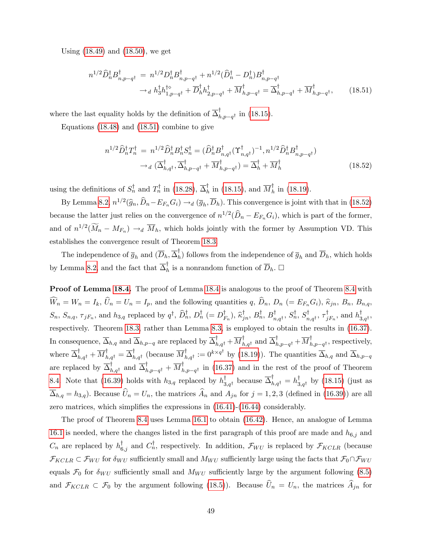Using [\(18.49\)](#page-49-1) and [\(18.50\)](#page-49-2), we get

<span id="page-50-0"></span>
$$
n^{1/2} \hat{D}_{n}^{\dagger} B_{n,p-q^{\dagger}}^{\dagger} = n^{1/2} D_{n}^{\dagger} B_{n,p-q^{\dagger}}^{\dagger} + n^{1/2} (\hat{D}_{n}^{\dagger} - D_{n}^{\dagger}) B_{n,p-q^{\dagger}}^{\dagger}
$$
  
\n
$$
\rightarrow_{d} h_{3}^{\dagger} h_{1,p-q^{\dagger}}^{\dagger} + \overline{D}_{h}^{\dagger} h_{2,p-q^{\dagger}}^{\dagger} + \overline{M}_{h,p-q^{\dagger}}^{\dagger} = \overline{\Delta}_{h,p-q^{\dagger}}^{\dagger} + \overline{M}_{h,p-q^{\dagger}}^{\dagger}, \qquad (18.51)
$$

where the last equality holds by the definition of  $\overline{\Delta}_{h,p-q^{\dagger}}^{\dagger}$  in [\(18.15\)](#page-35-2).

Equations [\(18.48\)](#page-49-3) and [\(18.51\)](#page-50-0) combine to give

<span id="page-50-1"></span>
$$
n^{1/2}\widehat{D}_{n}^{\dagger}T_{n}^{\dagger} = n^{1/2}\widehat{D}_{n}^{\dagger}B_{n}^{\dagger}S_{n}^{\dagger} = (\widehat{D}_{n}^{\dagger}B_{n,q^{\dagger}}^{\dagger}(\Upsilon_{n,q^{\dagger}}^{\dagger})^{-1}, n^{1/2}\widehat{D}_{n}^{\dagger}B_{n,p-q^{\dagger}}^{\dagger})
$$

$$
\rightarrow_{d} (\overline{\Delta}_{h,q^{\dagger}}^{\dagger}, \overline{\Delta}_{h,p-q^{\dagger}}^{\dagger} + \overline{M}_{h,p-q^{\dagger}}^{\dagger}) = \overline{\Delta}_{h}^{\dagger} + \overline{M}_{h}^{\dagger}
$$
(18.52)

using the definitions of  $S_n^{\dagger}$  and  $T_n^{\dagger}$  in [\(18.28\)](#page-41-3),  $\overline{\Delta}_h^{\dagger}$  in [\(18.15\)](#page-35-2), and  $\overline{M}_h^{\dagger}$  in [\(18.19\)](#page-36-0).

By Lemma [8.2,](#page--1-0)  $n^{1/2}(\hat{g}_n, \hat{D}_n - E_{F_n}G_i) \rightarrow_d (\overline{g}_h, \overline{D}_h)$ . This convergence is joint with that in [\(18.52\)](#page-50-1) because the latter just relies on the convergence of  $n^{1/2}(\widehat{D}_n - E_{F_n}G_i)$ , which is part of the former, and of  $n^{1/2}(\widetilde{M}_n - M_{F_n}) \to_d \overline{M}_h$ , which holds jointly with the former by Assumption VD. This establishes the convergence result of Theorem [18.3.](#page-41-1)

The independence of  $\overline{g}_h$  and  $(\overline{D}_h, \overline{\Delta}_h)$  follows from the independence of  $\overline{g}_h$  and  $\overline{D}_h$ , which holds by Lemma [8.2,](#page--1-0) and the fact that  $\overline{\Delta}_h^{\dagger}$  is a nonrandom function of  $\overline{D}_h$ .  $\Box$ 

Proof of Lemma [18.4.](#page-42-0) The proof of Lemma [18.4](#page-42-0) is analogous to the proof of Theorem [8.4](#page--1-2) with  $\widehat{W}_n = W_n = I_k$ ,  $\widehat{U}_n = U_n = I_p$ , and the following quantities  $q$ ,  $\widehat{D}_n$ ,  $D_n$  (=  $E_{F_n}G_i$ ),  $\widehat{\kappa}_{jn}$ ,  $B_n$ ,  $B_{n,q}$ ,  $S_n$ ,  $S_{n,q}$ ,  $\tau_{jF_n}$ , and  $h_{3,q}$  replaced by  $q^{\dagger}$ ,  $D_n^{\dagger}$ ,  $D_n^{\dagger}$  (=  $D_{F_n}^{\dagger}$ ),  $\hat{\kappa}_{jn}^{\dagger}$ ,  $B_n^{\dagger}$ ,  $B_n^{\dagger}$ ,  $S_n^{\dagger}$ ,  $S_n^{\dagger}$ ,  $S_{n,q^{\dagger}}^{\dagger}$ ,  $\tau_{jF_n}^{\dagger}$ , and  $h_{3,q^{\dagger}}^{\dagger}$ , respectively. Theorem [18.3,](#page-41-1) rather than Lemma [8.3,](#page--1-1) is employed to obtain the results in [\(16.37\)](#page-24-2). In consequence,  $\overline{\Delta}_{h,q}$  and  $\overline{\Delta}_{h,p-q}$  are replaced by  $\overline{\Delta}_{h,q}^{\dagger} + \overline{M}_{h,q}^{\dagger}$  and  $\overline{\Delta}_{h,p-q}^{\dagger} + \overline{M}_{h,p-q}^{\dagger}$ , respectively, where  $\overline{\Delta}_{h,q}^{\mathsf{T}} + \overline{M}_{h,q}^{\mathsf{T}} = \overline{\Delta}_{h,q}^{\mathsf{T}}$  (because  $\overline{M}_{h,q}^{\mathsf{T}} := 0^{k \times q^{\mathsf{T}}}$  by [\(18.19\)](#page-36-0)). The quantities  $\overline{\Delta}_{h,q}$  and  $\overline{\Delta}_{h,p-q}$ are replaced by  $\overline{\Delta}_{h,q^{\dagger}}^{\dagger}$  and  $\overline{\Delta}_{h,p-q^{\dagger}}^{\dagger} + \overline{M}_{h,p-q^{\dagger}}^{\dagger}$  in [\(16.37\)](#page-24-2) and in the rest of the proof of Theorem [8.4.](#page--1-2) Note that [\(16.39\)](#page-25-0) holds with  $h_{3,q}$  replaced by  $h_{3,q}^{\dagger}$  because  $\overline{\Delta}_{h,q}^{\dagger} = h_{3,q}^{\dagger}$  by [\(18.15\)](#page-35-2) (just as  $\overline{\Delta}_{h,q} = h_{3,q}$ . Because  $\widehat{U}_n = U_n$ , the matrices  $\widehat{A}_n$  and  $A_{jn}$  for  $j = 1, 2, 3$  (defined in [\(16.39\)](#page-25-0)) are all zero matrices, which simplifies the expressions in  $(16.41)-(16.44)$  $(16.41)-(16.44)$  $(16.41)-(16.44)$  considerably.

The proof of Theorem [8.4](#page--1-2) uses Lemma [16.1](#page-13-0) to obtain [\(16.42\)](#page-26-0). Hence, an analogue of Lemma [16.1](#page-13-0) is needed, where the changes listed in the first paragraph of this proof are made and  $h_{6,j}$  and  $C_n$  are replaced by  $h_{6,j}^{\dagger}$  and  $C_n^{\dagger}$ , respectively. In addition,  $\mathcal{F}_{WU}$  is replaced by  $\mathcal{F}_{KCLR}$  (because  $\mathcal{F}_{KCLR} \subset \mathcal{F}_{WU}$  for  $\delta_{WU}$  sufficiently small and  $M_{WU}$  sufficiently large using the facts that  $\mathcal{F}_0 \cap \mathcal{F}_{WU}$ equals  $\mathcal{F}_0$  for  $\delta_{WU}$  sufficiently small and  $M_{WU}$  sufficiently large by the argument following [\(8.5\)](#page--1-15) and  $\mathcal{F}_{KCLR} \subset \mathcal{F}_0$  by the argument following [\(18.5\)](#page-32-3)). Because  $\hat{U}_n = U_n$ , the matrices  $\hat{A}_{jn}$  for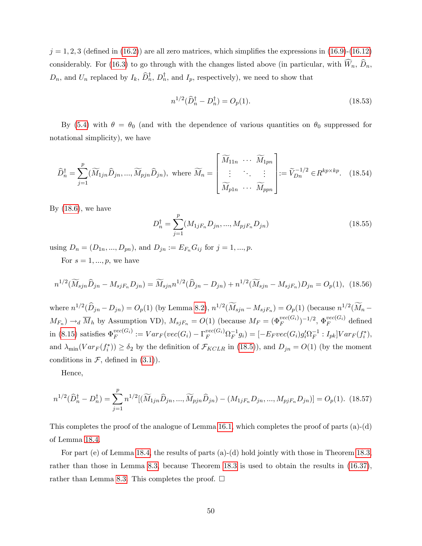$j = 1, 2, 3$  (defined in [\(16.2\)](#page-14-1)) are all zero matrices, which simplifies the expressions in [\(16.9\)](#page-16-1)-[\(16.12\)](#page-18-0) considerably. For [\(16.3\)](#page-14-0) to go through with the changes listed above (in particular, with  $\widehat{W}_n$ ,  $\widehat{D}_n$ ,  $D_n$ , and  $U_n$  replaced by  $I_k$ ,  $\overline{D}_n^{\dagger}$ ,  $D_n^{\dagger}$ , and  $I_p$ , respectively), we need to show that

$$
n^{1/2}(\hat{D}_n^{\dagger} - D_n^{\dagger}) = O_p(1). \tag{18.53}
$$

By [\(5.4\)](#page--1-28) with  $\theta = \theta_0$  (and with the dependence of various quantities on  $\theta_0$  suppressed for notational simplicity), we have

$$
\widehat{D}_{n}^{\dagger} = \sum_{j=1}^{p} (\widetilde{M}_{1jn}\widehat{D}_{jn}, ..., \widetilde{M}_{pjn}\widehat{D}_{jn}), \text{ where } \widetilde{M}_{n} = \begin{bmatrix} \widetilde{M}_{11n} & \cdots & \widetilde{M}_{1pn} \\ \vdots & \ddots & \vdots \\ \widetilde{M}_{p1n} & \cdots & \widetilde{M}_{ppn} \end{bmatrix} := \widetilde{V}_{Dn}^{-1/2} \in R^{kp \times kp}. \tag{18.54}
$$

By  $(18.6)$ , we have

$$
D_n^{\dagger} = \sum_{j=1}^p (M_{1jF_n} D_{jn}, ..., M_{pjF_n} D_{jn})
$$
\n(18.55)

using  $D_n = (D_{1n}, ..., D_{pn})$ , and  $D_{jn} := E_{F_n}G_{ij}$  for  $j = 1, ..., p$ .

For  $s = 1, ..., p$ , we have

$$
n^{1/2}(\widetilde{M}_{\text{spin}}\widehat{D}_{jn} - M_{\text{spin}}D_{jn}) = \widetilde{M}_{\text{spin}}n^{1/2}(\widehat{D}_{jn} - D_{jn}) + n^{1/2}(\widetilde{M}_{\text{spin}} - M_{\text{spin}}D_{jn}) = O_p(1), \tag{18.56}
$$

where  $n^{1/2}(\hat{D}_{jn}-D_{jn})=O_p(1)$  (by Lemma [8.2\)](#page--1-0),  $n^{1/2}(\tilde{M}_{sjn}-M_{sjF_n})=O_p(1)$  (because  $n^{1/2}(\tilde{M}_{n}-D_{js})$  $M_{F_n}$ )  $\rightarrow_d \overline{M}_h$  by Assumption VD),  $M_{sjF_n} = O(1)$  (because  $M_F = (\Phi_F^{vec(G_i)})^{-1/2}, \Phi_F^{vec(G_i)}$  $\int_F^{vec(\Omega_i)}$  defined in [\(8.15\)](#page--1-13) satisfies  $\Phi_F^{vec(G_i)}$  $F_F^{vec(G_i)} := Var_F(vec(G_i) - \Gamma_F^{vec(G_i)} \Omega_F^{-1} g_i) = [-E_F vec(G_i) g_i' \Omega_F^{-1} : I_{pk}] Var_F(f_i^*),$ and  $\lambda_{\min}(Var_F(f_i^*)) \ge \delta_2$  by the definition of  $\mathcal{F}_{KCLR}$  in [\(18.5\)](#page-32-3)), and  $D_{jn} = O(1)$  (by the moment conditions in  $\mathcal{F}$ , defined in [\(3.1\)](#page--1-29)).

Hence,

$$
n^{1/2}(\widehat{D}_{n}^{\dagger} - D_{n}^{\dagger}) = \sum_{j=1}^{p} n^{1/2} [(\widetilde{M}_{1jn}\widehat{D}_{jn}, ..., \widetilde{M}_{pjn}\widehat{D}_{jn}) - (M_{1jF_n}D_{jn}, ..., M_{pjF_n}D_{jn})] = O_p(1). \tag{18.57}
$$

This completes the proof of the analogue of Lemma [16.1,](#page-13-0) which completes the proof of parts (a)-(d) of Lemma [18.4.](#page-42-0)

For part (e) of Lemma [18.4,](#page-42-0) the results of parts (a)-(d) hold jointly with those in Theorem [18.3,](#page-41-1) rather than those in Lemma [8.3,](#page--1-1) because Theorem [18.3](#page-41-1) is used to obtain the results in [\(16.37\)](#page-24-2), rather than Lemma [8.3.](#page--1-1) This completes the proof.  $\Box$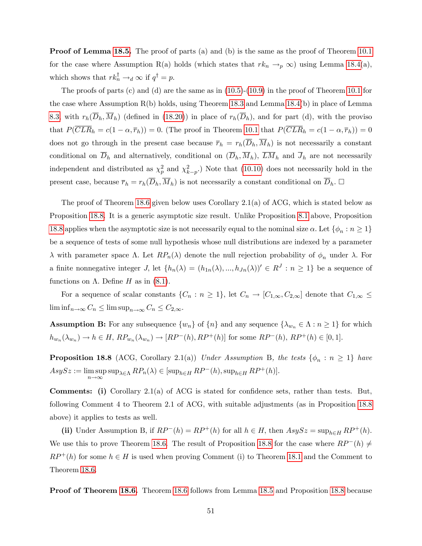**Proof of Lemma [18.5.](#page-42-1)** The proof of parts (a) and (b) is the same as the proof of Theorem [10.1](#page--1-25) for the case where Assumption R(a) holds (which states that  $rk_n \to_p \infty$ ) using Lemma [18.4\(](#page-42-0)a), which shows that  $rk_n^{\mathsf{T}} \to_d \infty$  if  $q^{\mathsf{T}} = p$ .

The proofs of parts (c) and (d) are the same as in  $(10.5)-(10.9)$  $(10.5)-(10.9)$  $(10.5)-(10.9)$  in the proof of Theorem [10.1](#page--1-25) for the case where Assumption R(b) holds, using Theorem [18.3](#page-41-1) and Lemma [18.4\(](#page-42-0)b) in place of Lemma [8.3,](#page--1-1) with  $r_h(\overline{D}_h, \overline{M}_h)$  (defined in [\(18.20\)](#page-36-2)) in place of  $r_h(\overline{D}_h)$ , and for part (d), with the proviso that  $P(\overline{CLR}_h = c(1 - \alpha, \overline{r}_h)) = 0$ . (The proof in Theorem [10.1](#page--1-25) that  $P(\overline{CLR}_h = c(1 - \alpha, \overline{r}_h)) = 0$ does not go through in the present case because  $\overline{r}_h = r_h(\overline{D}_h, \overline{M}_h)$  is not necessarily a constant conditional on  $\overline{D}_h$  and alternatively, conditional on  $(\overline{D}_h, \overline{M}_h)$ ,  $\overline{LM}_h$  and  $\overline{J}_h$  are not necessarily independent and distributed as  $\chi_p^2$  and  $\chi_{k-p}^2$ .) Note that [\(10.10\)](#page--1-39) does not necessarily hold in the present case, because  $\overline{r}_h = r_h(\overline{D}_h, \overline{M}_h)$  is not necessarily a constant conditional on  $\overline{D}_h$ .  $\Box$ 

The proof of Theorem [18.6](#page-43-0) given below uses Corollary 2.1(a) of ACG, which is stated below as Proposition [18.8.](#page-52-0) It is a generic asymptotic size result. Unlike Proposition [8.1](#page--1-40) above, Proposition [18.8](#page-52-0) applies when the asymptotic size is not necessarily equal to the nominal size  $\alpha$ . Let  $\{\phi_n : n \geq 1\}$ be a sequence of tests of some null hypothesis whose null distributions are indexed by a parameter  $\lambda$  with parameter space  $\Lambda$ . Let  $RP_n(\lambda)$  denote the null rejection probability of  $\phi_n$  under  $\lambda$ . For a finite nonnegative integer *J*, let  $\{h_n(\lambda) = (h_{1n}(\lambda), ..., h_{Jn}(\lambda))' \in R^J : n \ge 1\}$  be a sequence of functions on  $\Lambda$ . Define H as in [\(8.1\)](#page--1-31).

For a sequence of scalar constants  $\{C_n : n \geq 1\}$ , let  $C_n \to [C_{1,\infty}, C_{2,\infty}]$  denote that  $C_{1,\infty} \leq$  $\liminf_{n\to\infty} C_n \leq \limsup_{n\to\infty} C_n \leq C_{2,\infty}$ 

**Assumption B:** For any subsequence  $\{w_n\}$  of  $\{n\}$  and any sequence  $\{\lambda_{w_n} \in \Lambda : n \geq 1\}$  for which  $h_{w_n}(\lambda_{w_n}) \to h \in H$ ,  $RP_{w_n}(\lambda_{w_n}) \to [RP^-(h), RP^+(h)]$  for some  $RP^-(h)$ ,  $RP^+(h) \in [0,1]$ .

<span id="page-52-0"></span>**Proposition 18.8** (ACG, Corollary 2.1(a)) Under Assumption B, the tests  $\{\phi_n : n \geq 1\}$  have  $AsySz := \limsup$  $\limsup_{n\to\infty} \sup_{\lambda\in\Lambda} RP_n(\lambda) \in [\sup_{h\in H} RP^-(h), \sup_{h\in H} RP^+(h)].$ 

**Comments:** (i) Corollary 2.1(a) of ACG is stated for confidence sets, rather than tests. But, following Comment 4 to Theorem 2.1 of ACG, with suitable adjustments (as in Proposition [18.8](#page-52-0) above) it applies to tests as well.

(ii) Under Assumption B, if  $RP^{-}(h) = RP^{+}(h)$  for all  $h \in H$ , then  $AsySz = \sup_{h \in H} RP^{+}(h)$ . We use this to prove Theorem [18.6.](#page-43-0) The result of Proposition [18.8](#page-52-0) for the case where  $RP^{-}(h) \neq$  $RP^+(h)$  for some  $h \in H$  is used when proving Comment (i) to Theorem [18.1](#page-37-1) and the Comment to Theorem [18.6.](#page-43-0)

Proof of Theorem [18.6.](#page-43-0) Theorem [18.6](#page-43-0) follows from Lemma [18.5](#page-42-1) and Proposition [18.8](#page-52-0) because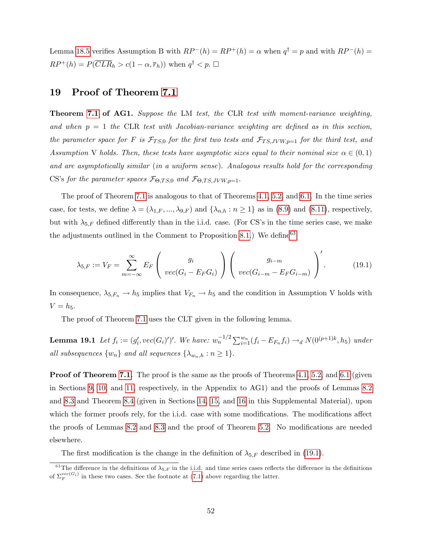Lemma [18.5](#page-42-1) verifies Assumption B with  $RP^{-}(h) = RP^{+}(h) = \alpha$  when  $q^{\dagger} = p$  and with  $RP^{-}(h) =$  $RP^+(h) = P(\overline{CLR}_h > c(1-\alpha, \overline{r}_h))$  when  $q^{\dagger} < p$ .  $\Box$ 

### <span id="page-53-0"></span>19 Proof of Theorem [7.1](#page--1-8)

Theorem [7.1](#page--1-8) of AG1. Suppose the LM test, the CLR test with moment-variance weighting, and when  $p = 1$  the CLR test with Jacobian-variance weighting are defined as in this section, the parameter space for F is  $\mathcal{F}_{TS,0}$  for the first two tests and  $\mathcal{F}_{TS, JVW, p=1}$  for the third test, and Assumption V holds. Then, these tests have asymptotic sizes equal to their nominal size  $\alpha \in (0,1)$ and are asymptotically similar (in a uniform sense). Analogous results hold for the corresponding CS's for the parameter spaces  $\mathcal{F}_{\Theta, TS,0}$  and  $\mathcal{F}_{\Theta, TS, JVW, p=1}$ .

The proof of Theorem [7.1](#page--1-8) is analogous to that of Theorems [4.1,](#page--1-44) [5.2,](#page--1-45) and [6.1.](#page--1-25) In the time series case, for tests, we define  $\lambda = (\lambda_{1,F},...,\lambda_{9,F})$  and  $\{\lambda_{n,h} : n \geq 1\}$  as in [\(8.9\)](#page--1-21) and [\(8.11\)](#page--1-46), respectively, but with  $\lambda_{5,F}$  defined differently than in the i.i.d. case. (For CS's in the time series case, we make the adjustments outlined in the Comment to Proposition [8.1.](#page--1-40)) We define  $63$ 

<span id="page-53-2"></span>
$$
\lambda_{5,F} := V_F = \sum_{m=-\infty}^{\infty} E_F \left( \begin{array}{c} g_i \\ vec(G_i - E_F G_i) \end{array} \right) \left( \begin{array}{c} g_{i-m} \\ vec(G_{i-m} - E_F G_{i-m}) \end{array} \right)'. \tag{19.1}
$$

In consequence,  $\lambda_{5,F_n} \to h_5$  implies that  $V_{F_n} \to h_5$  and the condition in Assumption V holds with  $V = h_5.$ 

The proof of Theorem [7.1](#page--1-8) uses the CLT given in the following lemma.

<span id="page-53-3"></span>**Lemma 19.1** Let  $f_i := (g'_i, vec(G_i))'$ . We have:  $w_n^{-1/2} \sum_{i=1}^{w_n} (f_i - E_{F_n} f_i) \rightarrow_d N(0^{(p+1)k}, h_5)$  under all subsequences  $\{w_n\}$  and all sequences  $\{\lambda_{w_n,h} : n \geq 1\}.$ 

**Proof of Theorem [7.1.](#page--1-8)** The proof is the same as the proofs of Theorems [4.1,](#page--1-44) [5.2,](#page--1-45) and [6.1](#page--1-25) (given in Sections [9,](#page--1-47) [10,](#page--1-48) and [11,](#page--1-49) respectively, in the Appendix to AG1) and the proofs of Lemmas [8.2](#page--1-0) and [8.3](#page--1-1) and Theorem [8.4](#page--1-2) (given in Sections [14,](#page-4-0) [15,](#page-5-0) and [16](#page-12-0) in this Supplemental Material), upon which the former proofs rely, for the i.i.d. case with some modifications. The modifications affect the proofs of Lemmas [8.2](#page--1-0) and [8.3](#page--1-1) and the proof of Theorem [5.2.](#page--1-45) No modifications are needed elsewhere.

The first modification is the change in the definition of  $\lambda_{5,F}$  described in [\(19.1\)](#page-53-2).

<span id="page-53-1"></span><sup>&</sup>lt;sup>63</sup>The difference in the definitions of  $\lambda_{5,F}$  in the i.i.d. and time series cases reflects the difference in the definitions of  $\Sigma_F^{vec(G_i)}$  in these two cases. See the footnote at [\(7.1\)](#page--1-50) above regarding the latter.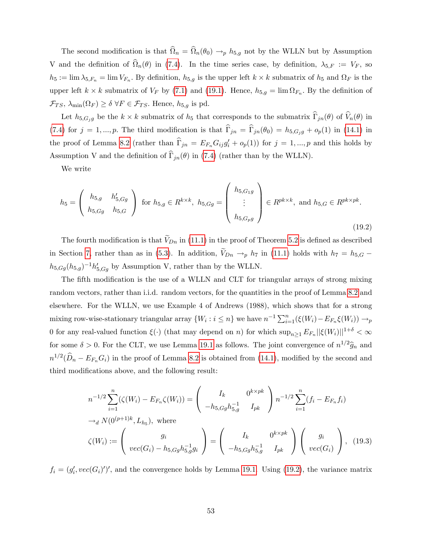The second modification is that  $\Omega_n = \Omega_n(\theta_0) \to_p h_{5,g}$  not by the WLLN but by Assumption V and the definition of  $\Omega_n(\theta)$  in [\(7.4\)](#page--1-51). In the time series case, by definition,  $\lambda_{5,F} := V_F$ , so  $h_5 := \lim \lambda_{5,F_n} = \lim V_{F_n}$ . By definition,  $h_{5,g}$  is the upper left  $k \times k$  submatrix of  $h_5$  and  $\Omega_F$  is the upper left  $k \times k$  submatrix of  $V_F$  by [\(7.1\)](#page--1-50) and [\(19.1\)](#page-53-2). Hence,  $h_{5,g} = \lim \Omega_{F_n}$ . By the definition of  $\mathcal{F}_{TS}, \lambda_{\min}(\Omega_F) \ge \delta \,\forall F \in \mathcal{F}_{TS}.$  Hence,  $h_{5,g}$  is pd.

Let  $h_{5,G_jg}$  be the  $k \times k$  submatrix of  $h_5$  that corresponds to the submatrix  $\Gamma_{jn}(\theta)$  of  $V_n(\theta)$  in [\(7.4\)](#page--1-51) for  $j = 1, ..., p$ . The third modification is that  $\hat{\Gamma}_{jn} = \hat{\Gamma}_{jn}(\theta_0) = h_{5,G_j g} + o_p(1)$  in [\(14.1\)](#page-4-1) in the proof of Lemma [8.2](#page--1-0) (rather than  $\Gamma_{jn} = E_{F_n}G_{ij}g'_i + o_p(1)$ ) for  $j = 1, ..., p$  and this holds by Assumption V and the definition of  $\widehat{\Gamma}_{jn}(\theta)$  in [\(7.4\)](#page--1-51) (rather than by the WLLN).

We write

<span id="page-54-0"></span>
$$
h_5 = \begin{pmatrix} h_{5,g} & h'_{5,Gg} \\ h_{5,Gg} & h_{5,G} \end{pmatrix} \text{ for } h_{5,g} \in R^{k \times k}, \ h_{5,Gg} = \begin{pmatrix} h_{5,G_1g} \\ \vdots \\ h_{5,G_pg} \end{pmatrix} \in R^{pk \times k}, \text{ and } h_{5,G} \in R^{pk \times pk}.
$$
\n(19.2)

The fourth modification is that  $V_{Dn}$  in [\(11.1\)](#page--1-52) in the proof of Theorem [5.2](#page--1-45) is defined as described in Section [7,](#page--1-53) rather than as in [\(5.3\)](#page--1-24). In addition,  $V_{Dn} \rightarrow_p h_7$  in [\(11.1\)](#page--1-52) holds with  $h_7 = h_{5,G}$ .  $h_{5,Gg}(h_{5,g})^{-1}h'_{5,Gg}$  by Assumption V, rather than by the WLLN.

The fifth modification is the use of a WLLN and CLT for triangular arrays of strong mixing random vectors, rather than i.i.d. random vectors, for the quantities in the proof of Lemma [8.2](#page--1-0) and elsewhere. For the WLLN, we use Example 4 of Andrews (1988), which shows that for a strong mixing row-wise-stationary triangular array  $\{W_i : i \leq n\}$  we have  $n^{-1} \sum_{i=1}^n (\xi(W_i) - E_{F_n} \xi(W_i)) \to_p$ 0 for any real-valued function  $\xi(\cdot)$  (that may depend on n) for which  $\sup_{n\geq1} E_{F_n} ||\xi(W_i)||^{1+\delta} < \infty$ for some  $\delta > 0$ . For the CLT, we use Lemma [19.1](#page-53-3) as follows. The joint convergence of  $n^{1/2}\hat{g}_n$  and  $n^{1/2}(\widehat{D}_n - E_{F_n}G_i)$  in the proof of Lemma [8.2](#page--1-0) is obtained from [\(14.1\)](#page-4-1), modified by the second and third modifications above, and the following result:

<span id="page-54-1"></span>
$$
n^{-1/2} \sum_{i=1}^{n} (\zeta(W_i) - E_{F_n} \zeta(W_i)) = \begin{pmatrix} I_k & 0^{k \times pk} \\ -h_{5,Gg} h_{5,g}^{-1} & I_{pk} \end{pmatrix} n^{-1/2} \sum_{i=1}^{n} (f_i - E_{F_n} f_i)
$$
  
\n
$$
\rightarrow_d N(0^{(p+1)k}, L_{h_5}), \text{ where}
$$
  
\n
$$
\zeta(W_i) := \begin{pmatrix} g_i & 0^{k \times pk} \\ vec(G_i) - h_{5,Gg} h_{5,g}^{-1} g_i \end{pmatrix} = \begin{pmatrix} I_k & 0^{k \times pk} \\ -h_{5,Gg} h_{5,g}^{-1} & I_{pk} \end{pmatrix} \begin{pmatrix} g_i & 0^{k \times pk} \\ vec(G_i) & 0 \end{pmatrix}, (19.3)
$$

 $f_i = (g_i', vec(G_i)')'$ , and the convergence holds by Lemma [19.1.](#page-53-3) Using [\(19.2\)](#page-54-0), the variance matrix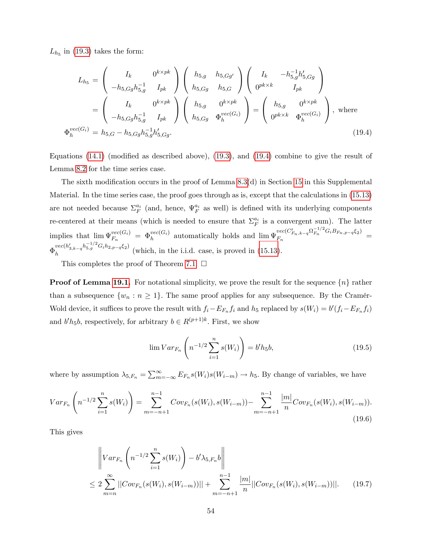$L_{h_5}$  in [\(19.3\)](#page-54-1) takes the form:

 $\Phi$ 

<span id="page-55-0"></span>
$$
L_{h_5} = \begin{pmatrix} I_k & 0^{k \times pk} \\ -h_{5,Gg}h_{5,g}^{-1} & I_{pk} \end{pmatrix} \begin{pmatrix} h_{5,g} & h_{5,Gg'} \\ h_{5,Gg} & h_{5,G} \end{pmatrix} \begin{pmatrix} I_k & -h_{5,g}^{-1}h_{5,Gg'}' \\ 0^{pk \times k} & I_{pk} \end{pmatrix}
$$
  
= 
$$
\begin{pmatrix} I_k & 0^{k \times pk} \\ -h_{5,Gg}h_{5,g}^{-1} & I_{pk} \end{pmatrix} \begin{pmatrix} h_{5,g} & 0^{k \times pk} \\ h_{5,Gg} & \Phi_h^{vec(G_i)} \end{pmatrix} = \begin{pmatrix} h_{5,g} & 0^{k \times pk} \\ 0^{pk \times k} & \Phi_h^{vec(G_i)} \end{pmatrix}, \text{ where}
$$
  

$$
V_{h}^{vec(G_i)} = h_{5,G} - h_{5,Gg}h_{5,g}^{-1}h_{5,Gg}'. \qquad (19.4)
$$

Equations  $(14.1)$  (modified as described above),  $(19.3)$ , and  $(19.4)$  combine to give the result of Lemma [8.2](#page--1-0) for the time series case.

The sixth modification occurs in the proof of Lemma  $8.3(d)$  in Section [15](#page-5-0) in this Supplemental Material. In the time series case, the proof goes through as is, except that the calculations in [\(15.13\)](#page-10-2) are not needed because  $\Sigma_F^{a_i}$  (and, hence,  $\Psi_F^{a_i}$  as well) is defined with its underlying components re-centered at their means (which is needed to ensure that  $\Sigma_F^{a_i}$  is a convergent sum). The latter implies that  $\lim_{F_n} \Psi_{F_n}^{vec(G_i)} = \Phi_h^{vec(G_i)}$  automatically holds and  $\lim_{F_n} \Psi_{F_n}^{vec(C'_{F_n,k-q}\Omega_{F_n}^{-1/2}G_iB_{F_n,p-q}\xi_2)}$  $F_n$ <br>Fn<br> $F_n$ ,  $k-q^{2k}F_n$   $\cup_{i \in \mathbb{N}} p - q^{2j}$  =  $\Phi_h^{vec(h_{3,k-q}'h_{5,g}^{-1/2}G_ih_{2,p-q}\xi_2)}$  $h^{h}$  (which, in the i.i.d. case, is proved in [\(15.13\)](#page-10-2).

This completes the proof of Theorem [7.1.](#page--1-8)  $\square$ 

**Proof of Lemma [19.1.](#page-53-3)** For notational simplicity, we prove the result for the sequence  $\{n\}$  rather than a subsequence  $\{w_n : n \geq 1\}$ . The same proof applies for any subsequence. By the Cramér-Wold device, it suffices to prove the result with  $f_i - E_{F_n} f_i$  and  $h_5$  replaced by  $s(W_i) = b'(f_i - E_{F_n} f_i)$ and  $b'h_5b$ , respectively, for arbitrary  $b \in R^{(p+1)k}$ . First, we show

<span id="page-55-2"></span>
$$
\lim Var_{F_n} \left( n^{-1/2} \sum_{i=1}^n s(W_i) \right) = b'h_5b,
$$
\n(19.5)

where by assumption  $\lambda_{5,F_n} = \sum_{m=-\infty}^{\infty} E_{F_n} s(W_i) s(W_{i-m}) \to h_5$ . By change of variables, we have

$$
Var_{F_n}\left(n^{-1/2}\sum_{i=1}^n s(W_i)\right) = \sum_{m=-n+1}^{n-1} Cov_{F_n}(s(W_i), s(W_{i-m})) - \sum_{m=-n+1}^{n-1} \frac{|m|}{n} Cov_{F_n}(s(W_i), s(W_{i-m})).
$$
\n(19.6)

This gives

<span id="page-55-1"></span>
$$
\left\| Var_{F_n} \left( n^{-1/2} \sum_{i=1}^n s(W_i) \right) - b' \lambda_{5,F_n} b \right\|
$$
  
\n
$$
\leq 2 \sum_{m=n}^{\infty} ||Cov_{F_n}(s(W_i), s(W_{i-m}))|| + \sum_{m=-n+1}^{n-1} \frac{|m|}{n} ||Cov_{F_n}(s(W_i), s(W_{i-m}))||. \tag{19.7}
$$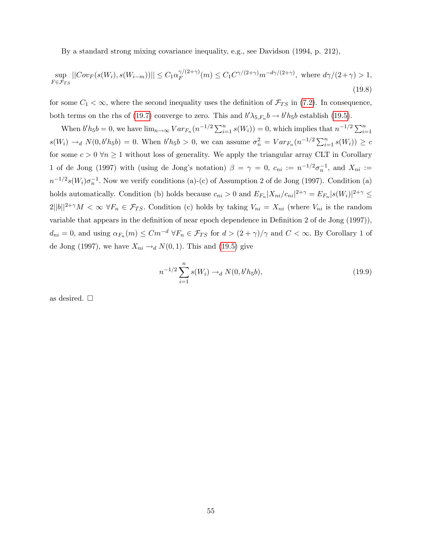By a standard strong mixing covariance inequality, e.g., see Davidson (1994, p. 212),

$$
\sup_{F \in \mathcal{F}_{TS}} ||Cov_F(s(W_i), s(W_{i-m}))|| \leq C_1 \alpha_F^{\gamma/(2+\gamma)}(m) \leq C_1 C^{\gamma/(2+\gamma)} m^{-d\gamma/(2+\gamma)}, \text{ where } d\gamma/(2+\gamma) > 1,
$$
\n(19.8)

for some  $C_1 < \infty$ , where the second inequality uses the definition of  $\mathcal{F}_{TS}$  in [\(7.2\)](#page--1-54). In consequence, both terms on the rhs of [\(19.7\)](#page-55-1) converge to zero. This and  $b'\lambda_{5,F_n}b \to b'h_5b$  establish [\(19.5\)](#page-55-2).

When  $b'h_5b = 0$ , we have  $\lim_{n\to\infty} Var_{F_n}(n^{-1/2}\sum_{i=1}^n s(W_i)) = 0$ , which implies that  $n^{-1/2}\sum_{i=1}^n s(U_i)$  $s(W_i) \to_d N(0, b'h_5b) = 0.$  When  $b'h_5b > 0$ , we can assume  $\sigma_n^2 = Var_{F_n}(n^{-1/2}\sum_{i=1}^n s(W_i)) \ge c$ for some  $c > 0 \forall n \ge 1$  without loss of generality. We apply the triangular array CLT in Corollary 1 of de Jong (1997) with (using de Jong's notation)  $\beta = \gamma = 0$ ,  $c_{ni} := n^{-1/2} \sigma_n^{-1}$ , and  $X_{ni} :=$  $n^{-1/2} s(W_i) \sigma_n^{-1}$ . Now we verify conditions (a)-(c) of Assumption 2 of de Jong (1997). Condition (a) holds automatically. Condition (b) holds because  $c_{ni} > 0$  and  $E_{F_n}|X_{ni}/c_{ni}|^{2+\gamma} = E_{F_n}|s(W_i)|^{2+\gamma} \le$  $2||b||^{2+\gamma}M < \infty$   $\forall F_n \in \mathcal{F}_{TS}$ . Condition (c) holds by taking  $V_{ni} = X_{ni}$  (where  $V_{ni}$  is the random variable that appears in the definition of near epoch dependence in Definition 2 of de Jong (1997)),  $d_{ni} = 0$ , and using  $\alpha_{F_n}(m) \leq Cm^{-d} \forall F_n \in \mathcal{F}_{TS}$  for  $d > (2 + \gamma)/\gamma$  and  $C < \infty$ . By Corollary 1 of de Jong (1997), we have  $X_{ni} \rightarrow_d N(0, 1)$ . This and [\(19.5\)](#page-55-2) give

$$
n^{-1/2} \sum_{i=1}^{n} s(W_i) \to_d N(0, b'h_5b), \tag{19.9}
$$

as desired.  $\square$